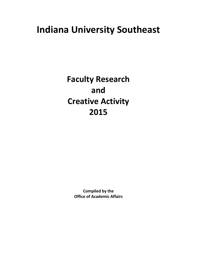# **Indiana University Southeast**

**Faculty Research and Creative Activity 2015**

> **Compiled by the Office of Academic Affairs**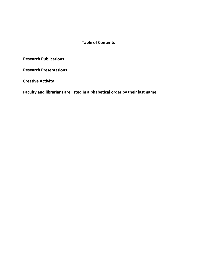# **Table of Contents**

**Research Publications** 

**Research Presentations** 

**Creative Activity** 

**Faculty and librarians are listed in alphabetical order by their last name.**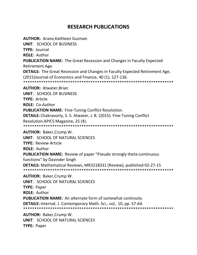# **RESEARCH PUBLICATIONS**

**AUTHOR:** Arano,Kathleen Guzman

**UNIT**: SCHOOL OF BUSINESS

**TYPE:** Journal

**ROLE:** Author

**PUBLICATION NAME:** The Great Recession and Changes in Faculty Expected Retirement Age.

**DETAILS:** The Great Recession and Changes in Faculty Expected Retirement Age, (2015)Journal of Economics and Finance, 40 (1), 127-136.

\*\*\*\*\*\*\*\*\*\*\*\*\*\*\*\*\*\*\*\*\*\*\*\*\*\*\*\*\*\*\*\*\*\*\*\*\*\*\*\*\*\*\*\*\*\*\*\*\*\*\*\*\*\*\*\*\*\*\*\*\*\*\*\*\*\*\*

**AUTHOR:** Atwater,Brian

**UNIT**: SCHOOL OF BUSINESS

**TYPE:** Article

**ROLE:** Co-Author

**PUBLICATION NAME:** Fine-Tuning Conflict Resolution.

**DETAILS:** Chakravorty, S. S. Atwater, J. B. (2015). Fine-Tuning Conflict

Resolution.APICS Magazine, 25 (4).

\*\*\*\*\*\*\*\*\*\*\*\*\*\*\*\*\*\*\*\*\*\*\*\*\*\*\*\*\*\*\*\*\*\*\*\*\*\*\*\*\*\*\*\*\*\*\*\*\*\*\*\*\*\*\*\*\*\*\*\*\*\*\*\*\*\*\*

**AUTHOR:** Baker,Crump W.

**UNIT**: SCHOOL OF NATURAL SCIENCES

**TYPE:** Review Article

**ROLE:** Author

**PUBLICATION NAME:** Review of paper "Pseudo strongly theta-continuous functions" by Davinder Singh

**DETAILS:** Mathematical Reviews, MR3218331 (Review), published 02-27-15 \*\*\*\*\*\*\*\*\*\*\*\*\*\*\*\*\*\*\*\*\*\*\*\*\*\*\*\*\*\*\*\*\*\*\*\*\*\*\*\*\*\*\*\*\*\*\*\*\*\*\*\*\*\*\*\*\*\*\*\*\*\*\*\*\*\*\*

**AUTHOR:** Baker,Crump W.

**UNIT**: SCHOOL OF NATURAL SCIENCES

**TYPE:** Paper

**ROLE:** Author

**PUBLICATION NAME:** An alternate form of somewhat continuity

**DETAILS:** Internat. J. Contemporary Math. Sci., vol,. 10, pp. 57-64.

\*\*\*\*\*\*\*\*\*\*\*\*\*\*\*\*\*\*\*\*\*\*\*\*\*\*\*\*\*\*\*\*\*\*\*\*\*\*\*\*\*\*\*\*\*\*\*\*\*\*\*\*\*\*\*\*\*\*\*\*\*\*\*\*\*\*\*

**AUTHOR:** Baker,Crump W.

**UNIT**: SCHOOL OF NATURAL SCIENCES

**TYPE:** Paper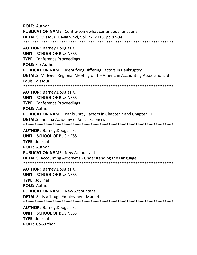**ROLE: Author PUBLICATION NAME:** Contra-somewhat continuous functions DETAILS: Missouri J. Math. Sci, vol. 27, 2015, pp.87-94. **AUTHOR: Barney, Douglas K. UNIT: SCHOOL OF BUSINESS TYPE: Conference Proceedings ROLE: Co-Author PUBLICATION NAME: Identifying Differing Factors in Bankruptcy DETAILS:** Midwest Regional Meeting of the American Accounting Association, St. Louis, Missouri **AUTHOR: Barney, Douglas K. UNIT: SCHOOL OF BUSINESS TYPE: Conference Proceedings ROLE: Author PUBLICATION NAME:** Bankruptcy Factors in Chapter 7 and Chapter 11 **DETAILS: Indiana Academy of Social Sciences AUTHOR: Barney, Douglas K.** UNIT: SCHOOL OF BUSINESS **TYPE: Journal ROLE: Author PUBLICATION NAME: New Accountant DETAILS:** Accounting Acronyms - Understanding the Language **AUTHOR: Barney, Douglas K. UNIT: SCHOOL OF BUSINESS TYPE: Journal ROLE: Author PUBLICATION NAME: New Accountant DETAILS:** Its a Tough Employment Market **AUTHOR: Barney, Douglas K. UNIT: SCHOOL OF BUSINESS** TYPF: lournal **ROLE: Co-Author**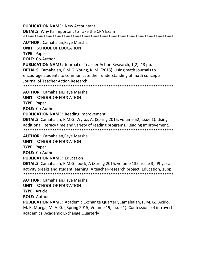**PUBLICATION NAME:** New Accountant **DETAILS:** Why Its Important to Take the CPA Exam \*\*\*\*\*\*\*\*\*\*\*\*\*\*\*\*\*\*\*\*\*\*\*\*\*\*\*\*\*\*\*\*\*\*\*\*\*\*\*\*\*\*\*\*\*\*\*\*\*\*\*\*\*\*\*\*\*\*\*\*\*\*\*\*\*\*\*

**AUTHOR:** Camahalan,Faye Marsha **UNIT**: SCHOOL OF EDUCATION **TYPE:** Paper **ROLE:** Co-Author **PUBLICATION NAME:** Journal of Teacher Action Research, 1(2), 13 pp. **DETAILS:** Camahalan, F.M.G. Young, K. M. (2015). Using math journals to encourage students to communicate their understanding of math concepts. Journal of Teacher Action Research. \*\*\*\*\*\*\*\*\*\*\*\*\*\*\*\*\*\*\*\*\*\*\*\*\*\*\*\*\*\*\*\*\*\*\*\*\*\*\*\*\*\*\*\*\*\*\*\*\*\*\*\*\*\*\*\*\*\*\*\*\*\*\*\*\*\*\* **AUTHOR:** Camahalan,Faye Marsha **UNIT**: SCHOOL OF EDUCATION **TYPE:** Paper **ROLE:** Co-Author **PUBLICATION NAME:** Reading Improvement **DETAILS:** Camahalan, F.M.G. Wyraz, A. (Spring 2015, volume 52, issue 1). Using additional literacy time and variety of reading programs. Reading Improvement. \*\*\*\*\*\*\*\*\*\*\*\*\*\*\*\*\*\*\*\*\*\*\*\*\*\*\*\*\*\*\*\*\*\*\*\*\*\*\*\*\*\*\*\*\*\*\*\*\*\*\*\*\*\*\*\*\*\*\*\*\*\*\*\*\*\*\* **AUTHOR:** Camahalan,Faye Marsha **UNIT**: SCHOOL OF EDUCATION **TYPE:** Paper

**ROLE:** Co-Author

**PUBLICATION NAME:** Education

**DETAILS:** Camahalan, F.M.G. Ipock, A (Spring 2015, volume 135, issue 3). Physical activity breaks and student learning: A teacher-research project. Education, 18pp. \*\*\*\*\*\*\*\*\*\*\*\*\*\*\*\*\*\*\*\*\*\*\*\*\*\*\*\*\*\*\*\*\*\*\*\*\*\*\*\*\*\*\*\*\*\*\*\*\*\*\*\*\*\*\*\*\*\*\*\*\*\*\*\*\*\*\*

**AUTHOR:** Camahalan,Faye Marsha **UNIT**: SCHOOL OF EDUCATION **TYPE:** Article **ROLE:** Author

**PUBLICATION NAME:** Academic Exchange QuarterlyCamahalan, F. M. G., Acido, M. B, Muega, M. A. G. ( Spring 2015, Volume 19, Issue 1). Confessions of introvert academics, Academic Exchange Quarterly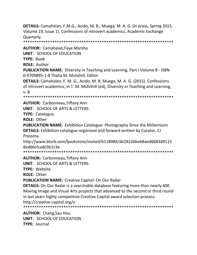**DETAILS:** Camahalan, F.M.G., Acido, M. B., Muega, M. A. G. (in press, Spring 2015, Volume 19, Issue 1). Confessions of introvert academics, Academic Exchange Quarterly.

\*\*\*\*\*\*\*\*\*\*\*\*\*\*\*\*\*\*\*\*\*\*\*\*\*\*\*\*\*\*\*\*\*\*\*\*\*\*\*\*\*\*\*\*\*\*\*\*\*\*\*\*\*\*\*\*\*\*\*\*\*\*\*\*\*\*\*

**AUTHOR:** Camahalan,Faye Marsha **UNIT**: SCHOOL OF EDUCATION **TYPE:** Book

**ROLE:** Author

**PUBLICATION NAME:** Diversity in Teaching and Learning, Part I Volume 8 - ISBN 0-9709895-1-8 Thalia M. Mulvihill, Editor

**DETAILS:** Camahalan, F. M. G., Acido, M. B, Muega, M. A. G. (2015). Confessions of introvert academics, in T. M. Mulvihill (ed), Diversity in Teaching and Learning, v. 8

\*\*\*\*\*\*\*\*\*\*\*\*\*\*\*\*\*\*\*\*\*\*\*\*\*\*\*\*\*\*\*\*\*\*\*\*\*\*\*\*\*\*\*\*\*\*\*\*\*\*\*\*\*\*\*\*\*\*\*\*\*\*\*\*\*\*\*

**AUTHOR:** Carbonneau,Tiffany Ann **UNIT**: SCHOOL OF ARTS & LETTERS **TYPE:** Catalogue **ROLE:** Other

**PUBLICATION NAME:** Exhibition Catalogue: Photography Since the Millennium **DETAILS:** Exhibition catalogue organized and forward written by Curator, CJ Pressma.

http://www.blurb.com/bookstore/invited/6118989/de28226beb8aed6683d9115 8ed66cfca403b1c3e

\*\*\*\*\*\*\*\*\*\*\*\*\*\*\*\*\*\*\*\*\*\*\*\*\*\*\*\*\*\*\*\*\*\*\*\*\*\*\*\*\*\*\*\*\*\*\*\*\*\*\*\*\*\*\*\*\*\*\*\*\*\*\*\*\*\*\*

**AUTHOR:** Carbonneau,Tiffany Ann

**UNIT**: SCHOOL OF ARTS & LETTERS

**TYPE:** Website

**ROLE:** Other

**PUBLICATION NAME:** Creative Capital: On Our Radar

**DETAILS:** On Our Radar is a searchable database featuring more than nearly 400 Moving Image and Visual Arts projects that advanced to the second or third round in last years highly competitive Creative Capital award selection process. http://creative-capital.org/o

\*\*\*\*\*\*\*\*\*\*\*\*\*\*\*\*\*\*\*\*\*\*\*\*\*\*\*\*\*\*\*\*\*\*\*\*\*\*\*\*\*\*\*\*\*\*\*\*\*\*\*\*\*\*\*\*\*\*\*\*\*\*\*\*\*\*\*

**AUTHOR:** Chang,Sau Hou **UNIT**: SCHOOL OF EDUCATION **TYPE:** Journal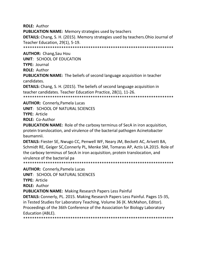**ROLE: Author** 

**PUBLICATION NAME:** Memory strategies used by teachers

**DETAILS:** Chang, S. H. (2015). Memory strategies used by teachers. Ohio Journal of Teacher Education, 29(1), 5-19.

**AUTHOR:** Chang, Sau Hou

**UNIT: SCHOOL OF EDUCATION** 

**TYPE: Journal** 

**ROLE: Author** 

**PUBLICATION NAME:** The beliefs of second language acquisition in teacher candidates.

**DETAILS:** Chang, S. H. (2015). The beliefs of second language acquisition in teacher candidates. Teacher Education Practice, 28(1), 11-26.

**AUTHOR: Connerly, Pamela Lucas** 

**UNIT: SCHOOL OF NATURAL SCIENCES** 

TYPE: Article

**ROLE: Co-Author** 

**PUBLICATION NAME:** Role of the carboxy terminus of SecA in iron acquisition, protein translocation, and virulence of the bacterial pathogen Acinetobacter haumannii.

**DETAILS:** Fiester SE, Nwugo CC, Penwell WF, Neary JM, Beckett AC, Arivett BA, Schmidt RE, Geiger SC, Connerly PL, Menke SM, Tomaras AP, Actis LA. 2015. Role of the carboxy terminus of SecA in iron acquisition, protein translocation, and virulence of the bacterial pa

**AUTHOR: Connerly, Pamela Lucas** 

**UNIT: SCHOOL OF NATURAL SCIENCES** 

**TYPE: Article** 

**ROLE: Author** 

**PUBLICATION NAME:** Making Research Papers Less Painful

**DETAILS:** Connerly, PL. 2015. Making Research Papers Less Painful. Pages 15-35, in Tested Studies for Laboratory Teaching, Volume 36 (K. McMahon, Editor). Proceedings of the 36th Conference of the Association for Biology Laboratory Education (ABLE).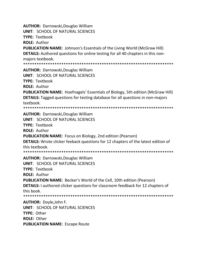**AUTHOR: Darnowski, Douglas William** 

**UNIT: SCHOOL OF NATURAL SCIENCES** 

**TYPE: Textbook** 

**ROLE: Author** 

**PUBLICATION NAME: Johnson's Essentials of the Living World (McGraw Hill) DETAILS:** Authored questions for online testing for all 40 chapters in this nonmajors textbook.

\*\*\*\*\*\*\*\*\*\*\*\*\*\*\*\*\*\*\* 

**AUTHOR: Darnowski, Douglas William** 

**UNIT: SCHOOL OF NATURAL SCIENCES** 

**TYPE: Textbook** 

**ROLE: Author** 

**PUBLICATION NAME:** Hoefnagels' Essentials of Biology, 5th edition (McGraw Hill) **DETAILS:** Tagged questions for testing database for all questions in non-majors textbook.

**AUTHOR: Darnowski, Douglas William UNIT: SCHOOL OF NATURAL SCIENCES TYPE: Textbook ROLE: Author PUBLICATION NAME:** Focus on Biology, 2nd edition (Pearson) **DETAILS:** Wrote clicker feeback questions for 12 chapters of the latest edition of this textbook. 

**AUTHOR: Darnowski, Douglas William** UNIT: SCHOOL OF NATURAL SCIENCES **TYPE: Textbook ROLE: Author PUBLICATION NAME:** Becker's World of the Cell, 10th edition (Pearson) **DETAILS:** I authored clicker questions for classroom feedback for 12 chapters of this book. **AUTHOR: Doyle, John F.** 

**UNIT: SCHOOL OF NATURAL SCIENCES TYPE: Other** ROLE: Other **PUBLICATION NAME: Escape Route**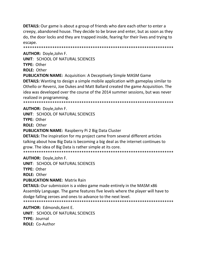**DETAILS:** Our game is about a group of friends who dare each other to enter a creepy, abandoned house. They decide to be brave and enter, but as soon as they do, the door locks and they are trapped inside, fearing for their lives and trying to escape.

**AUTHOR: Doyle, John F.** 

**UNIT: SCHOOL OF NATURAL SCIENCES** 

TYPF: Other

**ROLE: Other** 

**PUBLICATION NAME:** Acquisition: A Deceptively Simple MASM Game

**DETAILS:** Wanting to design a simple mobile application with gameplay similar to Othello or Reversi, Joe Dukes and Matt Ballard created the game Acquisition. The idea was developed over the course of the 2014 summer sessions, but was never realized in programming.

**AUTHOR: Doyle, John F.** 

UNIT: SCHOOL OF NATURAL SCIENCES

**TYPE: Other** 

**ROLE: Other** 

**PUBLICATION NAME: Raspberry Pi 2 Big Data Cluster** 

**DETAILS:** The inspiration for my project came from several different articles talking about how Big Data is becoming a big deal as the internet continues to grow. The idea of Big Data is rather simple at its core. 

**AUTHOR: Doyle, John F.** 

UNIT: SCHOOL OF NATURAL SCIENCES

TYPE: Other

**ROLE: Other** 

**PUBLICATION NAME: Matrix Rain** 

**DETAILS:** Our submission is a video game made entirely in the MASM x86 Assembly Language. The game features five levels where the player will have to dodge falling zeroes and ones to advance to the next level. 

**AUTHOR: Edmonds, Kent E. UNIT: SCHOOL OF NATURAL SCIENCES** TYPF: lournal **ROLE: Co-Author**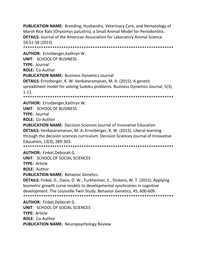**PUBLICATION NAME:** Breeding, Husbandry, Veterinary Care, and Hematology of Marsh Rice Rats (Oryzomys palustris), a Small Animal Model for Periodontitis. **DETAILS:** Journal of the American Association for Laboratory Animal Science 54:51-58 (2015) \*\*\*\*\*\*\*\*\*\*\*\*\*\*\*\*\*\*\*\*\*\*\*\*\*\*\*\*\*\*\*\*\*\*\*\*\*\*\*\*\*\*\*\*\*\*\*\*\*\*\*\*\*\*\*\*\*\*\*\*\*\*\*\*\*\*\*

**AUTHOR:** Ernstberger,Kathryn W. **UNIT**: SCHOOL OF BUSINESS **TYPE:** Journal **ROLE:** Co-Author **PUBLICATION NAME:** Business Dynamics Journal **DETAILS:** Ernstberger, K. W. Venkataramanan, M. A. (2015). A genetic spreadsheet model for solving Sudoku problems. Business Dynamics Journal, 5(3), 1-11. \*\*\*\*\*\*\*\*\*\*\*\*\*\*\*\*\*\*\*\*\*\*\*\*\*\*\*\*\*\*\*\*\*\*\*\*\*\*\*\*\*\*\*\*\*\*\*\*\*\*\*\*\*\*\*\*\*\*\*\*\*\*\*\*\*\*\*

**AUTHOR:** Ernstberger,Kathryn W.

**UNIT**: SCHOOL OF BUSINESS **TYPE:** Journal

**ROLE:** Co-Author

**PUBLICATION NAME:** Decision Sciences Journal of Innovative Education **DETAILS:** Venkataramanan, M. A. Ernstberger, K. W. (2015). Liberal learning through the decision sciences curriculum. Decision Sciences Journal of Innovative Education, 13(3), 289-303.

\*\*\*\*\*\*\*\*\*\*\*\*\*\*\*\*\*\*\*\*\*\*\*\*\*\*\*\*\*\*\*\*\*\*\*\*\*\*\*\*\*\*\*\*\*\*\*\*\*\*\*\*\*\*\*\*\*\*\*\*\*\*\*\*\*\*\*

**AUTHOR:** Finkel,Deborah G.

**UNIT**: SCHOOL OF SOCIAL SCIENCES

**TYPE:** Article

**ROLE:** Author

**PUBLICATION NAME:** Behavior Genetics

**DETAILS:** Finkel, D., Davis, D. W., Turkheimer, E., Dickens, W. T. (2015). Applying biometric growth curve models to developmental synchronies in cognitive development: The Louisville Twin Study. Behavior Genetics, 45, 600-609. \*\*\*\*\*\*\*\*\*\*\*\*\*\*\*\*\*\*\*\*\*\*\*\*\*\*\*\*\*\*\*\*\*\*\*\*\*\*\*\*\*\*\*\*\*\*\*\*\*\*\*\*\*\*\*\*\*\*\*\*\*\*\*\*\*\*\*

**AUTHOR:** Finkel,Deborah G. **UNIT**: SCHOOL OF SOCIAL SCIENCES **TYPE:** Article **ROLE:** Co-Author **PUBLICATION NAME:** Neuropsychology Review.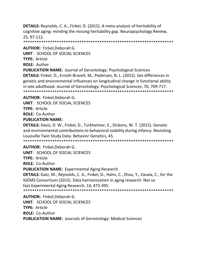**DETAILS:** Reynolds, C. A., Finkel, D. (2015). A meta-analysis of heritability of cognitive aging: minding the missing heritability gap. Neuropsychology Review, 25, 97-112.

\*\*\*\*\*\*\*\*\*\*\*\*\*\*\*\*\*\*\*\*\*\*\*\*\*\*\*\*\*\*\*\*\*\*\*\*\*\*\*\*\*\*\*\*\*\*\*\*\*\*\*\*\*\*\*\*\*\*\*\*\*\*\*\*\*\*\*

**AUTHOR:** Finkel,Deborah G.

**UNIT**: SCHOOL OF SOCIAL SCIENCES

**TYPE:** Article

**ROLE:** Author

**PUBLICATION NAME:** Journal of Gerontology: Psychological Sciences **DETAILS:** Finkel, D., Ernsth-Bravell, M., Pedersen, N. L. (2015). Sex differences in genetic and environmental influences on longitudinal change in functional ability in late adulthood. Journal of Gerontology: Psychological Sciences, 70, 709-717. \*\*\*\*\*\*\*\*\*\*\*\*\*\*\*\*\*\*\*\*\*\*\*\*\*\*\*\*\*\*\*\*\*\*\*\*\*\*\*\*\*\*\*\*\*\*\*\*\*\*\*\*\*\*\*\*\*\*\*\*\*\*\*\*\*\*\*

**AUTHOR:** Finkel,Deborah G.

**UNIT**: SCHOOL OF SOCIAL SCIENCES

**TYPE:** Article

**ROLE:** Co-Author

#### **PUBLICATION NAME:**

**DETAILS:** Davis, D. W., Finkel, D., Turkheimer, E., Dickens, W. T. (2015). Genetic and environmental contributions to behavioral stability during infancy: Revisiting Louisville Twin Study Data. Behavior Genetics, 45.

\*\*\*\*\*\*\*\*\*\*\*\*\*\*\*\*\*\*\*\*\*\*\*\*\*\*\*\*\*\*\*\*\*\*\*\*\*\*\*\*\*\*\*\*\*\*\*\*\*\*\*\*\*\*\*\*\*\*\*\*\*\*\*\*\*\*\*

**AUTHOR:** Finkel,Deborah G.

**UNIT**: SCHOOL OF SOCIAL SCIENCES

**TYPE:** Article

**ROLE:** Co-Author

**PUBLICATION NAME:** Experimental Aging Research

**DETAILS:** Gatz, M., Reynolds, C. A., Finkel, D., Hahn, C., Zhou, Y., Zavala, C., for the IGEMS Consortium (2015). Data harmonization in aging research: Not so fast.Experimental Aging Research, 14, 475-495.

\*\*\*\*\*\*\*\*\*\*\*\*\*\*\*\*\*\*\*\*\*\*\*\*\*\*\*\*\*\*\*\*\*\*\*\*\*\*\*\*\*\*\*\*\*\*\*\*\*\*\*\*\*\*\*\*\*\*\*\*\*\*\*\*\*\*\*

**AUTHOR:** Finkel,Deborah G. **UNIT**: SCHOOL OF SOCIAL SCIENCES **TYPE:** Article **ROLE:** Co-Author **PUBLICATION NAME:** Journals of Gerontology: Medical Sciences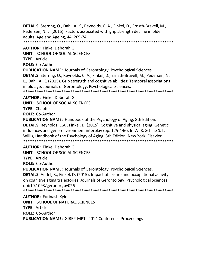**DETAILS:** Sternng, O., Dahl, A. K., Reynolds, C. A., Finkel, D., Ernsth-Bravell, M., Pedersen, N. L. (2015). Factors associated with grip strength decline in older adults. Age and Ageing, 44, 269-74.

\*\*\*\*\*\*\*\*\*\*\*\*\*\*\*\*\*\*\*\*\*\*\*\*\*\*\*\*\*\*\*\*\*\*\*\*\*\*\*\*\*\*\*\*\*\*\*\*\*\*\*\*\*\*\*\*\*\*\*\*\*\*\*\*\*\*\*

**AUTHOR:** Finkel,Deborah G.

**UNIT**: SCHOOL OF SOCIAL SCIENCES

**TYPE:** Article

**ROLE:** Co-Author

**PUBLICATION NAME:** Journals of Gerontology: Psychological Sciences.

**DETAILS:** Sternng, O., Reynolds, C. A., Finkel, D., Ernsth-Bravell, M., Pedersen, N. L., Dahl, A. K. (2015). Grip strength and cognitive abilities: Temporal associations in old age. Journals of Gerontology: Psychological Sciences.

\*\*\*\*\*\*\*\*\*\*\*\*\*\*\*\*\*\*\*\*\*\*\*\*\*\*\*\*\*\*\*\*\*\*\*\*\*\*\*\*\*\*\*\*\*\*\*\*\*\*\*\*\*\*\*\*\*\*\*\*\*\*\*\*\*\*\*

**AUTHOR:** Finkel,Deborah G.

**UNIT**: SCHOOL OF SOCIAL SCIENCES

**TYPE:** Chapter

**ROLE:** Co-Author

**PUBLICATION NAME:** Handbook of the Psychology of Aging, 8th Edition. **DETAILS:** Reynolds, C.A., Finkel, D. (2015). Cognitive and physical aging: Genetic influences and gene-environment interplay (pp. 125-146). In W. K. Schaie S. L. Willis, Handbook of the Psychology of Aging, 8th Edition. New York: Elsevier. \*\*\*\*\*\*\*\*\*\*\*\*\*\*\*\*\*\*\*\*\*\*\*\*\*\*\*\*\*\*\*\*\*\*\*\*\*\*\*\*\*\*\*\*\*\*\*\*\*\*\*\*\*\*\*\*\*\*\*\*\*\*\*\*\*\*\*

**AUTHOR:** Finkel,Deborah G.

**UNIT**: SCHOOL OF SOCIAL SCIENCES

**TYPE:** Article

**ROLE:** Co-Author

**PUBLICATION NAME:** Journals of Gerontology: Psychological Sciences. **DETAILS:** Andel, R., Finkel, D. (2015). Impact of leisure and occupational activity on cognitive aging trajectories. Journals of Gerontology: Psychological Sciences. doi:10.1093/geronb/gbv026

\*\*\*\*\*\*\*\*\*\*\*\*\*\*\*\*\*\*\*\*\*\*\*\*\*\*\*\*\*\*\*\*\*\*\*\*\*\*\*\*\*\*\*\*\*\*\*\*\*\*\*\*\*\*\*\*\*\*\*\*\*\*\*\*\*\*\*

**AUTHOR:** Forinash,Kyle **UNIT**: SCHOOL OF NATURAL SCIENCES **TYPE:** Article **ROLE:** Co-Author **PUBLICATION NAME:** GIREP-MPTL 2014 Conference Proceedings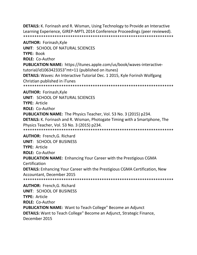**DETAILS:** K. Forinash and R. Wisman, Using Technology to Provide an Interactive Learning Experience, GIREP-MPTL 2014 Conference Proceedings (peer reviewed). \*\*\*\*\*\*\*\*\*\*\*\*\*\*\*\*\*\*\*\*\*\*\*\*\*\*\*\*\*\*\*\*\*\*\*\*\*\*\*\*\*\*\*\*\*\*\*\*\*\*\*\*\*\*\*\*\*\*\*\*\*\*\*\*\*\*\*

**AUTHOR:** Forinash,Kyle **UNIT**: SCHOOL OF NATURAL SCIENCES **TYPE:** Book **ROLE:** Co-Author **PUBLICATION NAME:** https://itunes.apple.com/us/book/waves-interactivetutorial/id1063423353"mt=11 (published on itunes) **DETAILS:** Waves: An Interactive Tutorial Dec. 1 2015, Kyle Forinsh Wolfgang Christian published in iTunes \*\*\*\*\*\*\*\*\*\*\*\*\*\*\*\*\*\*\*\*\*\*\*\*\*\*\*\*\*\*\*\*\*\*\*\*\*\*\*\*\*\*\*\*\*\*\*\*\*\*\*\*\*\*\*\*\*\*\*\*\*\*\*\*\*\*\* **AUTHOR:** Forinash,Kyle **UNIT**: SCHOOL OF NATURAL SCIENCES **TYPE:** Article **ROLE:** Co-Author **PUBLICATION NAME:** The Physics Teacher, Vol. 53 No. 3 (2015) p234. **DETAILS:** K. Forinash and R. Wisman, Photogate Timing with a Smartphone, The Physics Teacher, Vol. 53 No. 3 (2015) p234. \*\*\*\*\*\*\*\*\*\*\*\*\*\*\*\*\*\*\*\*\*\*\*\*\*\*\*\*\*\*\*\*\*\*\*\*\*\*\*\*\*\*\*\*\*\*\*\*\*\*\*\*\*\*\*\*\*\*\*\*\*\*\*\*\*\*\* **AUTHOR:** French,G. Richard **UNIT**: SCHOOL OF BUSINESS **TYPE:** Article **ROLE:** Co-Author **PUBLICATION NAME:** Enhancing Your Career with the Prestigious CGMA **Certification DETAILS:** Enhancing Your Career with the Prestigious CGMA Certification, New Accountant, December 2015 \*\*\*\*\*\*\*\*\*\*\*\*\*\*\*\*\*\*\*\*\*\*\*\*\*\*\*\*\*\*\*\*\*\*\*\*\*\*\*\*\*\*\*\*\*\*\*\*\*\*\*\*\*\*\*\*\*\*\*\*\*\*\*\*\*\*\* **AUTHOR:** French,G. Richard **UNIT**: SCHOOL OF BUSINESS **TYPE:** Article

**ROLE:** Co-Author

**PUBLICATION NAME:** Want to Teach College" Become an Adjunct **DETAILS:** Want to Teach College" Become an Adjunct, Strategic Finance, December 2015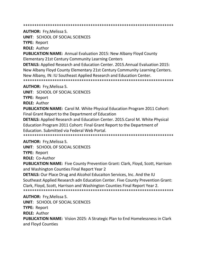\*\*\*\*\*\*\*\*\*\*\*\*\*\*\*\*\*\*\*\*\*\*\*\*\*\*\*\*\*\*\*\*\*\*\*\*\*\*\*\*\*\*\*\*\*\*\*\*\*\*\*\*\*\*\*\*\*\*\*\*\*\*\*\*\*\*\*

**AUTHOR:** Fry,Melissa S.

**UNIT**: SCHOOL OF SOCIAL SCIENCES

**TYPE:** Report

**ROLE:** Author

**PUBLICATION NAME:** Annual Evaluation 2015: New Albany Floyd County Elementary 21st Century Community Learning Centers

**DETAILS:** Applied Research and Education Center. 2015.Annual Evaluation 2015: New Albany Floyd County Elementary 21st Century Community Learning Centers. New Albany, IN: IU Southeast Applied Research and Education Center. \*\*\*\*\*\*\*\*\*\*\*\*\*\*\*\*\*\*\*\*\*\*\*\*\*\*\*\*\*\*\*\*\*\*\*\*\*\*\*\*\*\*\*\*\*\*\*\*\*\*\*\*\*\*\*\*\*\*\*\*\*\*\*\*\*\*\*

**AUTHOR:** Fry,Melissa S.

**UNIT**: SCHOOL OF SOCIAL SCIENCES

**TYPE:** Report

**ROLE:** Author

**PUBLICATION NAME:** Carol M. White Physical Education Program 2011 Cohort: Final Grant Report to the Department of Education

**DETAILS:** Applied Research and Education Center. 2015.Carol M. White Physical Education Program 2011 Cohort: Final Grant Report to the Department of Education. Submitted via Federal Web Portal.

\*\*\*\*\*\*\*\*\*\*\*\*\*\*\*\*\*\*\*\*\*\*\*\*\*\*\*\*\*\*\*\*\*\*\*\*\*\*\*\*\*\*\*\*\*\*\*\*\*\*\*\*\*\*\*\*\*\*\*\*\*\*\*\*\*\*\*

**AUTHOR:** Fry,Melissa S.

**UNIT**: SCHOOL OF SOCIAL SCIENCES

**TYPE:** Report

**ROLE:** Co-Author

**PUBLICATION NAME:** Five County Prevention Grant: Clark, Floyd, Scott, Harrison and Washington Counties Final Report Year 2

**DETAILS:** Our Place Drug and Alcohol Educaiton Services, Inc. And the IU Southeast Applied Research adn Education Center. Five County Prevention Grant: Clark, Floyd, Scott, Harrison and Washington Counties Final Report Year 2. \*\*\*\*\*\*\*\*\*\*\*\*\*\*\*\*\*\*\*\*\*\*\*\*\*\*\*\*\*\*\*\*\*\*\*\*\*\*\*\*\*\*\*\*\*\*\*\*\*\*\*\*\*\*\*\*\*\*\*\*\*\*\*\*\*\*\*

**AUTHOR:** Fry,Melissa S. **UNIT**: SCHOOL OF SOCIAL SCIENCES **TYPE:** Report **ROLE:** Author **PUBLICATION NAME:** Vision 2025: A Strategic Plan to End Homelessness in Clark and Floyd Counties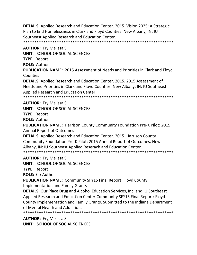**DETAILS:** Applied Research and Education Center. 2015. Vision 2025: A Strategic Plan to End Homelessness in Clark and Floyd Counties. New Albany, IN: IU Southeast Applied Research and Education Center. \*\*\*\*\*\*\*\*\*\*\*\*\*\*\*\*\*\*\*\*\*\*\*\*\*\*\*\*\*\*\*\*\*\*\*\*\*\*\*\*\*\*\*\*\*\*\*\*\*\*\*\*\*\*\*\*\*\*\*\*\*\*\*\*\*\*\*

**AUTHOR:** Fry,Melissa S.

**UNIT**: SCHOOL OF SOCIAL SCIENCES

**TYPE:** Report

**ROLE:** Author

**PUBLICATION NAME:** 2015 Assessment of Needs and Priorities in Clark and Floyd **Counties** 

**DETAILS:** Applied Research and Education Center. 2015. 2015 Assessment of Needs and Priorities in Clark and Floyd Counties. New Albany, IN: IU Southeast Applied Research and Education Center.

\*\*\*\*\*\*\*\*\*\*\*\*\*\*\*\*\*\*\*\*\*\*\*\*\*\*\*\*\*\*\*\*\*\*\*\*\*\*\*\*\*\*\*\*\*\*\*\*\*\*\*\*\*\*\*\*\*\*\*\*\*\*\*\*\*\*\*

# **AUTHOR:** Fry,Melissa S.

**UNIT**: SCHOOL OF SOCIAL SCIENCES

**TYPE:** Report

**ROLE:** Author

**PUBLICATION NAME:** Harrison County Community Foundation Pre-K Pilot: 2015 Annual Report of Outcomes

**DETAILS:** Applied Research and Education Center. 2015. Harrison County Community Foundation Pre-K Pilot: 2015 Annual Report of Outcomes. New Albany, IN: IU Southeast Applied Reserach and Education Center. \*\*\*\*\*\*\*\*\*\*\*\*\*\*\*\*\*\*\*\*\*\*\*\*\*\*\*\*\*\*\*\*\*\*\*\*\*\*\*\*\*\*\*\*\*\*\*\*\*\*\*\*\*\*\*\*\*\*\*\*\*\*\*\*\*\*\*

**AUTHOR:** Fry,Melissa S.

**UNIT**: SCHOOL OF SOCIAL SCIENCES

**TYPE:** Report

**ROLE:** Co-Author

**PUBLICATION NAME:** Community SFY15 Final Report: Floyd County

Implementation and Family Grants

**DETAILS:** Our Place Drug and Alcohol Education Services, Inc. and IU Southeast Applied Research and Education Center.Community SFY15 Final Report: Floyd County Implementation and Family Grants. Submitted to the Indiana Department of Mental Health and Addiction.

\*\*\*\*\*\*\*\*\*\*\*\*\*\*\*\*\*\*\*\*\*\*\*\*\*\*\*\*\*\*\*\*\*\*\*\*\*\*\*\*\*\*\*\*\*\*\*\*\*\*\*\*\*\*\*\*\*\*\*\*\*\*\*\*\*\*\*

**AUTHOR:** Fry,Melissa S.

**UNIT**: SCHOOL OF SOCIAL SCIENCES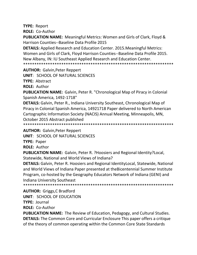**TYPE:** Report **ROLE:** Co-Author

**PUBLICATION NAME:** Meaningful Metrics: Women and Girls of Clark, Floyd & Harrison Counties--Baseline Data Profile 2015

**DETAILS:** Applied Research and Education Center. 2015.Meaningful Metrics: Women and Girls of Clark, Floyd Harrison Counties--Baseline Data Profile 2015. New Albany, IN: IU Southeast Applied Research and Education Center. \*\*\*\*\*\*\*\*\*\*\*\*\*\*\*\*\*\*\*\*\*\*\*\*\*\*\*\*\*\*\*\*\*\*\*\*\*\*\*\*\*\*\*\*\*\*\*\*\*\*\*\*\*\*\*\*\*\*\*\*\*\*\*\*\*\*\*

**AUTHOR:** Galvin,Peter Reppert

**UNIT**: SCHOOL OF NATURAL SCIENCES

**TYPE:** Abstract

**ROLE:** Author

**PUBLICATION NAME:** Galvin, Peter R. "Chronological Map of Piracy in Colonial Spanish America, 1492-1718"

**DETAILS:** Galvin, Peter R., Indiana University Southeast, Chronological Map of Piracy in Colonial Spanish America, 14921718 Paper delivered to North American Cartographic Information Society (NACIS) Annual Meeting, Minneapolis, MN, October 2015 Abstract published

\*\*\*\*\*\*\*\*\*\*\*\*\*\*\*\*\*\*\*\*\*\*\*\*\*\*\*\*\*\*\*\*\*\*\*\*\*\*\*\*\*\*\*\*\*\*\*\*\*\*\*\*\*\*\*\*\*\*\*\*\*\*\*\*\*\*\*

**AUTHOR:** Galvin,Peter Reppert

**UNIT**: SCHOOL OF NATURAL SCIENCES

**TYPE:** Paper

**ROLE:** Author

**PUBLICATION NAME:** Galvin, Peter R. ?Hoosiers and Regional Identity?Local, Statewide, National and World Views of Indiana?

**DETAILS:** Galvin, Peter R. Hoosiers and Regional IdentityLocal, Statewide, National and World Views of Indiana Paper presented at theBicentennial Summer Institute Program, co-hosted by the Geography Educators Network of Indiana (GENI) and Indiana University Southeast

\*\*\*\*\*\*\*\*\*\*\*\*\*\*\*\*\*\*\*\*\*\*\*\*\*\*\*\*\*\*\*\*\*\*\*\*\*\*\*\*\*\*\*\*\*\*\*\*\*\*\*\*\*\*\*\*\*\*\*\*\*\*\*\*\*\*\*

**AUTHOR:** Griggs,C Bradford **UNIT**: SCHOOL OF EDUCATION

**TYPE:** Journal

**ROLE:** Co-Author

**PUBLICATION NAME:** The Review of Education, Pedagogy, and Cultural Studies. **DETAILS:** The Common Core and Curricular Enclosure This paper offers a critique of the theory of common operating within the Common Core State Standards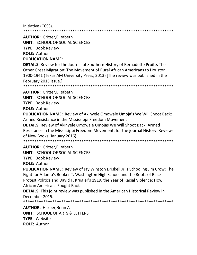Initiative (CCSS).

\*\*\*\*\*\*\*\*\*\*\*\*\*\*\*\*\*\*\*\*\*\*\*\*\*\*\*\*\*\*\*\*\*\*\*\*\*\*\*\*\*\*\*\*\*\*\*\*\*\*\*\*\*\*\*\*\*\*\*\*\*\*\*\*\*\*\*

**AUTHOR:** Gritter,Elizabeth

**UNIT**: SCHOOL OF SOCIAL SCIENCES

**TYPE:** Book Review

**ROLE:** Author

### **PUBLICATION NAME:**

**DETAILS:** Review for the Journal of Southern History of Bernadette Pruitts The Other Great Migration: The Movement of Rural African Americans to Houston, 1900-1941 (Texas AM University Press, 2013) [The review was published in the February 2015 issue.]

\*\*\*\*\*\*\*\*\*\*\*\*\*\*\*\*\*\*\*\*\*\*\*\*\*\*\*\*\*\*\*\*\*\*\*\*\*\*\*\*\*\*\*\*\*\*\*\*\*\*\*\*\*\*\*\*\*\*\*\*\*\*\*\*\*\*\*

**AUTHOR:** Gritter,Elizabeth

**UNIT**: SCHOOL OF SOCIAL SCIENCES

**TYPE:** Book Review

**ROLE:** Author

**PUBLICATION NAME:** Review of Akinyele Omowale Umoja's We Will Shoot Back: Armed Resistance in the Mississippi Freedom Movement

**DETAILS:** Review of Akinyele Omowale Umojas We Will Shoot Back: Armed Resistance in the Mississippi Freedom Movement, for the journal History: Reviews of New Books (January 2016)

\*\*\*\*\*\*\*\*\*\*\*\*\*\*\*\*\*\*\*\*\*\*\*\*\*\*\*\*\*\*\*\*\*\*\*\*\*\*\*\*\*\*\*\*\*\*\*\*\*\*\*\*\*\*\*\*\*\*\*\*\*\*\*\*\*\*\*

**AUTHOR:** Gritter,Elizabeth

**UNIT**: SCHOOL OF SOCIAL SCIENCES

**TYPE:** Book Review

**ROLE:** Author

**PUBLICATION NAME:** Review of Jay Winston Driskell Jr.'s Schooling Jim Crow: The Fight for Atlanta's Booker T. Washington High School and the Roots of Black Protest Politics and David F. Krugler's 1919, the Year of Racial Violence: How African Americans Fought Back

**DETAILS:** This joint review was published in the American Historical Review in December 2015.

\*\*\*\*\*\*\*\*\*\*\*\*\*\*\*\*\*\*\*\*\*\*\*\*\*\*\*\*\*\*\*\*\*\*\*\*\*\*\*\*\*\*\*\*\*\*\*\*\*\*\*\*\*\*\*\*\*\*\*\*\*\*\*\*\*\*\*

**AUTHOR:** Harper,Brian A **UNIT**: SCHOOL OF ARTS & LETTERS **TYPE:** Website **ROLE:** Author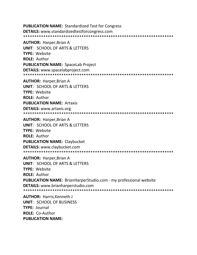**PUBLICATION NAME: Standardized Test for Congress DETAILS:** www.standardizedtestforcongress.com 

**AUTHOR: Harper, Brian A UNIT: SCHOOL OF ARTS & LETTERS TYPE: Website ROLE: Author PUBLICATION NAME: SpaceLab Project DETAILS:** www.spacelabproject.com 

**AUTHOR: Harper, Brian A UNIT: SCHOOL OF ARTS & LETTERS TYPE: Website ROLE: Author PUBLICATION NAME: Artaxis DETAILS:** www.artaxis.org 

**AUTHOR: Harper, Brian A UNIT: SCHOOL OF ARTS & LETTERS TYPE: Website ROLE: Author PUBLICATION NAME: Claybucket DETAILS: www.claybucket.com** 

**AUTHOR: Harper, Brian A** UNIT: SCHOOL OF ARTS & LETTERS TYPE: Website **ROLE: Author PUBLICATION NAME:** BrianHarperStudio.com - my professional website **DETAILS:** www.brianharperstudio.com 

**AUTHOR: Harris, Kenneth J UNIT: SCHOOL OF BUSINESS TYPE: Journal ROLE: Co-Author** PUBLICATION NAME: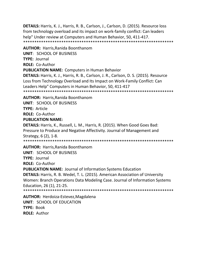**DETAILS:** Harris, K. J., Harris, R. B., Carlson, J., Carlson, D. (2015). Resource loss from technology overload and its impact on work-family conflict: Can leaders help" Under review at Computers and Human Behavior, 50, 411-417. \*\*\*\*\*\*\*\*\*\*\*\*\*\*\*\*\*\*\*\*\*\*\*\*\*\*\*\*\*\*\*\*\*\*\*\*\*\*\*\*\*\*\*\*\*\*\*\*\*\*\*\*\*\*\*\*\*\*\*\*\*\*\*\*\*\*\*

**AUTHOR:** Harris,Ranida Boonthanom **UNIT**: SCHOOL OF BUSINESS **TYPE:** Journal **ROLE:** Co-Author **PUBLICATION NAME:** Computers in Human Behavior **DETAILS:** Harris, K. J., Harris, R. B., Carlson, J. R., Carlson, D. S. (2015). Resource Loss from Technology Overload and Its Impact on Work-Family Conflict: Can Leaders Help" Computers in Human Behavior, 50, 411-417 \*\*\*\*\*\*\*\*\*\*\*\*\*\*\*\*\*\*\*\*\*\*\*\*\*\*\*\*\*\*\*\*\*\*\*\*\*\*\*\*\*\*\*\*\*\*\*\*\*\*\*\*\*\*\*\*\*\*\*\*\*\*\*\*\*\*\*

**AUTHOR:** Harris,Ranida Boonthanom **UNIT**: SCHOOL OF BUSINESS

**TYPE:** Article

**ROLE:** Co-Author

## **PUBLICATION NAME:**

**DETAILS:** Harris, K., Russell, L. M., Harris, R. (2015). When Good Goes Bad: Pressure to Produce and Negative Affectivity. Journal of Management and Strategy, 6 (2), 1-8.

\*\*\*\*\*\*\*\*\*\*\*\*\*\*\*\*\*\*\*\*\*\*\*\*\*\*\*\*\*\*\*\*\*\*\*\*\*\*\*\*\*\*\*\*\*\*\*\*\*\*\*\*\*\*\*\*\*\*\*\*\*\*\*\*\*\*\*

**AUTHOR:** Harris,Ranida Boonthanom **UNIT**: SCHOOL OF BUSINESS **TYPE:** Journal

**ROLE:** Co-Author

**PUBLICATION NAME:** Journal of Information Systems Education

**DETAILS:** Harris, R. B. Wedel, T. L. (2015). American Association of University Women: Branch Operations Data Modeling Case. Journal of Information Systems Education, 26 (1), 21-25.

\*\*\*\*\*\*\*\*\*\*\*\*\*\*\*\*\*\*\*\*\*\*\*\*\*\*\*\*\*\*\*\*\*\*\*\*\*\*\*\*\*\*\*\*\*\*\*\*\*\*\*\*\*\*\*\*\*\*\*\*\*\*\*\*\*\*\*

**AUTHOR:** Herdoiza-Estevez,Magdalena **UNIT**: SCHOOL OF EDUCATION **TYPE:** Book **ROLE:** Author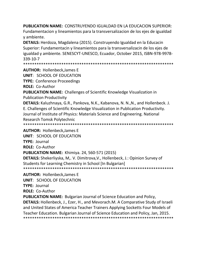**PUBLICATION NAME:** CONSTRUYENDO IGUALDAD EN LA EDUCACION SUPERIOR: Fundamentacion y lineamientos para la transversalizacion de los ejes de igualdad y ambiente.

**DETAILS:** Herdoza, Magdalena (2015). Construyendo Igualdad en la Educacin Superior: Fundamentacin y lineamientos para la transversalizacin de los ejes de igualdad y ambiente. SENESCYT-UNESCO, Ecuador, October 2015, ISBN-978-9978- 339-10-7

\*\*\*\*\*\*\*\*\*\*\*\*\*\*\*\*\*\*\*\*\*\*\*\*\*\*\*\*\*\*\*\*\*\*\*\*\*\*\*\*\*\*\*\*\*\*\*\*\*\*\*\*\*\*\*\*\*\*\*\*\*\*\*\*\*\*\*

**AUTHOR:** Hollenbeck,James E

**UNIT**: SCHOOL OF EDUCATION

**TYPE:** Conference Proceedings

**ROLE:** Co-Author

**PUBLICATION NAME:** Challenges of Scientific Knowledge Visualization in Publication Productivity

**DETAILS:** Kaluzhnaya, G.R., Pankova, N.K., Kabanova, N. N.,N., and Hollenbeck. J. E. Challenges of Scientific Knowledge Visualization in Publication Productivity. Journal of Institute of Physics: Materials Science and Engineering. National Research Tomsk Polytechnic

\*\*\*\*\*\*\*\*\*\*\*\*\*\*\*\*\*\*\*\*\*\*\*\*\*\*\*\*\*\*\*\*\*\*\*\*\*\*\*\*\*\*\*\*\*\*\*\*\*\*\*\*\*\*\*\*\*\*\*\*\*\*\*\*\*\*\*

**AUTHOR:** Hollenbeck,James E

**UNIT**: SCHOOL OF EDUCATION

**TYPE:** Journal

**ROLE:** Co-Author

**PUBLICATION NAME:** Khimiya. 24, 560-571 (2015)

**DETAILS:** Shekerliyska, M,. V. Dimitrova,V., Hollenbeck, J.: Opinion Survey of Students for Learning Chemistry in School [In Bulgarian] \*\*\*\*\*\*\*\*\*\*\*\*\*\*\*\*\*\*\*\*\*\*\*\*\*\*\*\*\*\*\*\*\*\*\*\*\*\*\*\*\*\*\*\*\*\*\*\*\*\*\*\*\*\*\*\*\*\*\*\*\*\*\*\*\*\*\*

**AUTHOR:** Hollenbeck,James E

**UNIT**: SCHOOL OF EDUCATION

**TYPE:** Journal

**ROLE:** Co-Author

**PUBLICATION NAME:** Bulgarian Journal of Science Education and Policy, **DETAILS:** Hollenbeck, J., Ezer, H., and Mevorach.M. A Comparative Study of Israeli and United States of America Teacher Trainers Applying Socketts Four Models of Teacher Education. Bulgarian Journal of Science Education and Policy, Jan, 2015. \*\*\*\*\*\*\*\*\*\*\*\*\*\*\*\*\*\*\*\*\*\*\*\*\*\*\*\*\*\*\*\*\*\*\*\*\*\*\*\*\*\*\*\*\*\*\*\*\*\*\*\*\*\*\*\*\*\*\*\*\*\*\*\*\*\*\*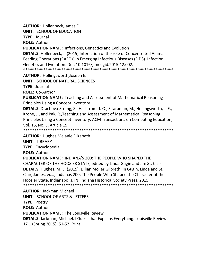**AUTHOR:** Hollenbeck,James E

**UNIT**: SCHOOL OF EDUCATION

**TYPE:** Journal

**ROLE:** Author

**PUBLICATION NAME:** Infections, Genectics and Evolution

**DETAILS:** Hollenbeck, J. (2015) Interaction of the role of Concentrated Animal Feeding Operations (CAFOs) in Emerging Infectious Diseases (EIDS). Infection, Genetics and Evolution. Doi: 10.1016/j.meegid.2015.12.002. \*\*\*\*\*\*\*\*\*\*\*\*\*\*\*\*\*\*\*\*\*\*\*\*\*\*\*\*\*\*\*\*\*\*\*\*\*\*\*\*\*\*\*\*\*\*\*\*\*\*\*\*\*\*\*\*\*\*\*\*\*\*\*\*\*\*\*

**AUTHOR:** Hollingsworth,Joseph E.

**UNIT**: SCHOOL OF NATURAL SCIENCES

**TYPE:** Journal

**ROLE:** Co-Author

**PUBLICATION NAME:** Teaching and Assessment of Mathematical Reasoning Principles Using a Concept Inventory

**DETAILS:** Drachova-Strang, S., Hallstrom, J. O., Sitaraman, M., Hollingsworth, J. E., Krone, J., and Pak, R.,Teaching and Assessment of Mathematical Reasoning Principles Using a Concept Inventory, ACM Transactions on Computing Education, Vol. 15, No. 3, Article 15

\*\*\*\*\*\*\*\*\*\*\*\*\*\*\*\*\*\*\*\*\*\*\*\*\*\*\*\*\*\*\*\*\*\*\*\*\*\*\*\*\*\*\*\*\*\*\*\*\*\*\*\*\*\*\*\*\*\*\*\*\*\*\*\*\*\*\*

**AUTHOR:** Hughes,Melanie Elizabeth **UNIT**: LIBRARY

**TYPE:** Encyclopedia

**ROLE:** Author

**PUBLICATION NAME:** INDIANA'S 200: THE PEOPLE WHO SHAPED THE CHARACTER OF THE HOOSIER STATE, edited by Linda Gugin and Jim St. Clair **DETAILS:** Hughes, M. E. (2015). Lillian Moller Gilbreth. In Gugin, Linda and St. Clair, James, eds., Indianas 200: The People Who Shaped the Character of the Hoosier State. Indianapolis, IN: Indiana Historical Society Press, 2015. \*\*\*\*\*\*\*\*\*\*\*\*\*\*\*\*\*\*\*\*\*\*\*\*\*\*\*\*\*\*\*\*\*\*\*\*\*\*\*\*\*\*\*\*\*\*\*\*\*\*\*\*\*\*\*\*\*\*\*\*\*\*\*\*\*\*\*

**AUTHOR:** Jackman,Michael **UNIT**: SCHOOL OF ARTS & LETTERS **TYPE:** Poetry **ROLE:** Author **PUBLICATION NAME:** The Louisville Review **DETAILS:** Jackman, Michael. I Guess that Explains Everything. Louisville Review 17.1 (Spring 2015): 51-52. Print.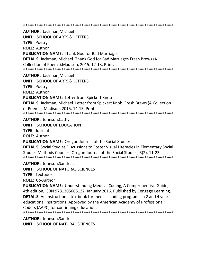\*\*\*\*\*\*\*\*\*\*\*\*\*\*\*\*\*\*\*\*\*\*\*\*\*\*\*\*\*\*\*\*\*\*\*\*\*\*\*\*\*\*\*\*\*\*\*\*\*\*\*\*\*\*\*\*\*\*\*\*\*\*\*\*\*\*\*

**AUTHOR:** Jackman,Michael **UNIT**: SCHOOL OF ARTS & LETTERS **TYPE:** Poetry **ROLE:** Author **PUBLICATION NAME:** Thank God for Bad Marriages. **DETAILS:** Jackman, Michael. Thank God for Bad Marriages.Fresh Brews (A Collection of Poems).Madison, 2015. 12-13. Print. \*\*\*\*\*\*\*\*\*\*\*\*\*\*\*\*\*\*\*\*\*\*\*\*\*\*\*\*\*\*\*\*\*\*\*\*\*\*\*\*\*\*\*\*\*\*\*\*\*\*\*\*\*\*\*\*\*\*\*\*\*\*\*\*\*\*\* **AUTHOR:** Jackman,Michael **UNIT**: SCHOOL OF ARTS & LETTERS **TYPE:** Poetry **ROLE:** Author **PUBLICATION NAME:** Letter from Spickert Knob **DETAILS:** Jackman, Michael. Letter from Spickert Knob. Fresh Brews (A Collection of Poems). Madison, 2015. 14-15. Print. \*\*\*\*\*\*\*\*\*\*\*\*\*\*\*\*\*\*\*\*\*\*\*\*\*\*\*\*\*\*\*\*\*\*\*\*\*\*\*\*\*\*\*\*\*\*\*\*\*\*\*\*\*\*\*\*\*\*\*\*\*\*\*\*\*\*\*

**AUTHOR:** Johnson,Cathy

**UNIT**: SCHOOL OF EDUCATION

**TYPE:** Journal

**ROLE:** Author

**PUBLICATION NAME:** Oregon Journal of the Social Studies

**DETAILS:** Social Studies Discussions to Foster Visual Literacies in Elementary Social Studies Methods Courses, Oregon Journal of the Social Studies, 3(2), 11-23. \*\*\*\*\*\*\*\*\*\*\*\*\*\*\*\*\*\*\*\*\*\*\*\*\*\*\*\*\*\*\*\*\*\*\*\*\*\*\*\*\*\*\*\*\*\*\*\*\*\*\*\*\*\*\*\*\*\*\*\*\*\*\*\*\*\*\*

**AUTHOR:** Johnson,Sandra L

**UNIT**: SCHOOL OF NATURAL SCIENCES

**TYPE:** Textbook

**ROLE:** Co-Author

**PUBLICATION NAME:** Understanding Medical Coding, A Comprehensive Guide, 4th edition, ISBN 9781305666122, January 2016. Published by Cengage Learning. **DETAILS:** An instructional textbook for medical coding programs in 2 and 4 year educational institutions. Approved by the American Academy of Professional Coders (AAPC) for continuing education.

\*\*\*\*\*\*\*\*\*\*\*\*\*\*\*\*\*\*\*\*\*\*\*\*\*\*\*\*\*\*\*\*\*\*\*\*\*\*\*\*\*\*\*\*\*\*\*\*\*\*\*\*\*\*\*\*\*\*\*\*\*\*\*\*\*\*\*

**AUTHOR:** Johnson,Sandra L **UNIT**: SCHOOL OF NATURAL SCIENCES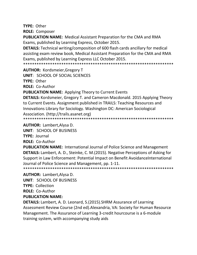**TYPE: Other ROLE: Composer** 

**PUBLICATION NAME:** Medical Assistant Preparation for the CMA and RMA Exams, published by Learning Express, October 2015.

**DETAILS:** Technical writing/composition of 600 flash cards ancillary for medical assisting exam review book, Medical Assistant Preparation for the CMA and RMA Exams, published by Learning Express LLC October 2015.

**AUTHOR: Kordsmeier, Gregory T** 

UNIT: SCHOOL OF SOCIAL SCIENCES

**TYPE: Other** 

**ROLE: Co-Author** 

**PUBLICATION NAME:** Applying Theory to Current Events

**DETAILS:** Kordsmeier, Gregory T. and Cameron Macdonald. 2015 Applying Theory to Current Events. Assignment published in TRAILS: Teaching Resources and Innovations Library for Sociology. Washington DC: American Sociological Association. (http://trails.asanet.org) 

**AUTHOR: Lambert, Alysa D.** 

**UNIT: SCHOOL OF BUSINESS** 

**TYPE: Journal** 

**ROLE: Co-Author** 

**PUBLICATION NAME:** International Journal of Police Science and Management **DETAILS:** Lambert, A. D., Steinke, C. M. (2015). Negative Perceptions of Asking for Support in Law Enforcement: Potential Impact on Benefit Avoidance International Journal of Police Science and Management, pp. 1-11. 

**AUTHOR: Lambert, Alysa D. UNIT: SCHOOL OF BUSINESS TYPE: Collection ROLE: Co-Author PUBLICATION NAME:** 

**DETAILS:** Lambert, A. D. Leonard, S. (2015). SHRM Assurance of Learning Assessment Review Course (2nd ed). Alexandria, VA: Society for Human Resource Management. The Assurance of Learning 3-credit hourcourse is a 6-module training system, with accompanying study aids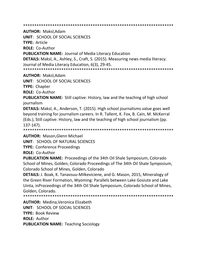\*\*\*\*\*\*\*\*\*\*\*\*\*\*\*\*\*\*\*\*\*\*\*\*\*\*\*\*\*\*\*\*\*\*\*\*\*\*\*\*\*\*\*\*\*\*\*\*\*\*\*\*\*\*\*\*\*\*\*\*\*\*\*\*\*\*\*

**AUTHOR:** Maksl,Adam

**UNIT**: SCHOOL OF SOCIAL SCIENCES

**TYPE:** Article

**ROLE:** Co-Author

**PUBLICATION NAME:** Journal of Media Literacy Education

**DETAILS:** Maksl, A., Ashley, S., Craft, S. (2015). Measuring news media literacy. Journal of Media Literacy Education, 6(3), 29-45.

\*\*\*\*\*\*\*\*\*\*\*\*\*\*\*\*\*\*\*\*\*\*\*\*\*\*\*\*\*\*\*\*\*\*\*\*\*\*\*\*\*\*\*\*\*\*\*\*\*\*\*\*\*\*\*\*\*\*\*\*\*\*\*\*\*\*\*

**AUTHOR:** Maksl,Adam

**UNIT**: SCHOOL OF SOCIAL SCIENCES

**TYPE:** Chapter

**ROLE:** Co-Author

**PUBLICATION NAME:** Still captive: History, law and the teaching of high school journalism

**DETAILS:** Maksl, A., Anderson, T. (2015). High school journalisms value goes well beyond training for journalism careers. In R. Tallent, K. Fox, B. Cain, M. McKerral (Eds.), Still captive: History, law and the teaching of high school journalism (pp. 137-147).

\*\*\*\*\*\*\*\*\*\*\*\*\*\*\*\*\*\*\*\*\*\*\*\*\*\*\*\*\*\*\*\*\*\*\*\*\*\*\*\*\*\*\*\*\*\*\*\*\*\*\*\*\*\*\*\*\*\*\*\*\*\*\*\*\*\*\*

**AUTHOR:** Mason,Glenn Michael

**UNIT**: SCHOOL OF NATURAL SCIENCES

**TYPE:** Conference Proceedings

**ROLE:** Co-Author

**PUBLICATION NAME:** Proceedings of the 34th Oil Shale Symposium, Colorado School of Mines, Golden, Colorado Proceedings of The 34th Oil Shale Symposium, Colorado School of Mines, Golden, Colorado

**DETAILS:** J. Boak, K. Tanavsuu-Milkeviciene, and G. Mason, 2015, Mineralogy of the Green River Formation, Wyoming: Parallels between Lake Gosiute and Lake Uinta, inProceedings of the 34th Oil Shale Symposium, Colorado School of Mines, Golden, Colorado.

\*\*\*\*\*\*\*\*\*\*\*\*\*\*\*\*\*\*\*\*\*\*\*\*\*\*\*\*\*\*\*\*\*\*\*\*\*\*\*\*\*\*\*\*\*\*\*\*\*\*\*\*\*\*\*\*\*\*\*\*\*\*\*\*\*\*\*

**AUTHOR:** Medina,Veronica Elizabeth **UNIT**: SCHOOL OF SOCIAL SCIENCES **TYPE:** Book Review **ROLE:** Author **PUBLICATION NAME:** Teaching Sociology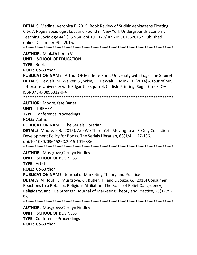**DETAILS:** Medina, Veronica E. 2015. Book Review of Sudhir Venkateshs Floating City: A Rogue Sociologist Lost and Found in New York Undergrounds Economy. Teaching Sociology 44(1): 52-54. doi 10.1177/0092055X15620157 Published online December 9th, 2015. \*\*\*\*\*\*\*\*\*\*\*\*\*\*\*\*\*\*\*\*\*\*\*\*\*\*\*\*\*\*\*\*\*\*\*\*\*\*\*\*\*\*\*\*\*\*\*\*\*\*\*\*\*\*\*\*\*\*\*\*\*\*\*\*\*\*\*

**AUTHOR:** Mink,Deborah V **UNIT**: SCHOOL OF EDUCATION **TYPE:** Book **ROLE:** Co-Author **PUBLICATION NAME:** A Tour OF Mr. Jefferson's University with Edgar the Squirel **DETAILS:** DeWalt, M. Walker, S., Wise, E., DeWalt, C Mink, D. (2014) A tour of Mr. Jeffersons University with Edgar the squirrel, Carlisle Printing: Sugar Creek, OH. ISBN978-0-9896312-0-4

\*\*\*\*\*\*\*\*\*\*\*\*\*\*\*\*\*\*\*\*\*\*\*\*\*\*\*\*\*\*\*\*\*\*\*\*\*\*\*\*\*\*\*\*\*\*\*\*\*\*\*\*\*\*\*\*\*\*\*\*\*\*\*\*\*\*\*

**AUTHOR:** Moore,Kate Banet **UNIT**: LIBRARY **TYPE:** Conference Proceedings **ROLE:** Author **PUBLICATION NAME:** The Serials Librarian **DETAILS:** Moore, K.B. (2015). Are We There Yet" Moving to an E-Only Collection Development Policy for Books. The Serials Librarian, 68(1/4), 127-136. doi:10.1080/0361526X.2015.1016836 \*\*\*\*\*\*\*\*\*\*\*\*\*\*\*\*\*\*\*\*\*\*\*\*\*\*\*\*\*\*\*\*\*\*\*\*\*\*\*\*\*\*\*\*\*\*\*\*\*\*\*\*\*\*\*\*\*\*\*\*\*\*\*\*\*\*\*

**AUTHOR:** Musgrove,Carolyn Findley **UNIT**: SCHOOL OF BUSINESS **TYPE:** Article **ROLE:** Co-Author

**PUBLICATION NAME:** Journal of Marketing Theory and Practice **DETAILS:** Al Houti, S, Musgrove, C., Butler, T., and DSouza, G. (2015) Consumer Reactions to a Retailers Religious Affiliation: The Roles of Belief Congruency, Religiosity, and Cue Strength, Journal of Marketing Theory and Practice, 23(1) 75- 93.

\*\*\*\*\*\*\*\*\*\*\*\*\*\*\*\*\*\*\*\*\*\*\*\*\*\*\*\*\*\*\*\*\*\*\*\*\*\*\*\*\*\*\*\*\*\*\*\*\*\*\*\*\*\*\*\*\*\*\*\*\*\*\*\*\*\*\*

**AUTHOR:** Musgrove,Carolyn Findley **UNIT**: SCHOOL OF BUSINESS **TYPE:** Conference Proceedings **ROLE:** Co-Author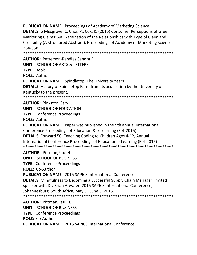**PUBLICATION NAME: Proceedings of Academy of Marketing Science DETAILS:** o Musgrove, C. Choi, P., Cox, K. (2015) Consumer Perceptions of Green Marketing Claims: An Examination of the Relationships with Type of Claim and Credibility (A Structured Abstract), Proceedings of Academy of Marketing Science, 354-358.

**AUTHOR: Patterson-Randles.Sandra R.** UNIT: SCHOOL OF ARTS & LETTERS TYPF: Book **ROLE: Author PUBLICATION NAME:** Spindletop: The University Years **DETAILS:** History of Spindletop Farm from its acquisition by the University of Kentucky to the present. 

**AUTHOR: Pinkston, Gary L. UNIT: SCHOOL OF EDUCATION TYPE: Conference Proceedings ROLE: Author PUBLICATION NAME:** Paper was published in the 5th annual International Conference Proceedings of Education & e-Learning (EeL 2015) **DETAILS:** Forward 50: Teaching Coding to Children Ages 4-12, Annual International Conference Proceedings of Education e-Learning (EeL 2015) 

**AUTHOR: Pittman.Paul H. UNIT: SCHOOL OF BUSINESS TYPE: Conference Proceedings** ROLE: Co-Author **PUBLICATION NAME: 2015 SAPICS International Conference DETAILS:** Mindfulness to Becoming a Successful Supply Chain Manager, invited speaker with Dr. Brian Atwater, 2015 SAPICS International Conference, Johannesburg, South Africa, May 31 June 3, 2015. 

**AUTHOR: Pittman, Paul H. UNIT: SCHOOL OF BUSINESS TYPE: Conference Proceedings** ROLE: Co-Author **PUBLICATION NAME: 2015 SAPICS International Conference**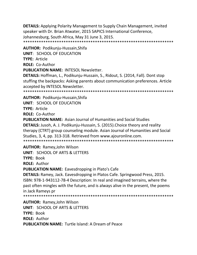**DETAILS:** Applying Polarity Management to Supply Chain Management, invited speaker with Dr. Brian Atwater, 2015 SAPICS International Conference, Johannesburg, South Africa, May 31 June 3, 2015. \*\*\*\*\*\*\*\*\*\*\*\*\*\*\*\*\*\*\*\*\*\*\*\*\*\*\*\*\*\*\*\*\*\*\*\*\*\*\*\*\*\*\*\*\*\*\*\*\*\*\*\*\*\*\*\*\*\*\*\*\*\*\*\*\*\*\*

**AUTHOR:** Podikunju-Hussain,Shifa **UNIT**: SCHOOL OF EDUCATION **TYPE:** Article **ROLE:** Co-Author **PUBLICATION NAME:** INTESOL Newsletter. **DETAILS:** Hoffman, L., Podikunju-Hussain, S., Ridout, S. (2014, Fall). Dont stop stuffing the backpacks: Asking parents about communication preferences. Article

accepted by INTESOL Newsletter. \*\*\*\*\*\*\*\*\*\*\*\*\*\*\*\*\*\*\*\*\*\*\*\*\*\*\*\*\*\*\*\*\*\*\*\*\*\*

**AUTHOR:** Podikunju-Hussain,Shifa **UNIT**: SCHOOL OF EDUCATION **TYPE:** Article

**ROLE:** Co-Author

**PUBLICATION NAME:** Asian Journal of Humanities and Social Studies **DETAILS:** Jusoh, A. J. Podikunju-Hussain, S. (2015).Choice theory and reality therapy (CTRT) group counseling module. Asian Journal of Humanities and Social Studies, 3, 4, pp. 313-318. Retrieved from www.ajouronline.com. \*\*\*\*\*\*\*\*\*\*\*\*\*\*\*\*\*\*\*\*\*\*\*\*\*\*\*\*\*\*\*\*\*\*\*\*\*\*\*\*\*\*\*\*\*\*\*\*\*\*\*\*\*\*\*\*\*\*\*\*\*\*\*\*\*\*\*

**AUTHOR:** Ramey,John Wilson **UNIT**: SCHOOL OF ARTS & LETTERS

**TYPE:** Book

**ROLE:** Author

**PUBLICATION NAME:** Eavesdropping in Plato's Cafe

**DETAILS:** Ramey, Jack. Eavesdropping in Platos Cafe. Springwood Press, 2015. ISBN: 978-1-943112-78-4 Description: In real and imagined terrains, where the past often mingles with the future, and is always alive in the present, the poems in Jack Rameys pr

\*\*\*\*\*\*\*\*\*\*\*\*\*\*\*\*\*\*\*\*\*\*\*\*\*\*\*\*\*\*\*\*\*\*\*\*\*\*\*\*\*\*\*\*\*\*\*\*\*\*\*\*\*\*\*\*\*\*\*\*\*\*\*\*\*\*\*

**AUTHOR:** Ramey,John Wilson **UNIT**: SCHOOL OF ARTS & LETTERS **TYPE:** Book **ROLE:** Author **PUBLICATION NAME:** Turtle Island: A Dream of Peace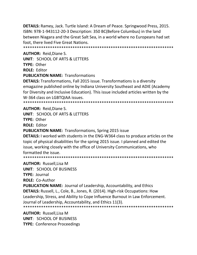**DETAILS:** Ramey, Jack. Turtle Island: A Dream of Peace. Springwood Press, 2015. ISBN: 978-1-943112-20-3 Description: 350 BC(Before Columbus) in the land between Niagara and the Great Salt Sea, in a world where no Europeans had set foot, there lived Five Great Nations.

**AUTHOR: Reid, Diane S. UNIT: SCHOOL OF ARTS & LETTERS** TYPF: Other **ROLE: Editor PUBLICATION NAME: Transformations** 

**DETAILS:** Transformations, Fall 2015 issue. Transformations is a diversity emagazine published online by Indiana University Southeast and ADIE (Academy for Diversity and Inclusive Education). This issue included articles written by the W-364 class on LGBTQIAA issues.

**AUTHOR: Reid, Diane S.** 

UNIT: SCHOOL OF ARTS & LETTERS

**TYPE: Other** 

**ROLE: Editor** 

**PUBLICATION NAME: Transformations, Spring 2015 issue** 

**DETAILS:** I worked with students in the ENG-W364 class to produce articles on the topic of physical disabilities for the spring 2015 issue. I planned and edited the issue, working closely with the office of University Communications, who formatted the issue.

**AUTHOR: Russell, Lisa M** UNIT: SCHOOL OF BUSINESS

**TYPE: Journal** 

**ROLE: Co-Author** 

**PUBLICATION NAME:** Journal of Leadership, Accountability, and Ethics **DETAILS:** Russell, L., Cole, B., Jones, R. (2014). High-risk Occupations: How Leadership, Stress, and Ability to Cope Influence Burnout in Law Enforcement. Journal of Leadership, Accountability, and Ethics 11(3).

**AUTHOR: Russell, Lisa M UNIT: SCHOOL OF BUSINESS TYPE: Conference Proceedings**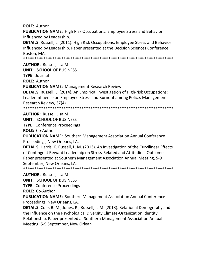**ROLE: Author** 

**PUBLICATION NAME:** High Risk Occupations: Employee Stress and Behavior Influenced by Leadership.

**DETAILS:** Russell, L. (2011). High Risk Occupations: Employee Stress and Behavior Influenced by Leadership. Paper presented at the Decision Sciences Conference, Boston, MA.

**AUTHOR: Russell.Lisa M** 

**UNIT: SCHOOL OF BUSINESS** 

**TYPE: Journal** 

**ROLE: Author** 

**PUBLICATION NAME: Management Research Review** 

**DETAILS:** Russell, L. (2014). An Empirical Investigation of High-risk Occupations: Leader Influence on Employee Stress and Burnout among Police. Management Research Review, 37(4).

**AUTHOR: Russell, Lisa M** 

**UNIT: SCHOOL OF BUSINESS** 

**TYPE: Conference Proceedings** 

**ROLE: Co-Author** 

**PUBLICATION NAME:** Southern Management Association Annual Conference Proceedings, New Orleans, LA.

DETAILS: Harris, K. Russell, L. M. (2013). An Investigation of the Curvilinear Effects of Contingent Reward Leadership on Stress-Related and Attitudinal Outcomes. Paper presented at Southern Management Association Annual Meeting, 5-9 September, New Orleans, LA. 

**AUTHOR: Russell, Lisa M** 

**UNIT: SCHOOL OF BUSINESS** 

**TYPE: Conference Proceedings** 

**ROLE: Co-Author** 

**PUBLICATION NAME:** Southern Management Association Annual Conference Proceedings, New Orleans, LA.

DETAILS: Cole, B. M., Jones, R., Russell, L. M. (2013). Relational Demography and the influence on the Psychological Diversity Climate-Organization Identity Relationship. Paper presented at Southern Management Association Annual Meeting, 5-9 September, New Orlean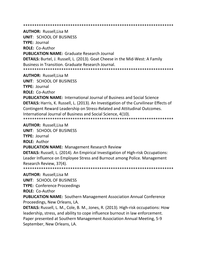**AUTHOR: Russell, Lisa M** 

**UNIT: SCHOOL OF BUSINESS TYPE: Journal ROLE: Co-Author PUBLICATION NAME: Graduate Research Journal DETAILS:** Burtel, J. Russell, L. (2013). Goat Cheese in the Mid-West: A Family Business in Transition. Graduate Research Journal. 

**AUTHOR: Russell, Lisa M** 

**UNIT: SCHOOL OF BUSINESS** 

**TYPE: Journal** 

**ROLE: Co-Author** 

**PUBLICATION NAME:** International Journal of Business and Social Science **DETAILS:** Harris, K. Russell, L. (2013). An Investigation of the Curvilinear Effects of Contingent Reward Leadership on Stress-Related and Attitudinal Outcomes. International Journal of Business and Social Science, 4(10). 

**AUTHOR: Russell, Lisa M** 

**UNIT: SCHOOL OF BUSINESS** 

**TYPE: Journal** 

**ROLE: Author** 

**PUBLICATION NAME: Management Research Review** 

**DETAILS:** Russell, L. (2014). An Empirical Investigation of High-risk Occupations: Leader Influence on Employee Stress and Burnout among Police. Management Research Review, 37(4).

**AUTHOR: Russell, Lisa M** 

**UNIT: SCHOOL OF BUSINESS** 

**TYPE: Conference Proceedings** 

**ROLE: Co-Author** 

**PUBLICATION NAME:** Southern Management Association Annual Conference Proceedings, New Orleans, LA.

**DETAILS:** Russell, L. M., Cole, B. M., Jones, R. (2013). High-risk occupations: How leadership, stress, and ability to cope influence burnout in law enforcement. Paper presented at Southern Management Association Annual Meeting, 5-9 September, New Orleans, LA.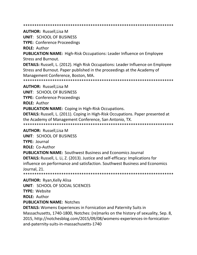**AUTHOR: Russell, Lisa M UNIT: SCHOOL OF BUSINESS TYPE: Conference Proceedings ROLE: Author PUBLICATION NAME:** High-Risk Occupations: Leader Influence on Employee **Stress and Burnout. DETAILS:** Russell, L. (2012). High Risk Occupations: Leader Influence on Employee Stress and Burnout. Paper published in the proceedings at the Academy of Management Conference, Boston, MA. **AUTHOR: Russell, Lisa M UNIT: SCHOOL OF BUSINESS TYPE: Conference Proceedings ROLE: Author PUBLICATION NAME:** Coping in High-Risk Occupations. **DETAILS:** Russell, L. (2011). Coping in High-Risk Occupations. Paper presented at the Academy of Management Conference, San Antonio, TX. **AUTHOR: Russell, Lisa M** UNIT: SCHOOL OF BUSINESS **TYPE: Journal** ROLE: Co-Author **PUBLICATION NAME:** Southwest Business and Economics Journal **DETAILS:** Russell, L. Li, Z. (2013). Justice and self-efficacy: Implications for influence on performance and satisfaction. Southwest Business and Economics Journal, 21. **AUTHOR: Ryan, Kelly Alisa** 

**UNIT: SCHOOL OF SOCIAL SCIENCES** TYPE: Website **ROLE: Author** 

**PUBLICATION NAME: Notches** 

**DETAILS:** Womens Experiences in Fornication and Paternity Suits in Massachusetts, 1740-1800, Notches: (re)marks on the history of sexuality, Sep. 8, 2015, http://notchesblog.com/2015/09/08/womens-experiences-in-fornicationand-paternity-suits-in-massachusetts-1740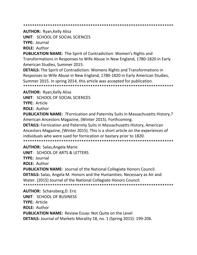**AUTHOR: Ryan, Kelly Alisa UNIT: SCHOOL OF SOCIAL SCIENCES TYPE: Journal** 

**ROLE: Author** 

**PUBLICATION NAME:** The Spirit of Contradiction: Women's Rights and Transformations in Responses to Wife Abuse in New England, 1780-1820 in Early American Studies, Summer 2015.

**DETAILS:** The Spirit of Contradiction: Womens Rights and Transformations in Responses to Wife Abuse in New England, 1780-1820 in Early American Studies, Summer 2015. In spring 2014, this article was accepted for publication. 

**AUTHOR: Ryan, Kelly Alisa** 

**UNIT: SCHOOL OF SOCIAL SCIENCES** 

**TYPE: Article** 

**ROLE: Author** 

**PUBLICATION NAME: ?**Fornication and Paternity Suits in Massachusetts History,? American Ancestors Magazine, (Winter 2015). Forthcoming.

**DETAILS:** Fornication and Paternity Suits in Massachusetts History, American Ancestors Magazine, (Winter 2015). This is a short article on the experiences of individuals who were sued for fornication or bastary prior to 1820.

**AUTHOR: Salas, Angela Marie** 

**UNIT: SCHOOL OF ARTS & LETTERS** 

**TYPE: Journal** 

**ROLE: Author** 

**PUBLICATION NAME: Journal of the National Collegiate Honors Council. DETAILS:** Salas, Angela M. Honors and the Humanities: Necessary as Air and Water. (2015) Journal of the National Collegiate Honors Council. \*\*\*\*\*\*\*\*\*\*\*\*\*\*\*\*\*\*\*\*\*\*\*\*\*\*\*\*\* \*\*\*\*\*\*\*\*\*\*\*\*\*\*\*\*\*\*\*\*\*

**AUTHOR: Schansberg, D. Eric UNIT: SCHOOL OF BUSINESS TYPE: Article ROLE: Author PUBLICATION NAME:** Review Essay: Not Quite on the Level DETAILS: Journal of Markets Morality 18, no. 1 (Spring 2015): 199-206.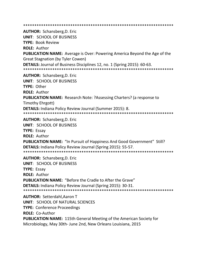**AUTHOR: Schansberg, D. Eric UNIT: SCHOOL OF BUSINESS TYPE: Book Review ROLE: Author PUBLICATION NAME:** Average is Over: Powering America Beyond the Age of the **Great Stagnation (by Tyler Cowen)** DETAILS: Journal of Business Disciplines 12, no. 1 (Spring 2015): 60-63. **AUTHOR: Schansberg, D. Eric UNIT: SCHOOL OF BUSINESS** TYPE: Other **ROLE: Author PUBLICATION NAME:** Research Note: ?Assessing Charters? (a response to Timothy Ehrgott) **DETAILS:** Indiana Policy Review Journal (Summer 2015): 8. **AUTHOR:** Schansberg, D. Eric **UNIT: SCHOOL OF BUSINESS TYPE: Essay ROLE: Author PUBLICATION NAME: "In Pursuit of Happiness And Good Government" Still? DETAILS:** Indiana Policy Review Journal (Spring 2015): 55-57. **AUTHOR: Schansberg, D. Eric** UNIT: SCHOOL OF BUSINESS **TYPE: Essav ROLE: Author PUBLICATION NAME: "Before the Cradle to After the Grave" DETAILS:** Indiana Policy Review Journal (Spring 2015): 30-31. **AUTHOR: Setterdahl, Aaron T UNIT: SCHOOL OF NATURAL SCIENCES TYPE: Conference Proceedings ROLE: Co-Author PUBLICATION NAME: 115th General Meeting of the American Society for** Microbiology, May 30th-June 2nd, New Orleans Louisiana, 2015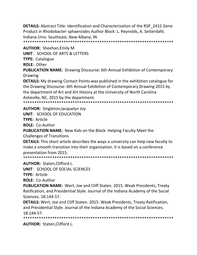**DETAILS:** Abstract Title: Identification and Characterization of the RSP 2415 Gene Product in Rhodobacter sphaeroides Author Block: L. Reynolds, A. Setterdahl; Indiana Univ. Southeast, New Albany, IN 

**AUTHOR: Sheehan, Emily M UNIT: SCHOOL OF ARTS & LETTERS TYPE: Catalogue ROLE: Other** 

**PUBLICATION NAME:** Drawing Discourse: 6th Annual Exhibition of Contemporary Drawing

**DETAILS:** My drawing Contact Points was published in the exhibition catalogue for the Drawing Discourse: 6th Annual Exhibition of Contemporary Drawing 2015 by the department of Art and Art History at the University of North Carolina Asheville, NC. 2015 by the department.

**AUTHOR:** Singleton, Jacquelyn Joy

**UNIT: SCHOOL OF EDUCATION** 

**TYPE: Article** 

**ROLE: Co-Author** 

PUBLICATION NAME: New Kids on the Block: Helping Faculty Meet the **Challenges of Transitions** 

**DETAILS:** This short article describes the ways a university can help new facutly to make a smooth transition into their organization. It is based on a conference presentation from 2015.

**AUTHOR: Staten, Clifford L.** 

UNIT: SCHOOL OF SOCIAL SCIENCES

**TYPE: Article** 

**ROLE: Co-Author** 

PUBLICATION NAME: Wert, Joe and Cliff Staten. 2015. Weak Presidents, Treaty Ratification, and Presidential Style. Journal of the Indiana Academy of the Social Sciences. 18:144-57.

**DETAILS:** Wert, Joe and Cliff Staten. 2015. Weak Presidents, Treaty Ratification, and Presidential Style. Journal of the Indiana Academy of the Social Sciences. 18:144-57.

**AUTHOR: Staten, Clifford L.**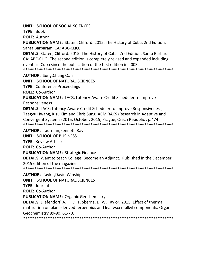**UNIT: SCHOOL OF SOCIAL SCIENCES** 

TYPE: Book

**ROLE: Author** 

**PUBLICATION NAME:** Staten, Clifford. 2015. The History of Cuba, 2nd Edition. Santa Barbaram, CA: ABC-CLIO.

**DETAILS:** Staten, Clifford. 2015. The History of Cuba, 2nd Edition. Santa Barbara, CA: ABC-CLIO. The second edition is completely revised and expanded including events in Cuba since the publication of the first edition in 2003.

**AUTHOR:** Sung, Chang Oan

**UNIT: SCHOOL OF NATURAL SCIENCES** 

**TYPE: Conference Proceedings** 

ROLE: Co-Author

**PUBLICATION NAME: LACS: Latency-Aware Credit Scheduler to Improve** 

Responsiveness

**DETAILS:** LACS: Latency-Aware Credit Scheduler to Improve Responsiveness, Taegyu Hwang, Kisu Kim and Chris Sung, ACM RACS (Research in Adaptive and Convergent Systems) 2015, October, 2015, Prague, Czech Republic, p.474 

**AUTHOR:** Taurman, Kenneth Ray

UNIT: SCHOOL OF BUSINESS

**TYPE: Review Article** 

**ROLE: Co-Author** 

**PUBLICATION NAME: Strategic Finance** 

**DETAILS:** Want to teach College: Become an Adjunct. Published in the December 2015 edition of the magazine

**AUTHOR: Taylor, David Winship** 

**UNIT: SCHOOL OF NATURAL SCIENCES** 

**TYPE: Journal** 

**ROLE: Co-Author** 

**PUBLICATION NAME: Organic Geochemistry** 

**DETAILS:** Diefendorf, A. F., D. T. Sberna, D. W. Taylor, 2015. Effect of thermal maturation on plant-derived terpenoids and leaf wax n-alkyl components. Organic Geochemistry 89-90: 61-70.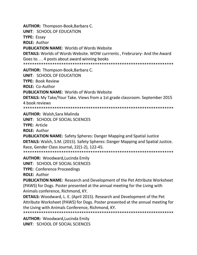**AUTHOR:** Thompson-Book,Barbara C. **UNIT**: SCHOOL OF EDUCATION **TYPE:** Essay **ROLE:** Author **PUBLICATION NAME:** Worlds of Words Website **DETAILS:** Worlds of Words Website. WOW currrents , Frebrurary- And the Award Goes to. . . 4 posts about award winning books \*\*\*\*\*\*\*\*\*\*\*\*\*\*\*\*\*\*\*\*\*\*\*\*\*\*\*\*\*\*\*\*\*\*\*\*\*\*\*\*\*\*\*\*\*\*\*\*\*\*\*\*\*\*\*\*\*\*\*\*\*\*\*\*\*\*\* **AUTHOR:** Thompson-Book,Barbara C. **UNIT**: SCHOOL OF EDUCATION **TYPE:** Book Review **ROLE:** Co-Author **PUBLICATION NAME:** Worlds of Words Website **DETAILS:** My Take/Your Take. Views from a 1st grade classroom. September 2015 4 book reviews \*\*\*\*\*\*\*\*\*\*\*\*\*\*\*\*\*\*\*\*\*\*\*\*\*\*\*\*\*\*\*\*\*\*\*\*\*\*\*\*\*\*\*\*\*\*\*\*\*\*\*\*\*\*\*\*\*\*\*\*\*\*\*\*\*\*\* **AUTHOR:** Walsh,Sara Malinda

**UNIT**: SCHOOL OF SOCIAL SCIENCES **TYPE:** Article **ROLE:** Author

**PUBLICATION NAME:** Safety Spheres: Danger Mapping and Spatial Justice **DETAILS:** Walsh, S.M. (2015). Safety Spheres: Danger Mapping and Spatial Justice. Race, Gender Class Journal, 22(1-2), 122-45. \*\*\*\*\*\*\*\*\*\*\*\*\*\*\*\*\*\*\*\*\*\*\*\*\*\*\*\*\*\*\*\*\*\*\*\*\*\*\*\*\*\*\*\*\*\*\*\*\*\*\*\*\*\*\*\*\*\*\*\*\*\*\*\*\*\*\*

**AUTHOR:** Woodward,Lucinda Emily

**UNIT**: SCHOOL OF SOCIAL SCIENCES

**TYPE:** Conference Proceedings

**ROLE:** Author

**PUBLICATION NAME:** Research and Development of the Pet Attribute Worksheet (PAWS) for Dogs. Poster presented at the annual meeting for the Living with Animals conference, Richmond, KY.

**DETAILS:** Woodward, L. E. (April 2015). Research and Development of the Pet Attribute Worksheet (PAWS) for Dogs. Poster presented at the annual meeting for the Living with Animals Conference, Richmond, KY.

\*\*\*\*\*\*\*\*\*\*\*\*\*\*\*\*\*\*\*\*\*\*\*\*\*\*\*\*\*\*\*\*\*\*\*\*\*\*\*\*\*\*\*\*\*\*\*\*\*\*\*\*\*\*\*\*\*\*\*\*\*\*\*\*\*\*\*

**AUTHOR:** Woodward,Lucinda Emily **UNIT**: SCHOOL OF SOCIAL SCIENCES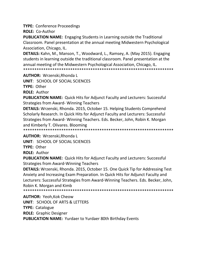**TYPE:** Conference Proceedings

**ROLE:** Co-Author

**PUBLICATION NAME:** Engaging Students in Learning outside the Traditional Classroom. Panel presentation at the annual meeting Midwestern Psychological Association, Chicago, IL.

**DETAILS:** Kahn, M., Manson, T., Woodward, L., Ramsey, A. (May 2015). Engaging students in learning outside the traditional classroom. Panel presentation at the annual meeting of the Midwestern Psychological Association, Chicago, IL. \*\*\*\*\*\*\*\*\*\*\*\*\*\*\*\*\*\*\*\*\*\*\*\*\*\*\*\*\*\*\*\*\*\*\*\*\*\*\*\*\*\*\*\*\*\*\*\*\*\*\*\*\*\*\*\*\*\*\*\*\*\*\*\*\*\*\*

**AUTHOR:** Wrzenski,Rhonda L

**UNIT**: SCHOOL OF SOCIAL SCIENCES

**TYPE:** Other

**ROLE:** Author

**PUBLICATION NAME:** Quick Hits for Adjunct Faculty and Lecturers: Successful Strategies from Award- Winning Teachers

**DETAILS:** Wrzenski, Rhonda. 2015, October 15. Helping Students Comprehend Scholarly Research. In Quick Hits for Adjunct Faculty and Lecturers: Successful Strategies from Award- Winning Teachers. Eds. Becker, John, Robin K. Morgan and Kimberly T. Olivares. Blooming

\*\*\*\*\*\*\*\*\*\*\*\*\*\*\*\*\*\*\*\*\*\*\*\*\*\*\*\*\*\*\*\*\*\*\*\*\*\*\*\*\*\*\*\*\*\*\*\*\*\*\*\*\*\*\*\*\*\*\*\*\*\*\*\*\*\*\*

**AUTHOR:** Wrzenski,Rhonda L

**UNIT**: SCHOOL OF SOCIAL SCIENCES

**TYPE:** Other

**ROLE:** Author

**PUBLICATION NAME:** Quick Hits for Adjunct Faculty and Lecturers: Successful Strategies from Award-Winning Teachers

**DETAILS:** Wrzenski, Rhonda. 2015, October 15. One Quick Tip for Addressing Test Anxiety and Increasing Exam Preparation. In Quick Hits for Adjunct Faculty and Lecturers: Successful Strategies from Award-Winning Teachers. Eds. Becker, John, Robin K. Morgan and Kimb

\*\*\*\*\*\*\*\*\*\*\*\*\*\*\*\*\*\*\*\*\*\*\*\*\*\*\*\*\*\*\*\*\*\*\*\*\*\*\*\*\*\*\*\*\*\*\*\*\*\*\*\*\*\*\*\*\*\*\*\*\*\*\*\*\*\*\*

**AUTHOR:** Yeoh,Kok Cheow **UNIT**: SCHOOL OF ARTS & LETTERS **TYPE:** Catalogue **ROLE:** Graphic Designer **PUBLICATION NAME:** Yurdaer to Yurdaer 80th Birthday Events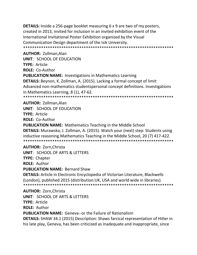**DETAILS:** Inside a 256-page booklet measuring 6 x 9 are two of my posters, created in 2013, invited for inclusion in an invited exhibition event of the International Invitational Poster Exhibition organized by the Visual Communication Design department of the Isik University. \*\*\*\*\*\*\*\*\*\*\*\*\*\*\*\*\*\*\*\*\*\*\*\*\*\*\*\*\*\*\*\*\*\*\*\*\*\*\*\*\*\*\*\*\*\*\*\*\*\*\*\*\*\*\*\*\*\*\*\*\*\*\*\*\*\*\*

**AUTHOR:** Zollman,Alan **UNIT**: SCHOOL OF EDUCATION **TYPE:** Article **ROLE:** Co-Author **PUBLICATION NAME:** Investigations in Mathematics Learning **DETAILS:** Beynon, K. Zollman, A. (2015). Lacking a formal concept of limit: Advanced non-mathematics studentspersonal concept definitions. Investigations in Mathematics Learning, 8 (1), 47-62. \*\*\*\*\*\*\*\*\*\*\*\*\*\*\*\*\*\*\*\*\*\*\*\*\*\*\*\*\*\*\*\*\*\*\*\*\*\*\*\*\*\*\*\*\*\*\*\*\*\*\*\*\*\*\*\*\*\*\*\*\*\*\*\*\*\*\*

**AUTHOR:** Zollman,Alan **UNIT**: SCHOOL OF EDUCATION **TYPE:** Article **ROLE:** Co-Author **PUBLICATION NAME:** Mathematics Teaching in the Middle School **DETAILS:** Murawska, J. Zollman, A. (2015). Watch your (next) step: Students using inductive reasoning.Mathematics Teaching in the Middle School, 20 (7) 417-422. \*\*\*\*\*\*\*\*\*\*\*\*\*\*\*\*\*\*\*\*\*\*\*\*\*\*\*\*\*\*\*\*\*\*\*\*\*\*\*\*\*\*\*\*\*\*\*\*\*\*\*\*\*\*\*\*\*\*\*\*\*\*\*\*\*\*\*

**AUTHOR:** Zorn,Christa **UNIT**: SCHOOL OF ARTS & LETTERS **TYPE:** Chapter **ROLE:** Author **PUBLICATION NAME:** Bernard Shaw **DETAILS:** Article in Electronic Encyclopedia of Victorian Literature, Blackwells (London), published 2015 (distribution:UK, USA and world wide in libraries). \*\*\*\*\*\*\*\*\*\*\*\*\*\*\*\*\*\*\*\*\*\*\*\*\*\*\*\*\*\*\*\*\*\*\*\*\*\*\*\*\*\*\*\*\*\*\*\*\*\*\*\*\*\*\*\*\*\*\*\*\*\*\*\*\*\*\* **AUTHOR:** Zorn,Christa

**UNIT**: SCHOOL OF ARTS & LETTERS **TYPE:** Article **ROLE:** Author **PUBLICATION NAME:** Geneva--or the Failure of Rationalism **DETAILS:** SHAW 34.1 (2015) Description: Shaws farcical representation of Hitler in his late play, Geneva, has been criticized as inadequate and inappropriate, since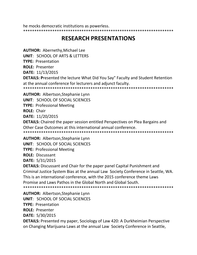he mocks democratic institutions as powerless. 

# **RESEARCH PRESENTATIONS**

**AUTHOR: Abernethy, Michael Lee** 

UNIT: SCHOOL OF ARTS & LETTERS

**TYPE: Presentation** 

**ROLE: Presenter** 

DATE: 11/13/2015

**DETAILS: Presented the lecture What Did You Say" Faculty and Student Retention** at the annual conference for lecturers and adjunct faculty.

**AUTHOR: Albertson, Stephanie Lynn** 

**UNIT: SCHOOL OF SOCIAL SCIENCES** 

**TYPE: Professional Meeting** 

**ROLE: Chair** 

**DATE: 11/20/2015** 

**DETAILS:** Chaired the paper session entitled Perspectives on Plea Bargains and Other Case Outcomes at this international annual conference.

**AUTHOR: Albertson, Stephanie Lynn UNIT: SCHOOL OF SOCIAL SCIENCES** 

**TYPE: Professional Meeting** 

**ROLE: Discussant** 

DATE: 5/31/2015

**DETAILS:** Discussant and Chair for the paper panel Capital Punishment and Criminal Justice System Bias at the annual Law Society Conference in Seattle, WA. This is an international conference, with the 2015 conference theme Laws Promise and Laws Pathos in the Global North and Global South. 

**AUTHOR: Albertson, Stephanie Lynn UNIT: SCHOOL OF SOCIAL SCIENCES TYPE: Presentation ROLE: Presenter** DATE: 5/30/2015 **DETAILS:** Presented my paper, Sociology of Law 420: A Durkheimian Perspective on Changing Marijuana Laws at the annual Law Society Conference in Seattle,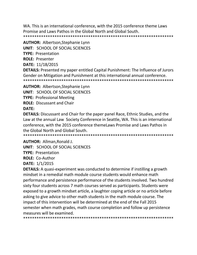WA. This is an international conference, with the 2015 conference theme Laws Promise and Laws Pathos in the Global North and Global South. 

**AUTHOR: Albertson, Stephanie Lynn** 

**UNIT: SCHOOL OF SOCIAL SCIENCES** 

**TYPE: Presentation** 

**ROLE: Presenter** 

DATE: 11/18/2015

**DETAILS:** Presented my paper entitled Capital Punishment: The Influence of Jurors Gender on Mitigation and Punishment at this international annual conference. 

**AUTHOR: Albertson, Stephanie Lynn** 

**UNIT: SCHOOL OF SOCIAL SCIENCES** 

**TYPE: Professional Meeting** 

**ROLE:** Discussant and Chair

**DATE:** 

**DETAILS:** Discussant and Chair for the paper panel Race, Ethnic Studies, and the Law at the annual Law Society Conference in Seattle, WA. This is an international conference, with the 2015 conference theme Laws Promise and Laws Pathos in the Global North and Global South.

**AUTHOR: Allman, Ronald J.** 

**UNIT: SCHOOL OF SOCIAL SCIENCES** 

**TYPE: Presentation** 

**ROLE: Co-Author** 

**DATE: 1/1/2015** 

**DETAILS:** A quasi-experiment was conducted to determine if instilling a growth mindset in a remedial math module course students would enhance math performance and persistence performance of the students involved. Two hundred sixty four students across 7 math courses served as participants. Students were exposed to a growth mindset article, a laughter coping article or no article before asking to give advice to other math students in the math module course. The impact of this intervention will be determined at the end of the Fall 2015 semester when math grades, math course completion and follow up persistence measures will be examined.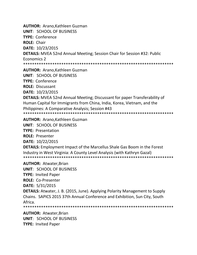**AUTHOR:** Arano,Kathleen Guzman **UNIT**: SCHOOL OF BUSINESS **TYPE:** Conference **ROLE:** Chair **DATE:** 10/23/2015 **DETAILS:** MVEA 52nd Annual Meeting; Session Chair for Session #32: Public Economics 2 \*\*\*\*\*\*\*\*\*\*\*\*\*\*\*\*\*\*\*\*\*\*\*\*\*\*\*\*\*\*\*\*\*\*\*\*\*\*\*\*\*\*\*\*\*\*\*\*\*\*\*\*\*\*\*\*\*\*\*\*\*\*\*\*\*\*\* **AUTHOR:** Arano,Kathleen Guzman **UNIT**: SCHOOL OF BUSINESS **TYPE:** Conference **ROLE:** Discussant **DATE:** 10/23/2015 **DETAILS:** MVEA 52nd Annual Meeting; Discussant for paper Transferability of Human Capital for Immigrants from China, India, Korea, Vietnam, and the Philippines: A Comparative Analysis; Session #43 \*\*\*\*\*\*\*\*\*\*\*\*\*\*\*\*\*\*\*\*\*\*\*\*\*\*\*\*\*\*\*\*\*\*\*\*\*\*\*\*\*\*\*\*\*\*\*\*\*\*\*\*\*\*\*\*\*\*\*\*\*\*\*\*\*\*\* **AUTHOR:** Arano,Kathleen Guzman **UNIT**: SCHOOL OF BUSINESS

**TYPE:** Presentation **ROLE:** Presenter **DATE:** 10/22/2015 **DETAILS:** Employment Impact of the Marcellus Shale Gas Boom in the Forest Industry in West Virginia: A County Level Analysis (with Kathryn Gazal) \*\*\*\*\*\*\*\*\*\*\*\*\*\*\*\*\*\*\*\*\*\*\*\*\*\*\*\*\*\*\*\*\*\*\*\*\*\*\*\*\*\*\*\*\*\*\*\*\*\*\*\*\*\*\*\*\*\*\*\*\*\*\*\*\*\*\* **AUTHOR:** Atwater,Brian **UNIT**: SCHOOL OF BUSINESS **TYPE:** Invited Paper **ROLE:** Co-Presenter **DATE:** 5/31/2015 **DETAILS:** Atwater, J. B. (2015, June). Applying Polarity Management to Supply Chains. SAPICS 2015 37th Annual Conference and Exhibition, Sun City, South

Africa.

\*\*\*\*\*\*\*\*\*\*\*\*\*\*\*\*\*\*\*\*\*\*\*\*\*\*\*\*\*\*\*\*\*\*\*\*\*\*\*\*\*\*\*\*\*\*\*\*\*\*\*\*\*\*\*\*\*\*\*\*\*\*\*\*\*\*\*

**AUTHOR:** Atwater,Brian **UNIT**: SCHOOL OF BUSINESS **TYPE:** Invited Paper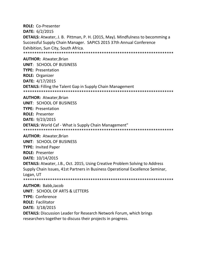**ROLE:** Co-Presenter **DATE:** 6/2/2015 **DETAILS:** Atwater, J. B. Pittman, P. H. (2015, May). Mindfulness to becomming a Successful Supply Chain Manager. SAPICS 2015 37th Annual Conference Exhibition, Sun City, South Africa. \*\*\*\*\*\*\*\*\*\*\*\*\*\*\*\*\*\*\*\*\*\*\*\*\*\*\*\*\*\*\*\*\*\*\*\*\*\*\*\*\*\*\*\*\*\*\*\*\*\*\*\*\*\*\*\*\*\*\*\*\*\*\*\*\*\*\*

**AUTHOR:** Atwater,Brian **UNIT**: SCHOOL OF BUSINESS **TYPE:** Presentation **ROLE:** Organizer **DATE:** 4/17/2015 **DETAILS:** Filling the Talent Gap in Supply Chain Management \*\*\*\*\*\*\*\*\*\*\*\*\*\*\*\*\*\*\*\*\*\*\*\*\*\*\*\*\*\*\*\*\*\*\*\*\*\*\*\*\*\*\*\*\*\*\*\*\*\*\*\*\*\*\*\*\*\*\*\*\*\*\*\*\*\*\*

**AUTHOR:** Atwater,Brian **UNIT**: SCHOOL OF BUSINESS **TYPE:** Presentation **ROLE:** Presenter **DATE:** 9/23/2015 **DETAILS:** World Caf - What is Supply Chain Management" \*\*\*\*\*\*\*\*\*\*\*\*\*\*\*\*\*\*\*\*\*\*\*\*\*\*\*\*\*\*\*\*\*\*\*\*\*\*\*\*\*\*\*\*\*\*\*\*\*\*\*\*\*\*\*\*\*\*\*\*\*\*\*\*\*\*\*

**AUTHOR:** Atwater,Brian **UNIT**: SCHOOL OF BUSINESS **TYPE:** Invited Paper **ROLE:** Presenter **DATE:** 10/14/2015 **DETAILS:** Atwater, J.B., Oct. 2015, Using Creative Problem Solving to Address Supply Chain Issues, 41st Partners in Business Operational Excellence Seminar, Logan, UT \*\*\*\*\*\*\*\*\*\*\*\*\*\*\*\*\*\*\*\*\*\*\*\*\*\*\*\*\*\*\*\*\*\*\*\*\*\*\*\*\*\*\*\*\*\*\*\*\*\*\*\*\*\*\*\*\*\*\*\*\*\*\*\*\*\*\*

**AUTHOR:** Babb,Jacob **UNIT**: SCHOOL OF ARTS & LETTERS **TYPE:** Conference **ROLE:** Facilitator **DATE:** 3/18/2015 **DETAILS:** Discussion Leader for Research Network Forum, which brings researchers together to discuss their projects in progress.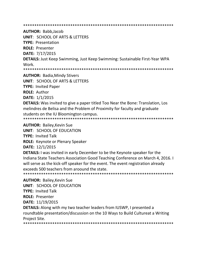**AUTHOR: Babb, Jacob** 

**UNIT: SCHOOL OF ARTS & LETTERS** 

**TYPE: Presentation** 

**ROLE: Presenter** 

DATE: 7/17/2015

**DETAILS:** Just Keep Swimming, Just Keep Swimming: Sustainable First-Year WPA **Work** 

**AUTHOR: Badia, Mindy Stivers** 

**UNIT: SCHOOL OF ARTS & LETTERS** 

**TYPE: Invited Paper** 

**ROLE: Author** 

**DATE: 1/1/2015** 

**DETAILS:** Was invited to give a paper titled Too Near the Bone: Translation, Los melindres de Belisa and the Problem of Proximity for faculty and graduate students on the IU Bloomington campus.

**AUTHOR: Bailey, Kevin Sue** 

**UNIT: SCHOOL OF EDUCATION** 

**TYPE: Invited Talk** 

**ROLE:** Keynote or Plenary Speaker

DATE: 12/1/2015

**DETAILS:** I was invited in early December to be the Keynote speaker for the Indiana State Teachers Association Good Teaching Conference on March 4, 2016. I will serve as the kick-off speaker for the event. The event registration already exceeds 500 teachers from aroound the state.

**AUTHOR: Bailey, Kevin Sue UNIT: SCHOOL OF EDUCATION TYPE: Invited Talk ROLE: Presenter DATE: 11/19/2015** 

**DETAILS:** Along with my two teacher leaders from IUSWP, I presented a roundtable presentation/discussion on the 10 Ways to Build Cultureat a Writing Project Site.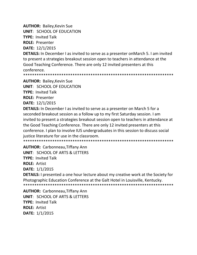**AUTHOR: Bailey, Kevin Sue** 

**UNIT: SCHOOL OF EDUCATION** 

**TYPE: Invited Talk** 

**ROLE: Presenter** 

DATE: 12/1/2015

**DETAILS:** In December I as invited to serve as a presenter on March 5. I am invited to present a strategies breakout session open to teachers in attendance at the Good Teaching Conference. There are only 12 invited presenters at this conference.

**AUTHOR: Bailey, Kevin Sue** 

**UNIT: SCHOOL OF EDUCATION** 

**TYPE: Invited Talk** 

**ROLE: Presenter** 

DATE: 12/1/2015

**DETAILS:** In December I as invited to serve as a presenter on March 5 for a seconded breakout session as a follow up to my first Saturday session. I am invited to present a strategies breakout session open to teachers in attendance at the Good Teaching Conference. There are only 12 invited presenters at this conference. I plan to involve IUS undergraduates in this session to discuss social justice literature for use in the classroom.

**AUTHOR: Carbonneau, Tiffany Ann UNIT: SCHOOL OF ARTS & LETTERS TYPE: Invited Talk ROLE: Artist** DATE: 1/1/2015

**DETAILS:** I presented a one hour lecture about my creative work at the Society for Photographic Education Conference at the Galt Hotel in Louisville, Kentucky. 

**AUTHOR: Carbonneau, Tiffany Ann UNIT: SCHOOL OF ARTS & LETTERS TYPE: Invited Talk ROLE: Artist DATE: 1/1/2015**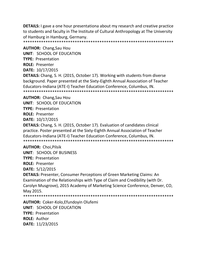**DETAILS:** I gave a one hour presentationa about my research and creative practice to students and faculty in The Institute of Cultural Anthropology at The University of Hamburg in Hamburg, Germany.

\*\*\*\*\*\*\*\*\*\*\*\*\*\*\*\*\*\*\*\*\*\*\*\*\*\*\*\*\*\*\*\*\*\*\*\*\*\*\*\*\*\*\*\*\*\*\*\*\*\*\*\*\*\*\*\*\*\*\*\*\*\*\*\*\*\*\*

**AUTHOR:** Chang,Sau Hou

**UNIT**: SCHOOL OF EDUCATION

**TYPE:** Presentation

**ROLE:** Presenter

**DATE:** 10/17/2015

**DETAILS:** Chang, S. H. (2015, October 17). Working with students from diverse background. Paper presented at the Sixty-Eighth Annual Association of Teacher Educators-Indiana (ATE-I) Teacher Education Conference, Columbus, IN. \*\*\*\*\*\*\*\*\*\*\*\*\*\*\*\*\*\*\*\*\*\*\*\*\*\*\*\*\*\*\*\*\*\*\*\*\*\*\*\*\*\*\*\*\*\*\*\*\*\*\*\*\*\*\*\*\*\*\*\*\*\*\*\*\*\*\*

**AUTHOR:** Chang,Sau Hou **UNIT**: SCHOOL OF EDUCATION **TYPE:** Presentation **ROLE:** Presenter **DATE:** 10/17/2015

**DETAILS:** Chang, S. H. (2015, October 17). Evaluation of candidates clinical practice. Poster presented at the Sixty-Eighth Annual Association of Teacher Educators-Indiana (ATE-I) Teacher Education Conference, Columbus, IN. \*\*\*\*\*\*\*\*\*\*\*\*\*\*\*\*\*\*\*\*\*\*\*\*\*\*\*\*\*\*\*\*\*\*\*\*\*\*\*\*\*\*\*\*\*\*\*\*\*\*\*\*\*\*\*\*\*\*\*\*\*\*\*\*\*\*\*

**AUTHOR:** Choi,Pilsik

**UNIT**: SCHOOL OF BUSINESS

**TYPE:** Presentation

**ROLE:** Presenter

**DATE:** 5/12/2015

**DETAILS:** Presenter, Consumer Perceptions of Green Marketing Claims: An Examination of the Relationships with Type of Claim and Credibility (with Dr. Carolyn Musgrove), 2015 Academy of Marketing Science Conference, Denver, CO, May 2015.

\*\*\*\*\*\*\*\*\*\*\*\*\*\*\*\*\*\*\*\*\*\*\*\*\*\*\*\*\*\*\*\*\*\*\*\*\*\*\*\*\*\*\*\*\*\*\*\*\*\*\*\*\*\*\*\*\*\*\*\*\*\*\*\*\*\*\*

**AUTHOR:** Coker-Kolo,Efundoyin Olufemi **UNIT**: SCHOOL OF EDUCATION **TYPE:** Presentation **ROLE:** Author **DATE:** 11/23/2015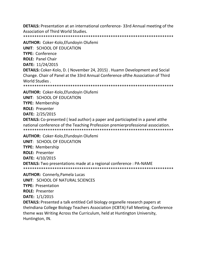**DETAILS:** Presentation at an international conference-33rd Annual meeting of the Association of Third World Studies.

**AUTHOR: Coker-Kolo, Efundoyin Olufemi** 

**UNIT: SCHOOL OF EDUCATION** 

**TYPE: Conference** 

**ROLE: Panel Chair** 

DATE: 11/24/2015

**DETAILS:** Coker-Kolo, D. (November 24, 2015). Huamn Development and Social Change. Chair of Panel at the 33rd Annual Conference of the Association of Third World Studies.

**AUTHOR: Coker-Kolo, Efundoyin Olufemi** 

**UNIT: SCHOOL OF EDUCATION** 

**TYPE: Membership** 

**ROLE: Presenter** 

DATE: 2/25/2015

**DETAILS:** Co-presented (lead author) a paper and particiapted in a panel atthe national conference of the Teaching Profession premierprofessional association. 

**AUTHOR: Coker-Kolo, Efundoyin Olufemi** 

**UNIT: SCHOOL OF EDUCATION** 

**TYPE: Membership** 

**ROLE: Presenter** 

**DATE:** 4/10/2015

**DETAILS:** Two presentations made at a regional conference : PA-NAME

**AUTHOR:** Connerly, Pamela Lucas **UNIT: SCHOOL OF NATURAL SCIENCES TYPE: Presentation ROLE: Presenter DATE: 1/1/2015** 

**DETAILS:** Presented a talk entitled Cell biology organelle research papers at theIndiana College Biology Teachers Association (ICBTA) Fall Meeting. Conference theme was Writing Across the Curriculum, held at Huntington University, Huntington, IN.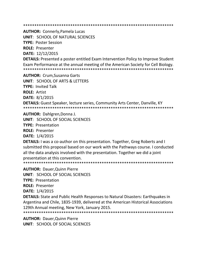**AUTHOR: Connerly, Pamela Lucas** 

**UNIT: SCHOOL OF NATURAL SCIENCES** 

**TYPE: Poster Session** 

**ROLE: Presenter** 

DATE: 12/12/2015

**DETAILS:** Presented a poster entitled Exam Intervention Policy to Improve Student Exam Performance at the annual meeting of the American Society for Cell Biology. 

**AUTHOR: Crum, Susanna Garts UNIT: SCHOOL OF ARTS & LETTERS TYPE: Invited Talk ROLE: Artist DATE: 8/1/2015** 

**DETAILS:** Guest Speaker, lecture series, Community Arts Center, Danville, KY 

**AUTHOR: Dahlgren, Donna J.** 

**UNIT: SCHOOL OF SOCIAL SCIENCES** 

**TYPE: Presentation** 

**ROLE: Presenter** 

**DATE: 1/4/2015** 

**DETAILS:** I was a co-author on this presentation. Together, Greg Roberts and I submitted this proposal based on our work with the Pathways course. I conducted all the data analysis involved with the presentation. Together we did a joint presentation at this convention.

**AUTHOR: Dauer, Quinn Pierre** 

**UNIT: SCHOOL OF SOCIAL SCIENCES** 

**TYPE: Presentation** 

**ROLE: Presenter** 

DATE: 1/4/2015

**DETAILS:** State and Public Health Responses to Natural Disasters: Earthquakes in Argentina and Chile, 1835-1939, delivered at the American Historical Associations 129th Annual meeting, New York, January 2015.

**AUTHOR: Dauer, Quinn Pierre** UNIT: SCHOOL OF SOCIAL SCIENCES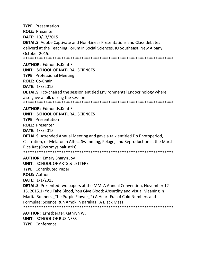**TYPE:** Presentation **ROLE:** Presenter **DATE:** 10/13/2015 **DETAILS:** Adobe Captivate and Non-Linear Presentations and Class debates deliverd at the Teaching Forum in Social Sciences, IU Southeast, New Albany, October 2015. \*\*\*\*\*\*\*\*\*\*\*\*\*\*\*\*\*\*\*\*\*\*\*\*\*\*\*\*\*\*\*\*\*\*\*\*\*\*\*\*\*\*\*\*\*\*\*\*\*\*\*\*\*\*\*\*\*\*\*\*\*\*\*\*\*\*\* **AUTHOR:** Edmonds,Kent E. **UNIT**: SCHOOL OF NATURAL SCIENCES

**TYPE:** Professional Meeting

**ROLE:** Co-Chair

**DATE:** 1/3/2015

**DETAILS:** I co-chaired the session entitled Environmental Endocrinology where I also gave a talk during the session.

\*\*\*\*\*\*\*\*\*\*\*\*\*\*\*\*\*\*\*\*\*\*\*\*\*\*\*\*\*\*\*\*\*\*\*\*\*\*\*\*\*\*\*\*\*\*\*\*\*\*\*\*\*\*\*\*\*\*\*\*\*\*\*\*\*\*\*

**AUTHOR:** Edmonds,Kent E.

**UNIT**: SCHOOL OF NATURAL SCIENCES

**TYPE:** Presentation

**ROLE:** Presenter

**DATE:** 1/3/2015

**DETAILS:** Attended Annual Meeting and gave a talk entitled Do Photoperiod, Castration, or Melatonin Affect Swimming, Pelage, and Reproduction in the Marsh Rice Rat (Oryzomys palustris).

\*\*\*\*\*\*\*\*\*\*\*\*\*\*\*\*\*\*\*\*\*\*\*\*\*\*\*\*\*\*\*\*\*\*\*\*\*\*\*\*\*\*\*\*\*\*\*\*\*\*\*\*\*\*\*\*\*\*\*\*\*\*\*\*\*\*\*

**AUTHOR:** Emery,Sharyn Joy

**UNIT**: SCHOOL OF ARTS & LETTERS

**TYPE:** Contributed Paper

**ROLE:** Author

**DATE:** 1/1/2015

**DETAILS:** Presented two papers at the MMLA Annual Convention, November 12- 15, 2015.1) You Take Blood, You Give Blood: Absurdity and Visual Meaning in Marita Bonners The Purple Flower 2) A Heart Full of Cold Numbers and Formulae: Science Run Amok in Barakas \_A Black Mass\_ \*\*\*\*\*\*\*\*\*\*\*\*\*\*\*\*\*\*\*\*\*\*\*\*\*\*\*\*\*\*\*\*\*\*\*\*\*\*\*\*\*\*\*\*\*\*\*\*\*\*\*\*\*\*\*\*\*\*\*\*\*\*\*\*\*\*\*

**AUTHOR:** Ernstberger,Kathryn W. **UNIT**: SCHOOL OF BUSINESS **TYPE:** Conference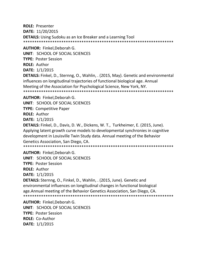**ROLE:** Presenter **DATE:** 11/20/2015 **DETAILS:** Using Sudoku as an Ice Breaker and a Learning Tool \*\*\*\*\*\*\*\*\*\*\*\*\*\*\*\*\*\*\*\*\*\*\*\*\*\*\*\*\*\*\*\*\*\*\*\*\*\*\*\*\*\*\*\*\*\*\*\*\*\*\*\*\*\*\*\*\*\*\*\*\*\*\*\*\*\*\*

**AUTHOR:** Finkel,Deborah G.

**UNIT**: SCHOOL OF SOCIAL SCIENCES

**TYPE:** Poster Session

**ROLE:** Author

**DATE:** 1/1/2015

**DETAILS:** Finkel, D., Sternng, O., Wahlin, . (2015, May). Genetic and environmental influences on longitudinal trajectories of functional biological age. Annual Meeting of the Association for Psychological Science, New York, NY.

\*\*\*\*\*\*\*\*\*\*\*\*\*\*\*\*\*\*\*\*\*\*\*\*\*\*\*\*\*\*\*\*\*\*\*\*\*\*\*\*\*\*\*\*\*\*\*\*\*\*\*\*\*\*\*\*\*\*\*\*\*\*\*\*\*\*\*

**AUTHOR:** Finkel,Deborah G.

**UNIT**: SCHOOL OF SOCIAL SCIENCES

**TYPE:** Competitive Paper

**ROLE:** Author

**DATE:** 1/1/2015

**DETAILS:** Finkel, D., Davis, D. W., Dickens, W. T., Turkheimer, E. (2015, June). Applying latent growth curve models to developmental synchronies in cognitive development in Louisville Twin Study data. Annual meeting of the Behavior Genetics Association, San Diego, CA.

\*\*\*\*\*\*\*\*\*\*\*\*\*\*\*\*\*\*\*\*\*\*\*\*\*\*\*\*\*\*\*\*\*\*\*\*\*\*\*\*\*\*\*\*\*\*\*\*\*\*\*\*\*\*\*\*\*\*\*\*\*\*\*\*\*\*\*

**AUTHOR:** Finkel,Deborah G.

**UNIT**: SCHOOL OF SOCIAL SCIENCES

**TYPE:** Poster Session

**ROLE:** Author

**DATE:** 1/1/2015

**DETAILS:** Sternng, O., Finkel, D., Wahlin, . (2015, June). Genetic and environmental influences on longitudinal changes in functional biological age.Annual meeting of the Behavior Genetics Association, San Diego, CA. \*\*\*\*\*\*\*\*\*\*\*\*\*\*\*\*\*\*\*\*\*\*\*\*\*\*\*\*\*\*\*\*\*\*\*\*\*\*\*\*\*\*\*\*\*\*\*\*\*\*\*\*\*\*\*\*\*\*\*\*\*\*\*\*\*\*\*

**AUTHOR:** Finkel,Deborah G. **UNIT**: SCHOOL OF SOCIAL SCIENCES **TYPE:** Poster Session **ROLE:** Co-Author **DATE:** 1/1/2015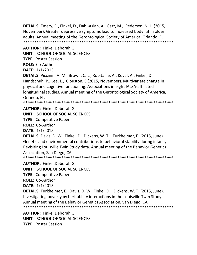**DETAILS:** Emery, C., Finkel, D., Dahl-Aslan, A., Gatz, M., Pedersen, N. L. (2015, November). Greater depressive symptoms lead to increased body fat in older adults. Annual meeting of the Gerontological Society of America, Orlando, FL. \*\*\*\*\*\*\*\*\*\*\*\*\*\*\*\*\*\*\*\*\*\*\*\*\*\*\*\*\*\*\*\*\*\*\*\*\*\*\*\*\*\*\*\*\*\*\*\*\*\*\*\*\*\*\*\*\*\*\*\*\*\*\*\*\*\*\*

**AUTHOR:** Finkel,Deborah G.

**UNIT**: SCHOOL OF SOCIAL SCIENCES

**TYPE:** Poster Session

**ROLE:** Co-Author

**DATE:** 1/1/2015

**DETAILS:** Piccinin, A. M., Brown, C. L., Robitaille, A., Koval, A., Finkel, D., Handschuh, P., Lee, L., Clouston, S.(2015, November). Multivariate change in physical and cognitive functioning: Associations in eight IALSA-affiliated longitudinal studies. Annual meeting of the Gerontological Society of America, Orlando, FL.

\*\*\*\*\*\*\*\*\*\*\*\*\*\*\*\*\*\*\*\*\*\*\*\*\*\*\*\*\*\*\*\*\*\*\*\*\*\*\*\*\*\*\*\*\*\*\*\*\*\*\*\*\*\*\*\*\*\*\*\*\*\*\*\*\*\*\*

**AUTHOR:** Finkel,Deborah G.

**UNIT**: SCHOOL OF SOCIAL SCIENCES

**TYPE:** Competitive Paper

**ROLE:** Co-Author

**DATE:** 1/1/2015

**DETAILS:** Davis, D. W., Finkel, D., Dickens, W. T., Turkheimer, E. (2015, June). Genetic and environmental contributions to behavioral stability during infancy: Revisiting Louisville Twin Study data. Annual meeting of the Behavior Genetics Association, San Diego, CA.

\*\*\*\*\*\*\*\*\*\*\*\*\*\*\*\*\*\*\*\*\*\*\*\*\*\*\*\*\*\*\*\*\*\*\*\*\*\*\*\*\*\*\*\*\*\*\*\*\*\*\*\*\*\*\*\*\*\*\*\*\*\*\*\*\*\*\*

**AUTHOR:** Finkel,Deborah G. **UNIT**: SCHOOL OF SOCIAL SCIENCES **TYPE:** Competitive Paper **ROLE:** Co-Author **DATE:** 1/1/2015 **DETAILS:** Turkheimer, E., Davis, D. W., Finkel, D., Dickens, W. T. (2015, June). Investigating poverty by heritability interactions in the Louisville Twin Study. Annual meeting of the Behavior Genetics Association, San Diego, CA. \*\*\*\*\*\*\*\*\*\*\*\*\*\*\*\*\*\*\*\*\*\*\*\*\*\*\*\*\*\*\*\*\*\*\*\*\*\*\*\*\*\*\*\*\*\*\*\*\*\*\*\*\*\*\*\*\*\*\*\*\*\*\*\*\*\*\* **AUTHOR:** Finkel,Deborah G.

**UNIT**: SCHOOL OF SOCIAL SCIENCES **TYPE:** Poster Session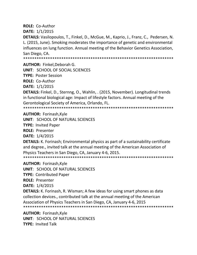**ROLE:** Co-Author

**DATE:** 1/1/2015

**DETAILS:** Vasilopoulos, T., Finkel, D., McGue, M., Kaprio, J., Franz, C., Pedersen, N. L. (2015, June). Smoking moderates the importance of genetic and environmental influences on lung function. Annual meeting of the Behavior Genetics Association, San Diego, CA.

\*\*\*\*\*\*\*\*\*\*\*\*\*\*\*\*\*\*\*\*\*\*\*\*\*\*\*\*\*\*\*\*\*\*\*\*\*\*\*\*\*\*\*\*\*\*\*\*\*\*\*\*\*\*\*\*\*\*\*\*\*\*\*\*\*\*\*

**AUTHOR:** Finkel,Deborah G.

**UNIT**: SCHOOL OF SOCIAL SCIENCES

**TYPE:** Poster Session

**ROLE:** Co-Author

**DATE:** 1/1/2015

**DETAILS:** Finkel, D., Sternng, O., Wahlin, . (2015, November). Longitudinal trends in functional biological age: Impact of lifestyle factors. Annual meeting of the Gerontological Society of America, Orlando, FL.

\*\*\*\*\*\*\*\*\*\*\*\*\*\*\*\*\*\*\*\*\*\*\*\*\*\*\*\*\*\*\*\*\*\*\*\*\*\*\*\*\*\*\*\*\*\*\*\*\*\*\*\*\*\*\*\*\*\*\*\*\*\*\*\*\*\*\*

**AUTHOR:** Forinash,Kyle

**UNIT**: SCHOOL OF NATURAL SCIENCES

**TYPE:** Invited Paper

**ROLE:** Presenter

**DATE:** 1/4/2015

**DETAILS:** K. Forinash; Environmental physics as part of a sustainability certificate and degree., invited talk at the annual meeting of the American Association of Physics Teachers in San Diego, CA, January 4-6, 2015.

\*\*\*\*\*\*\*\*\*\*\*\*\*\*\*\*\*\*\*\*\*\*\*\*\*\*\*\*\*\*\*\*\*\*\*\*\*\*\*\*\*\*\*\*\*\*\*\*\*\*\*\*\*\*\*\*\*\*\*\*\*\*\*\*\*\*\*

**AUTHOR:** Forinash,Kyle

**UNIT**: SCHOOL OF NATURAL SCIENCES

**TYPE:** Contributed Paper

**ROLE:** Presenter

**DATE:** 1/4/2015

**DETAILS:** K. Forinash, R. Wisman; A few ideas for using smart phones as data collection devices., contributed talk at the annual meeting of the American Association of Physics Teachers in San Diego, CA, January 4-6, 2015 \*\*\*\*\*\*\*\*\*\*\*\*\*\*\*\*\*\*\*\*\*\*\*\*\*\*\*\*\*\*\*\*\*\*\*\*\*\*\*\*\*\*\*\*\*\*\*\*\*\*\*\*\*\*\*\*\*\*\*\*\*\*\*\*\*\*\*

**AUTHOR:** Forinash,Kyle **UNIT**: SCHOOL OF NATURAL SCIENCES **TYPE:** Invited Talk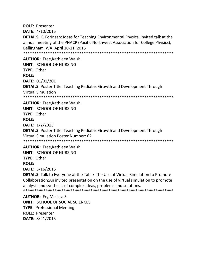**ROLE: Presenter** DATE: 4/10/2015 **DETAILS:** K. Forinash: Ideas for Teaching Environmental Physics, invited talk at the annual meeting of the PNACP (Pacific Northwest Association for College Physics), Bellingham, WA, April 10-11, 2015 

**AUTHOR: Free Kathleen Walsh UNIT: SCHOOL OF NURSING TYPE: Other ROLE: DATE: 01/01/201 DETAILS: Poster Title: Teaching Pediatric Growth and Development Through Virtual Simulation** 

**AUTHOR: Free, Kathleen Walsh UNIT: SCHOOL OF NURSING** TYPF: Other **ROLE:** DATE: 1/2/2015 **DETAILS: Poster Title: Teaching Pediatric Growth and Development Through** Virtual Simulation Poster Number: 62 

**AUTHOR: Free.Kathleen Walsh UNIT: SCHOOL OF NURSING** TYPE: Other

**ROLE:** 

DATE: 5/16/2015

**DETAILS:** Talk to Everyone at the Table The Use of Virtual Simulation to Promote Collaboration: An invited presentation on the use of virtual simulation to promote analysis and synthesis of complex ideas, problems and solutions. 

**AUTHOR: Fry, Melissa S. UNIT: SCHOOL OF SOCIAL SCIENCES TYPE: Professional Meeting ROLE: Presenter** DATE: 8/21/2015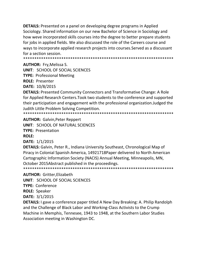**DETAILS:** Presented on a panel on developing degree programs in Applied Sociology. Shared information on our new Bachelor of Science in Sociology and how weve incorporated skills courses into the degree to better prepare students for jobs in applied fields. We also discussed the role of the Careers course and ways to incorporate applied research projects into courses. Served as a discussant for a section session.

**AUTHOR: Fry, Melissa S.** 

**UNIT: SCHOOL OF SOCIAL SCIENCES** 

**TYPE: Professional Meeting** 

**ROLE: Presenter** 

DATE: 10/8/2015

**DETAILS:** Presented Community Connectors and Transformative Change: A Role for Applied Research Centers. Took two students to the conference and supported their participation and engagement with the professional organization. Judged the Judith Little Problem Solving Competition. 

**AUTHOR: Galvin, Peter Reppert** 

**UNIT: SCHOOL OF NATURAL SCIENCES** 

**TYPE: Presentation** 

**ROLE:** 

DATE: 1/1/2015

**DETAILS:** Galvin, Peter R., Indiana University Southeast, Chronological Map of Piracy in Colonial Spanish America, 14921718Paper delivered to North American Cartographic Information Society (NACIS) Annual Meeting, Minneapolis, MN, October 2015Abstract published in the proceedings. 

**AUTHOR: Gritter, Elizabeth** 

**UNIT: SCHOOL OF SOCIAL SCIENCES** 

**TYPE: Conference** 

**ROLE: Speaker** 

**DATE: 3/1/2015** 

**DETAILS:** I gave a conference paper titled A New Day Breaking: A. Philip Randolph and the Challenge of Black Labor and Working-Class Activists to the Crump Machine in Memphis, Tennesee, 1943 to 1948, at the Southern Labor Studies Association meeting in Washington DC.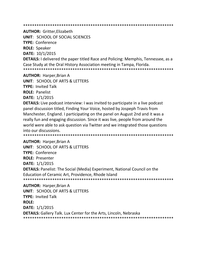**AUTHOR: Gritter, Elizabeth** 

**UNIT: SCHOOL OF SOCIAL SCIENCES** 

**TYPE: Conference** 

**ROLE: Speaker** 

**DATE: 10/1/2015** 

**DETAILS:** I delivered the paper titled Race and Policing: Memphis, Tennessee, as a Case Study at the Oral History Association meeting in Tampa, Florida.

**AUTHOR: Harper, Brian A** 

**UNIT: SCHOOL OF ARTS & LETTERS** 

**TYPE: Invited Talk** 

**ROLE: Panelist** 

**DATE: 1/1/2015** 

**DETAILS:** Live podcast interview: I was invited to participate in a live podcast panel discussion titled, Finding Your Voice, hosted by Jospeph Travis from Manchester, England. I participating on the panel on August 2nd and it was a really fun and engaging discussion. Since it was live, people from around the world were able to ask question via Twitter and we integrated those questions into our discussions.

**AUTHOR: Harper, Brian A UNIT: SCHOOL OF ARTS & LETTERS TYPE: Conference ROLE: Presenter** DATE: 1/1/2015 **DETAILS:** Panelist: The Social (Media) Experiment, National Council on the Education of Ceramic Art, Providence, Rhode Island 

**AUTHOR: Harper, Brian A UNIT: SCHOOL OF ARTS & LETTERS TYPE: Invited Talk ROLE:** DATE: 1/1/2015 **DETAILS:** Gallery Talk. Lux Center for the Arts, Lincoln, Nebraska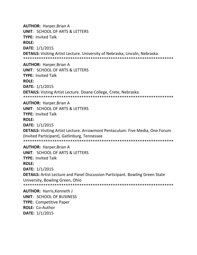**AUTHOR:** Harper,Brian A **UNIT**: SCHOOL OF ARTS & LETTERS **TYPE:** Invited Talk **ROLE: DATE:** 1/1/2015 **DETAILS:** Visiting Artist Lecture. University of Nebraska, Lincoln, Nebraska \*\*\*\*\*\*\*\*\*\*\*\*\*\*\*\*\*\*\*\*\*\*\*\*\*\*\*\*\*\*\*\*\*\*\*\*\*\*\*\*\*\*\*\*\*\*\*\*\*\*\*\*\*\*\*\*\*\*\*\*\*\*\*\*\*\*\* **AUTHOR:** Harper,Brian A **UNIT**: SCHOOL OF ARTS & LETTERS **TYPE:** Invited Talk **ROLE: DATE:** 1/1/2015 **DETAILS:** Visting Artist Lecture. Doane College, Crete, Nebraska \*\*\*\*\*\*\*\*\*\*\*\*\*\*\*\*\*\*\*\*\*\*\*\*\*\*\*\*\*\*\*\*\*\*\*\*\*\*\*\*\*\*\*\*\*\*\*\*\*\*\*\*\*\*\*\*\*\*\*\*\*\*\*\*\*\*\* **AUTHOR:** Harper,Brian A **UNIT**: SCHOOL OF ARTS & LETTERS **TYPE:** Invited Talk **ROLE: DATE:** 1/1/2015 **DETAILS:** Visiting Artist Lecture. Arrowmont Pentaculum: Five Media, One Forum (Invited Participant), Gatlinburg, Tennessee \*\*\*\*\*\*\*\*\*\*\*\*\*\*\*\*\*\*\*\*\*\*\*\*\*\*\*\*\*\*\*\*\*\*\*\*\*\*\*\*\*\*\*\*\*\*\*\*\*\*\*\*\*\*\*\*\*\*\*\*\*\*\*\*\*\*\* **AUTHOR:** Harper,Brian A **UNIT**: SCHOOL OF ARTS & LETTERS **TYPE:** Invited Talk **ROLE: DATE:** 1/1/2015 **DETAILS:** Artist Lecture and Panel Discussion Participant. Bowling Green State University, Bowling Green, Ohio \*\*\*\*\*\*\*\*\*\*\*\*\*\*\*\*\*\*\*\*\*\*\*\*\*\*\*\*\*\*\*\*\*\*\*\*\*\*\*\*\*\*\*\*\*\*\*\*\*\*\*\*\*\*\*\*\*\*\*\*\*\*\*\*\*\*\* **AUTHOR:** Harris,Kenneth J **UNIT**: SCHOOL OF BUSINESS **TYPE:** Competitive Paper

**ROLE:** Co-Author

**DATE:** 1/1/2015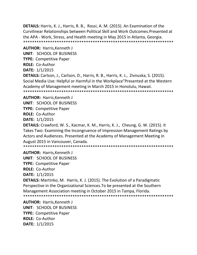**DETAILS:** Harris, K. J., Harris, R. B., Rossi, A. M. (2015). An Examination of the Curvilinear Relationships between Political Skill and Work Outcomes.Presented at the APA - Work, Stress, and Health meeting in May 2015 in Atlanta, Georgia. \*\*\*\*\*\*\*\*\*\*\*\*\*\*\*\*\*\*\*\*\*\*\*\*\*\*\*\*\*\*\*\*\*\*\*\*\*\*\*\*\*\*\*\*\*\*\*\*\*\*\*\*\*\*\*\*\*\*\*\*\*\*\*\*\*\*\*

**AUTHOR:** Harris,Kenneth J **UNIT**: SCHOOL OF BUSINESS **TYPE:** Competitive Paper **ROLE:** Co-Author **DATE:** 1/1/2015 **DETAILS:** Carlson, J., Carlson, D., Harris, R. B., Harris, K. J., Zivnuska, S. (2015). Social Media Use: Helpful or Harmful in the Workplace"Presented at the Western Academy of Management meeting in March 2015 in Honolulu, Hawaii. \*\*\*\*\*\*\*\*\*\*\*\*\*\*\*\*\*\*\*\*\*\*\*\*\*\*\*\*\*\*\*\*\*\*\*\*\*\*\*\*\*\*\*\*\*\*\*\*\*\*\*\*\*\*\*\*\*\*\*\*\*\*\*\*\*\*\*

**AUTHOR:** Harris,Kenneth J **UNIT**: SCHOOL OF BUSINESS **TYPE:** Competitive Paper **ROLE:** Co-Author **DATE:** 1/1/2015

**DETAILS:** Crawford, W. S., Kacmar, K. M., Harris, K. J., Cheung, G. W. (2015). It Takes Two: Examining the Incongruence of Impression Management Ratings by Actors and Audiences. Presented at the Academy of Management Meeting in August 2015 in Vancouver, Canada.

\*\*\*\*\*\*\*\*\*\*\*\*\*\*\*\*\*\*\*\*\*\*\*\*\*\*\*\*\*\*\*\*\*\*\*\*\*\*\*\*\*\*\*\*\*\*\*\*\*\*\*\*\*\*\*\*\*\*\*\*\*\*\*\*\*\*\*

**AUTHOR:** Harris,Kenneth J

**UNIT**: SCHOOL OF BUSINESS

**TYPE:** Competitive Paper

**ROLE:** Co-Author

**DATE:** 1/1/2015

**DETAILS:** Martinko, M. Harris, K. J. (2015). The Evolution of a Paradigmatic Perspective in the Organizational Sciences.To be presented at the Southern Management Association meeting in October 2015 in Tampa, Florida. \*\*\*\*\*\*\*\*\*\*\*\*\*\*\*\*\*\*\*\*\*\*\*\*\*\*\*\*\*\*\*\*\*\*\*\*\*\*\*\*\*\*\*\*\*\*\*\*\*\*\*\*\*\*\*\*\*\*\*\*\*\*\*\*\*\*\*

**AUTHOR:** Harris,Kenneth J **UNIT**: SCHOOL OF BUSINESS **TYPE:** Competitive Paper **ROLE:** Co-Author **DATE:** 1/1/2015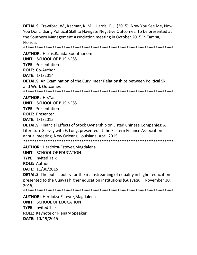DETAILS: Crawford, W., Kacmar, K. M., Harris, K. J. (2015). Now You See Me, Now You Dont: Using Political Skill to Navigate Negative Outcomes. To be presented at the Southern Management Association meeting in October 2015 in Tampa, Florida.

**AUTHOR: Harris, Ranida Boonthanom** 

**UNIT: SCHOOL OF BUSINESS TYPE: Presentation ROLE: Co-Author** DATE: 1/1/2014 **DETAILS:** An Examination of the Curvilinear Relationships between Political Skill and Work Outcomes

**AUTHOR: He.Yan UNIT: SCHOOL OF BUSINESS** 

**TYPE: Presentation** 

**ROLE: Presenter** 

**DATE: 1/1/2015** 

**DETAILS:** Financial Effects of Stock Ownership on Listed Chinese Companies: A Literature Survey with F. Long, presented at the Eastern Finance Association annual meeting, New Orleans, Louisiana, April 2015. 

**AUTHOR: Herdoiza-Estevez, Magdalena UNIT: SCHOOL OF EDUCATION TYPE: Invited Talk ROLE: Author** DATE: 11/30/2015 **DETAILS:** The public policy for the mainstreaming of equality in higher education presented to the Guayas higher education institutions (Guayaquil, November 30,  $2015)$ 

**AUTHOR: Herdoiza-Estevez, Magdalena UNIT: SCHOOL OF EDUCATION TYPE: Invited Talk ROLE:** Keynote or Plenary Speaker DATE: 10/19/2015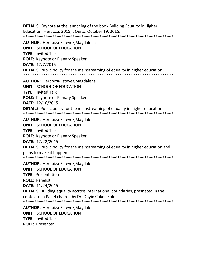**DETAILS:** Keynote at the launching of the book Building Equality in Higher Education (Herdoza, 2015). Quito, October 19, 2015. 

**AUTHOR: Herdoiza-Estevez, Magdalena UNIT: SCHOOL OF EDUCATION TYPE: Invited Talk ROLE:** Keynote or Plenary Speaker DATE: 12/7/2015 **DETAILS:** Public policy for the mainstreaming of equality in higher education 

**AUTHOR:** Herdoiza-Estevez, Magdalena **UNIT: SCHOOL OF EDUCATION TYPE: Invited Talk ROLE:** Keynote or Plenary Speaker DATE: 12/16/2015 **DETAILS:** Public policy for the mainstreaming of equality in higher education 

**AUTHOR:** Herdoiza-Estevez, Magdalena **UNIT: SCHOOL OF EDUCATION TYPE: Invited Talk ROLE:** Keynote or Plenary Speaker DATE: 12/22/2015 **DETAILS:** Public policy for the mainstreaming of equality in higher education and plans to make it happen. 

**AUTHOR: Herdoiza-Estevez, Magdalena** UNIT: SCHOOL OF FDUCATION **TYPE: Presentation ROLE: Panelist DATE: 11/24/2015 DETAILS:** Building equality accross international boundaries, presneted in the context of a Panel chaired by Dr. Doyin Coker-Kolo. **AUTHOR:** Herdoiza-Estevez, Magdalena **UNIT: SCHOOL OF EDUCATION** 

**TYPE: Invited Talk ROLE: Presenter**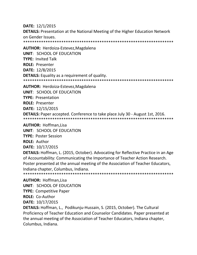**DATE:** 12/1/2015 **DETAILS:** Presentation at the National Meeting of the Higher Education Network on Gender Issues. \*\*\*\*\*\*\*\*\*\*\*\*\*\*\*\*\*\*\*\*\*\*\*\*\*\*\*\*\*\*\*\*\*\*\*\*\*\*\*\*\*\*\*\*\*\*\*\*\*\*\*\*\*\*\*\*\*\*\*\*\*\*\*\*\*\*\* **AUTHOR:** Herdoiza-Estevez,Magdalena **UNIT**: SCHOOL OF EDUCATION **TYPE:** Invited Talk **ROLE:** Presenter **DATE:** 12/8/2015 **DETAILS:** Equality as a requirement of quality. \*\*\*\*\*\*\*\*\*\*\*\*\*\*\*\*\*\*\*\*\*\*\*\*\*\*\*\*\*\*\*\*\*\*\*\*\*\*\*\*\*\*\*\*\*\*\*\*\*\*\*\*\*\*\*\*\*\*\*\*\*\*\*\*\*\*\* **AUTHOR:** Herdoiza-Estevez,Magdalena **UNIT**: SCHOOL OF EDUCATION **TYPE:** Presentation **ROLE:** Presenter **DATE:** 12/15/2015 **DETAILS:** Paper accepted. Conference to take place July 30 - August 1st, 2016. \*\*\*\*\*\*\*\*\*\*\*\*\*\*\*\*\*\*\*\*\*\*\*\*\*\*\*\*\*\*\*\*\*\*\*\*\*\*\*\*\*\*\*\*\*\*\*\*\*\*\*\*\*\*\*\*\*\*\*\*\*\*\*\*\*\*\* **AUTHOR:** Hoffman,Lisa **UNIT**: SCHOOL OF EDUCATION **TYPE:** Poster Session **ROLE:** Author **DATE:** 10/17/2015 **DETAILS:** Hoffman, L. (2015, October). Advocating for Reflective Practice in an Age of Accountability: Communicating the Importance of Teacher Action Research. Poster presented at the annual meeting of the Association of Teacher Educators, Indiana chapter, Columbus, Indiana. \*\*\*\*\*\*\*\*\*\*\*\*\*\*\*\*\*\*\*\*\*\*\*\*\*\*\*\*\*\*\*\*\*\*\*\*\*\*\*\*\*\*\*\*\*\*\*\*\*\*\*\*\*\*\*\*\*\*\*\*\*\*\*\*\*\*\*

**AUTHOR:** Hoffman,Lisa **UNIT**: SCHOOL OF EDUCATION **TYPE:** Competitive Paper **ROLE:** Co-Author **DATE:** 10/17/2015

**DETAILS:** Hoffman, L., Podikunju-Hussain, S. (2015, October). The Cultural Proficiency of Teacher Education and Counselor Candidates. Paper presented at the annual meeting of the Association of Teacher Educators, Indiana chapter, Columbus, Indiana.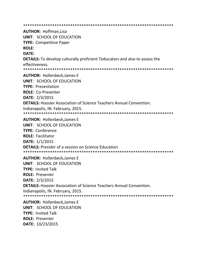\*\*\*\*\*\*\*\*\*\*\*\*\*\*\*\*\*\*\*\*\*\*\*\*\*\*\*\*\*\*\*\*\*\*\*\*\*\*\*\*\*\*\*\*\*\*\*\*\*\*\*\*\*\*\*\*\*\*\*\*\*\*\*\*\*\*\* **AUTHOR:** Hoffman,Lisa **UNIT**: SCHOOL OF EDUCATION **TYPE:** Competitive Paper **ROLE: DATE: DETAILS:** To develop culturally proficient Teducators and also to assess the effectiveness. \*\*\*\*\*\*\*\*\*\*\*\*\*\*\*\*\*\*\*\*\*\*\*\*\*\*\*\*\*\*\*\*\*\*\*\*\*\*\*\*\*\*\*\*\*\*\*\*\*\*\*\*\*\*\*\*\*\*\*\*\*\*\*\*\*\*\* **AUTHOR:** Hollenbeck,James E **UNIT**: SCHOOL OF EDUCATION **TYPE:** Presentation **ROLE:** Co-Presenter **DATE:** 2/3/2015 **DETAILS:** Hoosier Association of Science Teachers Annual Convention. Indianapolis, IN. February, 2015. \*\*\*\*\*\*\*\*\*\*\*\*\*\*\*\*\*\*\*\*\*\*\*\*\*\*\*\*\*\*\*\*\*\*\*\*\*\*\*\*\*\*\*\*\*\*\*\*\*\*\*\*\*\*\*\*\*\*\*\*\*\*\*\*\*\*\* **AUTHOR:** Hollenbeck,James E **UNIT**: SCHOOL OF EDUCATION **TYPE:** Conference **ROLE:** Facilitator **DATE:** 1/1/2015 **DETAILS:** Presider of a session on Science Education. \*\*\*\*\*\*\*\*\*\*\*\*\*\*\*\*\*\*\*\*\*\*\*\*\*\*\*\*\*\*\*\*\*\*\*\*\*\*\*\*\*\*\*\*\*\*\*\*\*\*\*\*\*\*\*\*\*\*\*\*\*\*\*\*\*\*\* **AUTHOR:** Hollenbeck,James E **UNIT**: SCHOOL OF EDUCATION **TYPE:** Invited Talk **ROLE:** Presenter **DATE:** 2/3/2015 **DETAILS:** Hoosier Association of Science Teachers Annual Convention. Indianapolis, IN. February, 2015. \*\*\*\*\*\*\*\*\*\*\*\*\*\*\*\*\*\*\*\*\*\*\*\*\*\*\*\*\*\*\*\*\*\*\*\*\*\*\*\*\*\*\*\*\*\*\*\*\*\*\*\*\*\*\*\*\*\*\*\*\*\*\*\*\*\*\* **AUTHOR:** Hollenbeck,James E

**UNIT**: SCHOOL OF EDUCATION **TYPE:** Invited Talk **ROLE:** Presenter **DATE:** 10/23/2015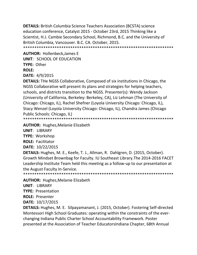**DETAILS:** British Columbia Science Teachers Association (BCSTA) science education conference, Catalyst 2015 - October 23rd, 2015 Thinking like a Scientist, H.J. Cambie Secondary School, Richmond, B.C. and the University of British Columbia, Vancouver. B.C. CA. October, 2015. \*\*\*\*\*\*\*\*\*\*\*\*\*\*\*\*\*\*\*\*\*\*\*\*\*\*\*\*\*\*\*\*\*\*\*\*\*\*\*\*\*\*\*\*\*\*\*\*\*\*\*\*\*\*\*\*\*\*\*\*\*\*\*\*\*\*\*

**AUTHOR:** Hollenbeck,James E **UNIT**: SCHOOL OF EDUCATION **TYPE:** Other **ROLE:** 

**DATE:** 4/9/2015

**DETAILS:** THe NGSS Collaborative, Composed of six institutions in Chicago, the NGSS Collaborative will present its plans and strategies for helping teachers, schools, and districts transition to the NGSS. Presenter(s): Wendy Jackson (University of California, Berkeley: Berkeley, CA), Liz Lehman (The University of Chicago: Chicago, IL), Rachel Shefner (Loyola University Chicago: Chicago, IL), Stacy Wenzel (Loyola University Chicago: Chicago, IL), Chandra James (Chicago Public Schools: Chicago, IL)

\*\*\*\*\*\*\*\*\*\*\*\*\*\*\*\*\*\*\*\*\*\*\*\*\*\*\*\*\*\*\*\*\*\*\*\*\*\*\*\*\*\*\*\*\*\*\*\*\*\*\*\*\*\*\*\*\*\*\*\*\*\*\*\*\*\*\*

**AUTHOR:** Hughes,Melanie Elizabeth

**UNIT**: LIBRARY

**TYPE:** Workshop

**ROLE:** Facilitator

**DATE:** 10/22/2015

**DETAILS:** Hughes, M. E., Keefe, T. J., Allman, R. Dahlgren, D. (2015, October). Growth Mindset Brownbag for Faculty. IU Southeast Library.The 2014-2016 FACET Leadership Institute Team held this meeting as a follow-up to our presentation at the August Faculty In-Service.

\*\*\*\*\*\*\*\*\*\*\*\*\*\*\*\*\*\*\*\*\*\*\*\*\*\*\*\*\*\*\*\*\*\*\*\*\*\*\*\*\*\*\*\*\*\*\*\*\*\*\*\*\*\*\*\*\*\*\*\*\*\*\*\*\*\*\*

**AUTHOR:** Hughes,Melanie Elizabeth

**UNIT**: LIBRARY

**TYPE:** Presentation

**ROLE:** Presenter

**DATE:** 10/17/2015

**DETAILS:** Hughes, M. E. Silpayamanant, J. (2015, October). Fostering Self-directed Montessori High School Graduates: operating within the constraints of the everchanging Indiana Public Charter School Accountability Framework. Poster presented at the Association of Teacher EducatorsIndiana Chapter, 68th Annual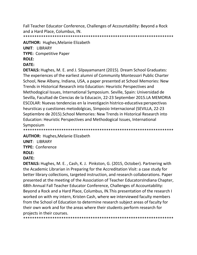Fall Teacher Educator Conference, Challenges of Accountability: Beyond a Rock and a Hard Place, Columbus, IN.

\*\*\*\*\*\*\*\*\*\*\*\*\*\*\*\*\*\*\*\*\*\*\*\*\*\*\*\*\*\*\*\*\*\*\*\*\*\*\*\*\*\*\*\*\*\*\*\*\*\*\*\*\*\*\*\*\*\*\*\*\*\*\*\*\*\*\*

#### **AUTHOR:** Hughes,Melanie Elizabeth

**UNIT**: LIBRARY

**TYPE:** Competitive Paper

## **ROLE:**

# **DATE:**

**DETAILS:** Hughes, M. E. and J. Silpayamanant (2015). Dream School Graduates: The experiences of the earliest alumni of Community Montessori Public Charter School, New Albany, Indiana, USA, a paper presented at School Memories: New Trends in Historical Research into Education: Heuristic Perspectives and Methodogical Issues, International Symposium. Seville, Spain: Universidad de Sevilla, Facultad de Ciencias de la Educacin, 22-23 September 2015.LA MEMORIA ESCOLAR: Nuevas tendencias en la investigacin histrico-educativa:perspectivas heursticas y cuestiones metodolgicas, Simposio Internacional (SEVILLA, 22-23 Septiembre de 2015).School Memories: New Trends in Historical Research into Education: Heuristic Perspectives and Methodogical Issues, International Symposium \*\*\*\*\*\*\*\*\*\*\*\*\*\*\*\*\*\*\*\*\*\*\*\*\*\*\*\*\*\*\*\*\*\*\*\*\*\*\*\*\*\*\*\*\*\*\*\*\*\*\*\*\*\*\*\*\*\*\*\*\*\*\*\*\*\*\*

**AUTHOR:** Hughes,Melanie Elizabeth

**UNIT**: LIBRARY **TYPE:** Conference

# **ROLE:**

# **DATE:**

**DETAILS:** Hughes, M. E. , Cash, K. J. Pinkston, G. (2015, October). Partnering with the Academic Librarian in Preparing for the Accreditation Visit: a case study for better library collections, targeted instruction, and research collaborations. Paper presented at the meeting of the Association of Teacher EducatorsIndiana Chapter, 68th Annual Fall Teacher Educator Conference, Challenges of Accountability: Beyond a Rock and a Hard Place, Columbus, IN.This presentation of the research I worked on with my intern, Kristen Cash, where we interviewed faculty members from the School of Education to determine research subject areas of faculty for their own work and for the areas where their students perform research for projects in their courses.

\*\*\*\*\*\*\*\*\*\*\*\*\*\*\*\*\*\*\*\*\*\*\*\*\*\*\*\*\*\*\*\*\*\*\*\*\*\*\*\*\*\*\*\*\*\*\*\*\*\*\*\*\*\*\*\*\*\*\*\*\*\*\*\*\*\*\*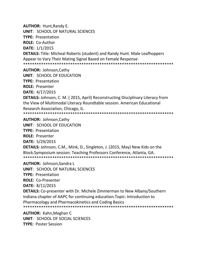**AUTHOR:** Hunt,Randy E. **UNIT**: SCHOOL OF NATURAL SCIENCES **TYPE:** Presentation **ROLE:** Co-Author **DATE:** 1/1/2015 **DETAILS:** Title: Micheal Roberts (student) and Randy Hunt. Male Leafhoppers Appear to Vary Their Mating Signal Based on Female Response \*\*\*\*\*\*\*\*\*\*\*\*\*\*\*\*\*\*\*\*\*\*\*\*\*\*\*\*\*\*\*\*\*\*\*\*\*\*\*\*\*\*\*\*\*\*\*\*\*\*\*\*\*\*\*\*\*\*\*\*\*\*\*\*\*\*\* **AUTHOR:** Johnson,Cathy **UNIT**: SCHOOL OF EDUCATION **TYPE:** Presentation **ROLE:** Presenter **DATE:** 4/17/2015 **DETAILS:** Johnson, C. M. ( 2015, April) Reconstructing Disciplinary Literacy from the View of Multimodal Literacy Roundtable session. American Educational Research Association, Chicago, IL. \*\*\*\*\*\*\*\*\*\*\*\*\*\*\*\*\*\*\*\*\*\*\*\*\*\*\*\*\*\*\*\*\*\*\*\*\*\*\*\*\*\*\*\*\*\*\*\*\*\*\*\*\*\*\*\*\*\*\*\*\*\*\*\*\*\*\* **AUTHOR:** Johnson,Cathy **UNIT**: SCHOOL OF EDUCATION **TYPE:** Presentation **ROLE:** Presenter **DATE:** 5/29/2015

**DETAILS:** Johnson, C.M., Mink, D., Singleton, J. (2015, May) New Kids on the Block.Symposium session. Teaching Professors Conference, Atlanta, GA. \*\*\*\*\*\*\*\*\*\*\*\*\*\*\*\*\*\*\*\*\*\*\*\*\*\*\*\*\*\*\*\*\*\*\*\*\*\*\*\*\*\*\*\*\*\*\*\*\*\*\*\*\*\*\*\*\*\*\*\*\*\*\*\*\*\*\*

**AUTHOR:** Johnson,Sandra L

**UNIT**: SCHOOL OF NATURAL SCIENCES

**TYPE:** Presentation

**ROLE:** Co-Presenter

**DATE:** 8/11/2015

**DETAILS:** Co-presenter with Dr. Michele Zimmerman to New Albany/Southern Indiana chapter of AAPC for continuing education.Topic: Introduction to Pharmacology and Pharmacokinetics and Coding Basics \*\*\*\*\*\*\*\*\*\*\*\*\*\*\*\*\*\*\*\*\*\*\*\*\*\*\*\*\*\*\*\*\*\*\*\*\*\*\*\*\*\*\*\*\*\*\*\*\*\*\*\*\*\*\*\*\*\*\*\*\*\*\*\*\*\*\*

**AUTHOR:** Kahn,Meghan C **UNIT**: SCHOOL OF SOCIAL SCIENCES **TYPE:** Poster Session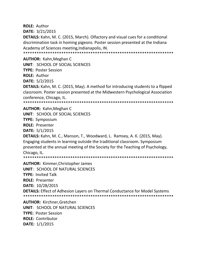**ROLE:** Author

**DATE:** 3/21/2015

**DETAILS:** Kahn, M. C. (2015, March). Olfactory and visual cues for a conditional discrimination task in homing pigeons. Poster session presented at the Indiana Academy of Sciences meeting,Indianapolis, IN.

\*\*\*\*\*\*\*\*\*\*\*\*\*\*\*\*\*\*\*\*\*\*\*\*\*\*\*\*\*\*\*\*\*\*\*\*\*\*\*\*\*\*\*\*\*\*\*\*\*\*\*\*\*\*\*\*\*\*\*\*\*\*\*\*\*\*\*

**AUTHOR:** Kahn,Meghan C

**UNIT**: SCHOOL OF SOCIAL SCIENCES

**TYPE:** Poster Session

**ROLE:** Author

**DATE:** 5/2/2015

**DETAILS:** Kahn, M. C. (2015, May). A method for introducing students to a flipped classroom. Poster session presented at the Midwestern Psychological Association conference, Chicago, IL.

\*\*\*\*\*\*\*\*\*\*\*\*\*\*\*\*\*\*\*\*\*\*\*\*\*\*\*\*\*\*\*\*\*\*\*\*\*\*\*\*\*\*\*\*\*\*\*\*\*\*\*\*\*\*\*\*\*\*\*\*\*\*\*\*\*\*\*

**AUTHOR:** Kahn,Meghan C

**UNIT**: SCHOOL OF SOCIAL SCIENCES

**TYPE:** Symposium

**ROLE:** Presenter

**DATE:** 5/1/2015

**DETAILS:** Kahn, M. C., Manson, T., Woodward, L. Ramsey, A. K. (2015, May). Engaging students in learning outside the traditional classroom. Symposium presented at the annual meeting of the Society for the Teaching of Psychology, Chicago, IL.

\*\*\*\*\*\*\*\*\*\*\*\*\*\*\*\*\*\*\*\*\*\*\*\*\*\*\*\*\*\*\*\*\*\*\*\*\*\*\*\*\*\*\*\*\*\*\*\*\*\*\*\*\*\*\*\*\*\*\*\*\*\*\*\*\*\*\*

**AUTHOR:** Kimmer,Christopher James **UNIT**: SCHOOL OF NATURAL SCIENCES **TYPE:** Invited Talk **ROLE:** Presenter **DATE:** 10/28/2015 **DETAILS:** Effect of Adhesion Layers on Thermal Conductance for Model Systems \*\*\*\*\*\*\*\*\*\*\*\*\*\*\*\*\*\*\*\*\*\*\*\*\*\*\*\*\*\*\*\*\*\*\*\*\*\*\*\*\*\*\*\*\*\*\*\*\*\*\*\*\*\*\*\*\*\*\*\*\*\*\*\*\*\*\*

**AUTHOR:** Kirchner,Gretchen **UNIT**: SCHOOL OF NATURAL SCIENCES **TYPE:** Poster Session **ROLE:** Contributor **DATE:** 1/1/2015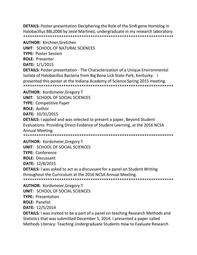**DETAILS:** Poster presentation Deciphering the Role of the SinR gene Homolog in Halobacillus BBL2006 by Jesie Martinez, undergraduate in my research laboratory. 

**AUTHOR: Kirchner, Gretchen** 

**UNIT: SCHOOL OF NATURAL SCIENCES** 

**TYPE: Poster Session** 

**ROLE: Presenter** 

DATE: 1/1/2015

**DETAILS:** Poster presentation - The Characterization of a Unique Environmental Isolate of Halobacillus Bacteria from Big Bone Lick State Park, Kentucky. I presented this poster at the Indiana Academy of Science Spring 2015 meeting. 

**AUTHOR: Kordsmeier, Gregory T** 

**UNIT: SCHOOL OF SOCIAL SCIENCES** 

**TYPE: Competitive Paper** 

**ROLE: Author** 

DATE: 10/31/2015

**DETAILS:** I applied and was selected to present a paper, Beyond Student Evaluations: Providing Direct Evidence of Student Learning, at the 2016 NCSA Annual Meeting.

**AUTHOR: Kordsmeier, Gregory T UNIT: SCHOOL OF SOCIAL SCIENCES TYPE: Conference ROLE: Discussant** 

DATE: 12/8/2015

**DETAILS:** I was asked to act as a discussant for a panel on Student Writing throughout the Curriculum at the 2016 NCSA Annual Meeting. 

**AUTHOR: Kordsmeier, Gregory T UNIT: SCHOOL OF SOCIAL SCIENCES TYPE: Presentation ROLE: Panelist DATE: 12/5/2014** 

**DETAILS:** I was invited to be a part of a panel on teaching Research Methods and Statistics that was submitted December 5, 2014. I presented a paper called Methods Literacy: Teaching Undergraduate Students How to Evaluate Research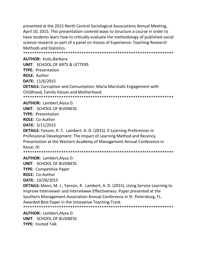presented at the 2015 North Central Sociological Associations Annual Meeting, April 10, 2015. This presentation covered ways to structure a course in order to have students learn how to critically evaluate the methodology of published social science research as part of a panel on Voices of Experience: Teaching Research Methods and Statistics.

\*\*\*\*\*\*\*\*\*\*\*\*\*\*\*\*\*\*\*\*\*\*\*\*\*\*\*\*\*\*\*\*\*\*\*\*\*\*\*\*\*\*\*\*\*\*\*\*\*\*\*\*\*\*\*\*\*\*\*\*\*\*\*\*\*\*\*

**AUTHOR:** Kutis,Barbara **UNIT**: SCHOOL OF ARTS & LETTERS **TYPE:** Presentation **ROLE:** Author **DATE:** 11/6/2015 **DETAILS:** Corruption and Consumption: Maria Marshalls Engagement with Childhood, Family Values and Motherhood. \*\*\*\*\*\*\*\*\*\*\*\*\*\*\*\*\*\*\*\*\*\*\*\*\*\*\*\*\*\*\*\*\*\*\*\*\*\*\*\*\*\*\*\*\*\*\*\*\*\*\*\*\*\*\*\*\*\*\*\*\*\*\*\*\*\*\*

**AUTHOR:** Lambert,Alysa D.

**UNIT**: SCHOOL OF BUSINESS

**TYPE:** Presentation

**ROLE:** Co-Author

**DATE:** 3/11/2015

**DETAILS:** Yanson, R. C. Lambert. A. D. (2015). E-Learning Preferences in Professional Development: The Impact of Learning Method and Recency. Presentation at the Western Academy of Management Annual Conference in Kauai, HI.

\*\*\*\*\*\*\*\*\*\*\*\*\*\*\*\*\*\*\*\*\*\*\*\*\*\*\*\*\*\*\*\*\*\*\*\*\*\*\*\*\*\*\*\*\*\*\*\*\*\*\*\*\*\*\*\*\*\*\*\*\*\*\*\*\*\*\*

**AUTHOR:** Lambert,Alysa D. **UNIT**: SCHOOL OF BUSINESS **TYPE:** Competitive Paper

**ROLE:** Co-Author

**DATE:** 10/29/2015

**DETAILS:** Mann, M. J., Yanson, R. Lambert, A. D. (2015). Using Service Learning to Improve Interviewer and Interviewee Effectiveness. Paper presented at the Southern Management Association Annual Conference in St. Petersburg, FL. Awarded Best Paper in the Innovative Teaching Track.

\*\*\*\*\*\*\*\*\*\*\*\*\*\*\*\*\*\*\*\*\*\*\*\*\*\*\*\*\*\*\*\*\*\*\*\*\*\*\*\*\*\*\*\*\*\*\*\*\*\*\*\*\*\*\*\*\*\*\*\*\*\*\*\*\*\*\*

**AUTHOR:** Lambert,Alysa D. **UNIT**: SCHOOL OF BUSINESS **TYPE:** Invited Talk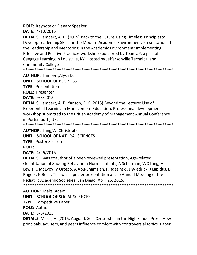**ROLE:** Keynote or Plenary Speaker

**DATE:** 4/10/2015

**DETAILS:** Lambert, A. D. (2015).Back to the Future:Using Timeless Principlesto Develop Leadership Skillsfor the Modern Academic Environment. Presentation at the Leadership and Mentoring in the Academic Environment: Implementing Effective and Positive Practices workshop sponsored by TeamUP, a part of Cengage Learning in Louisville, KY. Hosted by Jeffersonville Technical and Community College

\*\*\*\*\*\*\*\*\*\*\*\*\*\*\*\*\*\*\*\*\*\*\*\*\*\*\*\*\*\*\*\*\*\*\*\*\*\*\*\*\*\*\*\*\*\*\*\*\*\*\*\*\*\*\*\*\*\*\*\*\*\*\*\*\*\*\*

**AUTHOR:** Lambert,Alysa D.

**UNIT**: SCHOOL OF BUSINESS

**TYPE:** Presentation

**ROLE:** Presenter

**DATE:** 9/8/2015

**DETAILS:** Lambert, A. D. Yanson, R. C.(2015).Beyond the Lecture: Use of Experiential Learning in Management Education. Professional development workshop submitted to the British Academy of Management Annual Conference in Portsmouth, UK.

\*\*\*\*\*\*\*\*\*\*\*\*\*\*\*\*\*\*\*\*\*\*\*\*\*\*\*\*\*\*\*\*\*\*\*\*\*\*\*\*\*\*\*\*\*\*\*\*\*\*\*\*\*\*\*\*\*\*\*\*\*\*\*\*\*\*\*

**AUTHOR:** Lang,W. Christopher

**UNIT**: SCHOOL OF NATURAL SCIENCES

**TYPE:** Poster Session

**ROLE:** 

**DATE:** 4/26/2015

**DETAILS:** I was coauthor of a peer-reviewed presentation, Age-related Quantitation of Sucking Behavior in Normal Infants, A Scherman, WC Lang, H Lewis, C McEvoy, V Orozco, A Abu-Shamsieh, R Rdesinski, J Wiedrick, J Lapidus, B Rogers, N Buist. This was a poster presentation at the Annual Meeting of the Pediatric Academic Societies, San Diego, April 26, 2015.

\*\*\*\*\*\*\*\*\*\*\*\*\*\*\*\*\*\*\*\*\*\*\*\*\*\*\*\*\*\*\*\*\*\*\*\*\*\*\*\*\*\*\*\*\*\*\*\*\*\*\*\*\*\*\*\*\*\*\*\*\*\*\*\*\*\*\*

**AUTHOR:** Maksl,Adam

**UNIT**: SCHOOL OF SOCIAL SCIENCES

**TYPE:** Competitive Paper

**ROLE:** Author

**DATE:** 8/6/2015

**DETAILS:** Maksl, A. (2015, August). Self-Censorship in the High School Press: How principals, advisers, and peers influence comfort with controversial topics. Paper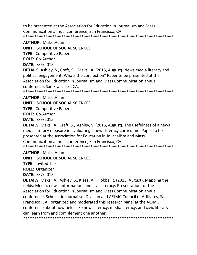to be presented at the Association for Education in Journalism and Mass Communication annual conference, San Francisco, CA. \*\*\*\*\*\*\*\*\*\*\*\*\*\*\*\*\*\*\*\*\*\*\*\*\*\*\*\*\*\*\*\*\*\*\*\*\*\*\*\*\*\*\*\*\*\*\*\*\*\*\*\*\*\*\*\*\*\*\*\*\*\*\*\*\*\*\*

#### **AUTHOR:** Maksl,Adam

**UNIT**: SCHOOL OF SOCIAL SCIENCES

**TYPE:** Competitive Paper

**ROLE:** Co-Author

**DATE:** 8/6/2015

**DETAILS:** Ashley, S., Craft, S., Maksl, A. (2015, August). News media literacy and political engagement: Whats the connection" Paper to be presented at the Association for Education in Journalism and Mass Communication annual conference, San Francisco, CA.

\*\*\*\*\*\*\*\*\*\*\*\*\*\*\*\*\*\*\*\*\*\*\*\*\*\*\*\*\*\*\*\*\*\*\*\*\*\*\*\*\*\*\*\*\*\*\*\*\*\*\*\*\*\*\*\*\*\*\*\*\*\*\*\*\*\*\*

#### **AUTHOR:** Maksl,Adam

**UNIT**: SCHOOL OF SOCIAL SCIENCES

**TYPE:** Competitive Paper

**ROLE:** Co-Author

**DATE:** 8/9/2015

**DETAILS:** Maksl, A., Craft, S., Ashley, S. (2015, August). The usefulness of a news media literacy measure in evaluating a news literacy curriculum. Paper to be presented at the Association for Education in Journalism and Mass Communication annual conference, San Francisco, CA. \*\*\*\*\*\*\*\*\*\*\*\*\*\*\*\*\*\*\*\*\*\*\*\*\*\*\*\*\*\*\*\*\*\*\*\*\*\*\*\*\*\*\*\*\*\*\*\*\*\*\*\*\*\*\*\*\*\*\*\*\*\*\*\*\*\*\*

**AUTHOR:** Maksl,Adam

**UNIT**: SCHOOL OF SOCIAL SCIENCES

**TYPE:** Invited Talk

**ROLE:** Organizer

**DATE:** 8/7/2015

**DETAILS:** Maksl, A., Ashley, S., Kiesa, A., Hobbs, R. (2015, August). Mapping the fields: Media, news, information, and civic literacy. Presentation for the Association for Education in Journalism and Mass Communication annual conference, Scholastic Journalism Division and AEJMC Council of Affiliates, San Francisco, CA.I organized and moderated this research panel at the AEJMC conference about how fields like news literacy, media literacy, and civic literacy can learn from and complement one another. \*\*\*\*\*\*\*\*\*\*\*\*\*\*\*\*\*\*\*\*\*\*\*\*\*\*\*\*\*\*\*\*\*\*\*\*\*\*\*\*\*\*\*\*\*\*\*\*\*\*\*\*\*\*\*\*\*\*\*\*\*\*\*\*\*\*\*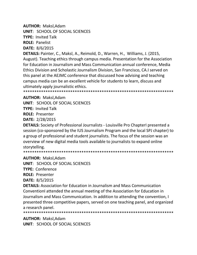**AUTHOR:** Maksl,Adam

**UNIT**: SCHOOL OF SOCIAL SCIENCES

**TYPE:** Invited Talk

**ROLE:** Panelist

**DATE:** 8/6/2015

**DETAILS:** Painter, C., Maksl, A., Reimold, D., Warren, H., Williams, J. (2015, August). Teaching ethics through campus media. Presentation for the Association for Education in Journalism and Mass Communication annual conference, Media Ethics Division and Scholastic Journalism Division, San Francisco, CA.I served on this panel at the AEJMC conference that discussed how advising and teaching campus media can be an excellent vehicle for students to learn, discuss and ultimately apply journalistic ethics.

\*\*\*\*\*\*\*\*\*\*\*\*\*\*\*\*\*\*\*\*\*\*\*\*\*\*\*\*\*\*\*\*\*\*\*\*\*\*\*\*\*\*\*\*\*\*\*\*\*\*\*\*\*\*\*\*\*\*\*\*\*\*\*\*\*\*\*

# **AUTHOR:** Maksl,Adam

**UNIT**: SCHOOL OF SOCIAL SCIENCES

**TYPE:** Invited Talk

**ROLE:** Presenter

**DATE:** 2/28/2015

**DETAILS:** Society of Professional Journalists - Louisville Pro ChapterI presented a session (co-sponsored by the IUS Journalism Program and the local SPJ chapter) to a group of professional and student journalists. The focus of the session was an overview of new digital media tools available to journalists to expand online storytelling.

\*\*\*\*\*\*\*\*\*\*\*\*\*\*\*\*\*\*\*\*\*\*\*\*\*\*\*\*\*\*\*\*\*\*\*\*\*\*\*\*\*\*\*\*\*\*\*\*\*\*\*\*\*\*\*\*\*\*\*\*\*\*\*\*\*\*\*

**AUTHOR:** Maksl,Adam

**UNIT**: SCHOOL OF SOCIAL SCIENCES

**TYPE:** Conference

**ROLE:** Presenter

**DATE:** 8/5/2015

**DETAILS:** Association for Education in Journalism and Mass Communication ConventionI attended the annual meeting of the Association for Education in Journalism and Mass Communication. In addition to attending the convention, I presented three competitive papers, served on one teaching panel, and organized a research panel.

\*\*\*\*\*\*\*\*\*\*\*\*\*\*\*\*\*\*\*\*\*\*\*\*\*\*\*\*\*\*\*\*\*\*\*\*\*\*\*\*\*\*\*\*\*\*\*\*\*\*\*\*\*\*\*\*\*\*\*\*\*\*\*\*\*\*\*

**AUTHOR:** Maksl,Adam **UNIT**: SCHOOL OF SOCIAL SCIENCES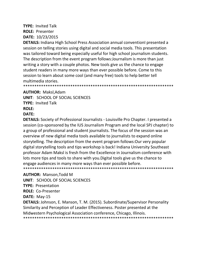# **TYPE:** Invited Talk **ROLE:** Presenter **DATE:** 10/23/2015

**DETAILS:** Indiana High School Press Association annual conventionI presented a session on telling stories using digital and social media tools. This presentation was tailored toward being especially useful for high school journalism students. The description from the event program follows:Journalism is more than just writing a story with a couple photos. New tools give us the chance to engage student readers in many more ways than ever possible before. Come to this session to learn about some cool (and many free) tools to help better tell multimedia stories.

\*\*\*\*\*\*\*\*\*\*\*\*\*\*\*\*\*\*\*\*\*\*\*\*\*\*\*\*\*\*\*\*\*\*\*\*\*\*\*\*\*\*\*\*\*\*\*\*\*\*\*\*\*\*\*\*\*\*\*\*\*\*\*\*\*\*\*

**AUTHOR:** Maksl,Adam

**UNIT**: SCHOOL OF SOCIAL SCIENCES

**TYPE:** Invited Talk

#### **ROLE:**

### **DATE:**

**DETAILS:** Society of Professional Journalists - Louisville Pro Chapter. I presented a session (co-sponsored by the IUS Journalism Program and the local SPJ chapter) to a group of professional and student journalists. The focus of the session was an overview of new digital media tools available to journalists to expand online storytelling. The description from the event program follows:Our very popular digital storytelling tools and tips workshop is back! Indiana University Southeast professor Adam Maksl is fresh from the Excellence in Journalism conference with lots more tips and tools to share with you.Digital tools give us the chance to engage audiences in many more ways than ever possible before. \*\*\*\*\*\*\*\*\*\*\*\*\*\*\*\*\*\*\*\*\*\*\*\*\*\*\*\*\*\*\*\*\*\*\*\*\*\*\*\*\*\*\*\*\*\*\*\*\*\*\*\*\*\*\*\*\*\*\*\*\*\*\*\*\*\*\*

#### **AUTHOR:** Manson,Todd M

**UNIT**: SCHOOL OF SOCIAL SCIENCES

**TYPE:** Presentation

**ROLE:** Co-Presenter

**DATE:** May-15

**DETAILS:** Johnson, E. Manson, T. M. (2015). Subordinate/Supervisor Personality Similarity and Perception of Leader Effectiveness. Poster presented at the Midwestern Psychological Association conference, Chicago, Illinois. \*\*\*\*\*\*\*\*\*\*\*\*\*\*\*\*\*\*\*\*\*\*\*\*\*\*\*\*\*\*\*\*\*\*\*\*\*\*\*\*\*\*\*\*\*\*\*\*\*\*\*\*\*\*\*\*\*\*\*\*\*\*\*\*\*\*\*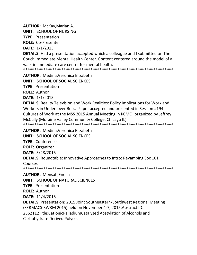**AUTHOR:** McKay, Marian A.

**UNIT: SCHOOL OF NURSING** 

**TYPE: Presentation** 

**ROLE: Co-Presenter** 

DATE: 1/1/2015

**DETAILS:** Had a presentation accepted which a colleague and I submitted on The Couch Immediate Mental Health Center, Content centered around the model of a walk-in immediate care center for mental health.

**AUTHOR:** Medina, Veronica Elizabeth

**UNIT: SCHOOL OF SOCIAL SCIENCES** 

**TYPE: Presentation** 

**ROLE: Author** 

**DATE: 1/1/2015** 

**DETAILS:** Reality Television and Work Realities: Policy Implications for Work and Workers in Undercover Boss. Paper accepted and presented in Session #194 Cultures of Work at the MSS 2015 Annual Meeting in KCMO, organized by Jeffrey McCully (Moraine Valley Community College, Chicago IL) 

**AUTHOR: Medina, Veronica Elizabeth** 

UNIT: SCHOOL OF SOCIAL SCIENCES

**TYPE: Conference** 

**ROLE: Organizer** 

**DATE: 3/28/2015** 

**DETAILS:** Roundtable: Innovative Approaches to Intro: Revamping Soc 101

Courses

**AUTHOR: Mensah, Enoch** 

**UNIT: SCHOOL OF NATURAL SCIENCES** 

**TYPE: Presentation** 

**ROLE: Author** 

DATE: 11/4/2015

**DETAILS:** Presentation: 2015 Joint Southeastern/Southwest Regional Meeting (SERMACS-SWRM 2015) held on November 4-7, 2015. Abstract ID: 2362112Title:CationicPalladiumCatalyzed Acetylation of Alcohols and

Carbohydrate Derived Polyols.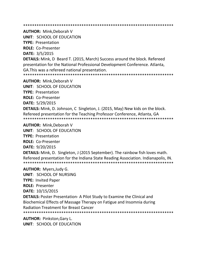\*\*\*\*\*\*\*\*\*\*\*\*\*\*\*\*\*\*\*\*\*\*\*\*\*\*\*\*\*\*\*\*\*\*\*\*\*\*\*\*\*\*\*\*\*\*\*\*\*\*\*\*\*\*\*\*\*\*\*\*\*\*\*\*\*\*\*

**AUTHOR:** Mink,Deborah V

**UNIT**: SCHOOL OF EDUCATION

**TYPE:** Presentation

**ROLE:** Co-Presenter

**DATE:** 3/5/2015

**DETAILS:** Mink, D Beard T. (2015, March) Success around the block. Refereed presentation for the National Professional Development Conference. Atlanta, GA.This was a refereed national presentation.

\*\*\*\*\*\*\*\*\*\*\*\*\*\*\*\*\*\*\*\*\*\*\*\*\*\*\*\*\*\*\*\*\*\*\*\*\*\*\*\*\*\*\*\*\*\*\*\*\*\*\*\*\*\*\*\*\*\*\*\*\*\*\*\*\*\*\*

**AUTHOR:** Mink,Deborah V

**UNIT**: SCHOOL OF EDUCATION

**TYPE:** Presentation

**ROLE:** Co-Presenter

**DATE:** 5/29/2015

**DETAILS:** Mink, D. Johnson, C Singleton, J. (2015, May) New kids on the block. Refereed presentation for the Teaching Professor Conference, Atlanta, GA \*\*\*\*\*\*\*\*\*\*\*\*\*\*\*\*\*\*\*\*\*\*\*\*\*\*\*\*\*\*\*\*\*\*\*\*\*\*\*\*\*\*\*\*\*\*\*\*\*\*\*\*\*\*\*\*\*\*\*\*\*\*\*\*\*\*\*

**AUTHOR:** Mink,Deborah V

**UNIT**: SCHOOL OF EDUCATION

**TYPE:** Presentation

**ROLE:** Co-Presenter

**DATE:** 9/20/2015

**DETAILS:** Mink, D. Singleton, J (2015 September). The rainbow fish loves math. Refereed presentation for the Indiana State Reading Association. Indianapolis, IN. \*\*\*\*\*\*\*\*\*\*\*\*\*\*\*\*\*\*\*\*\*\*\*\*\*\*\*\*\*\*\*\*\*\*\*\*\*\*\*\*\*\*\*\*\*\*\*\*\*\*\*\*\*\*\*\*\*\*\*\*\*\*\*\*\*\*\*

**AUTHOR:** Myers,Judy G.

**UNIT**: SCHOOL OF NURSING

**TYPE:** Invited Paper

**ROLE:** Presenter

**DATE:** 10/15/2015

**DETAILS:** Poster Presentation- A Pilot Study to Examine the Clinical and Biochemical Effects of Massage Therapy on Fatigue and Insomnia during Radiation Treatment for Breast Cancer

\*\*\*\*\*\*\*\*\*\*\*\*\*\*\*\*\*\*\*\*\*\*\*\*\*\*\*\*\*\*\*\*\*\*\*\*\*\*\*\*\*\*\*\*\*\*\*\*\*\*\*\*\*\*\*\*\*\*\*\*\*\*\*\*\*\*\*

**AUTHOR:** Pinkston,Gary L. **UNIT**: SCHOOL OF EDUCATION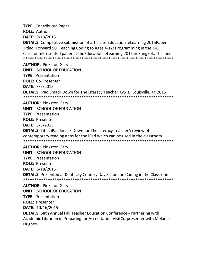**TYPE:** Contributed Paper **ROLE:** Author **DATE:** 9/13/2015

**DETAILS:** Competitive submission of article to Education eLearning 2015Paper Titled: Forward 50, Teaching Coding to Ages 4-12: Programming in the.K-6 ClassroomPresented paper at theEducation eLearning 2015 in Bangkok, Thailand. \*\*\*\*\*\*\*\*\*\*\*\*\*\*\*\*\*\*\*\*\*\*\*\*\*\*\*\*\*\*\*\*\*\*\*\*\*\*\*\*\*\*\*\*\*\*\*\*\*\*\*\*\*\*\*\*\*\*\*\*\*\*\*\*\*\*\*

**AUTHOR:** Pinkston,Gary L. **UNIT**: SCHOOL OF EDUCATION **TYPE:** Presentation **ROLE:** Co-Presenter **DATE:** 3/5/2015 **DETAILS:** iPad Smack Down for The Literacy Teacher,KySTE, Louisville, KY 2015 \*\*\*\*\*\*\*\*\*\*\*\*\*\*\*\*\*\*\*\*\*\*\*\*\*\*\*\*\*\*\*\*\*\*\*\*\*\*\*\*\*\*\*\*\*\*\*\*\*\*\*\*\*\*\*\*\*\*\*\*\*\*\*\*\*\*\* **AUTHOR:** Pinkston,Gary L.

**UNIT**: SCHOOL OF EDUCATION **TYPE:** Presentation **ROLE:** Presenter **DATE:** 3/5/2015 **DETAILS:** Title: iPad Smack Down for The Literacy TeacherA review of contemporary reading apps for the iPad which can be used in the classroom. \*\*\*\*\*\*\*\*\*\*\*\*\*\*\*\*\*\*\*\*\*\*\*\*\*\*\*\*\*\*\*\*\*\*\*\*\*\*\*\*\*\*\*\*\*\*\*\*\*\*\*\*\*\*\*\*\*\*\*\*\*\*\*\*\*\*\* **AUTHOR:** Pinkston,Gary L.

**UNIT**: SCHOOL OF EDUCATION **TYPE:** Presentation **ROLE:** Presenter **DATE:** 6/18/2015 **DETAILS:** Presented at Kentucky Country Day School on Coding in the Classroom. \*\*\*\*\*\*\*\*\*\*\*\*\*\*\*\*\*\*\*\*\*\*\*\*\*\*\*\*\*\*\*\*\*\*\*\*\*\*\*\*\*\*\*\*\*\*\*\*\*\*\*\*\*\*\*\*\*\*\*\*\*\*\*\*\*\*\*

**AUTHOR:** Pinkston,Gary L. **UNIT**: SCHOOL OF EDUCATION **TYPE:** Presentation **ROLE:** Presenter **DATE:** 10/16/2015 **DETAILS:** 68th Annual Fall Teacher Education Conference - Partnering with Academic Librarian in Preparing for Acceditation VisitCo-presenter with Melanie Hughes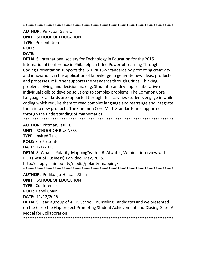**AUTHOR: Pinkston, Gary L.** 

**UNIT: SCHOOL OF EDUCATION TYPE: Presentation** 

**ROLE:** 

# **DATE:**

**DETAILS:** International society for Technology in Education for the 2015 International Conference in Philadelphia titled Powerful Learning Through Coding. Presentation supports the ISTE NETS-S Standards by promoting creativity and innovation via the application of knowledge to generate new ideas, products and processes. It further supports the Standards through Critical Thinking, problem solving, and decision making. Students can develop collaborative or individual skills to develop solutions to complex problems. The Common Core Language Standards are supported through the activities students engage in while coding which require them to read complex language and rearrange and integrate them into new products. The Common Core Math Standards are supported through the understanding of mathematics. 

**AUTHOR: Pittman, Paul H. UNIT: SCHOOL OF BUSINESS TYPE: Invited Talk ROLE: Co-Presenter** DATE: 1/1/2015 **DETAILS:** What is Polarity-Mapping"with J. B. Atwater, Webinar interview with BOB (Best of Business) TV Video, May, 2015. http://supplychain.bob.tv/media/polarity-mapping/ 

**AUTHOR: Podikunju-Hussain, Shifa** 

**UNIT: SCHOOL OF EDUCATION** 

**TYPE: Conference** 

**ROLE: Panel Chair** 

DATE: 11/12/2015

**DETAILS:** Lead a group of 4 IUS School Counseling Candidates and we presented on the Close the Gap project: Promoting Student Achievement and Closing Gaps: A **Model for Collaboration**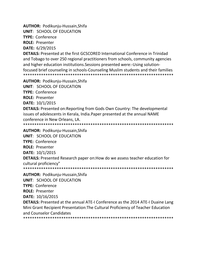**AUTHOR:** Podikunju-Hussain,Shifa

**UNIT**: SCHOOL OF EDUCATION

**TYPE:** Conference

**ROLE:** Presenter

**DATE:** 6/29/2015

**DETAILS:** Presented at the first GCSCORED International Conference in Trinidad and Tobago to over 250 regional practitioners from schools, community agencies and higher education institutions.Sessions presented were:-Using solutionfocused brief counseling in schools-Counseling Muslim students and their families \*\*\*\*\*\*\*\*\*\*\*\*\*\*\*\*\*\*\*\*\*\*\*\*\*\*\*\*\*\*\*\*\*\*\*\*\*\*\*\*\*\*\*\*\*\*\*\*\*\*\*\*\*\*\*\*\*\*\*\*\*\*\*\*\*\*\*

**AUTHOR:** Podikunju-Hussain,Shifa

**UNIT**: SCHOOL OF EDUCATION

**TYPE:** Conference

**ROLE:** Presenter

**DATE:** 10/1/2015

**DETAILS:** Presented on:Reporting from Gods Own Country: The developmental issues of adolescents in Kerala, India.Paper presented at the annual NAME conference in New Orleans, LA.

\*\*\*\*\*\*\*\*\*\*\*\*\*\*\*\*\*\*\*\*\*\*\*\*\*\*\*\*\*\*\*\*\*\*\*\*\*\*\*\*\*\*\*\*\*\*\*\*\*\*\*\*\*\*\*\*\*\*\*\*\*\*\*\*\*\*\*

**AUTHOR:** Podikunju-Hussain,Shifa

**UNIT**: SCHOOL OF EDUCATION

**TYPE:** Conference

**ROLE:** Presenter

**DATE:** 10/1/2015

**DETAILS:** Presented Research paper on:How do we assess teacher education for cultural proficiency"

\*\*\*\*\*\*\*\*\*\*\*\*\*\*\*\*\*\*\*\*\*\*\*\*\*\*\*\*\*\*\*\*\*\*\*\*\*\*\*\*\*\*\*\*\*\*\*\*\*\*\*\*\*\*\*\*\*\*\*\*\*\*\*\*\*\*\*

**AUTHOR:** Podikunju-Hussain,Shifa

**UNIT**: SCHOOL OF EDUCATION

**TYPE:** Conference

**ROLE:** Presenter

**DATE:** 10/16/2015

**DETAILS:** Presented at the annual ATE-I Conference as the 2014 ATE-I Duaine Lang Mini Grant Recipient Presentation:The Cultural Proficiency of Teacher Education and Counselor Candidates \*\*\*\*\*\*\*\*\*\*\*\*\*\*\*\*\*\*\*\*\*\*\*\*\*\*\*\*\*\*\*\*\*\*\*\*\*\*\*\*\*\*\*\*\*\*\*\*\*\*\*\*\*\*\*\*\*\*\*\*\*\*\*\*\*\*\*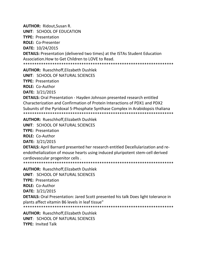**AUTHOR: Ridout, Susan R.** 

**UNIT: SCHOOL OF EDUCATION** 

**TYPE: Presentation** 

**ROLE: Co-Presenter** 

DATE: 10/24/2015

**DETAILS:** Presentation (delivered two times) at the ISTAs Student Education Association. How to Get Children to LOVE to Read.

**AUTHOR: Rueschhoff, Elizabeth Dushlek** 

**UNIT: SCHOOL OF NATURAL SCIENCES** 

**TYPE: Presentation** 

**ROLE: Co-Author** 

**DATE: 3/21/2015** 

**DETAILS:** Oral Presentation - Hayden Johnson presented research entitled Characterization and Confirmation of Protein Interactions of PDX1 and PDX2 Subunits of the Pyridoxal 5-Phosphate Synthase Complex in Arabidopsis thaliana 

**AUTHOR: Rueschhoff, Elizabeth Dushlek** 

**UNIT: SCHOOL OF NATURAL SCIENCES** 

**TYPE: Presentation** 

ROLE: Co-Author

DATE: 3/21/2015

**DETAILS:** April Barnard presented her research entitled Decellularization and reendothelialization of mouse hearts using induced pluripotent stem-cell derived cardiovascular progenitor cells.

**AUTHOR: Rueschhoff, Elizabeth Dushlek** 

**UNIT: SCHOOL OF NATURAL SCIENCES** 

**TYPE: Presentation** 

**ROLE: Co-Author** 

DATE: 3/21/2015

**DETAILS:** Oral Presentation: Jared Scott presented his talk Does light tolerance in plants affect vitamin B6 levels in leaf tissue"

**AUTHOR: Rueschhoff, Elizabeth Dushlek** UNIT: SCHOOL OF NATURAL SCIENCES **TYPE: Invited Talk**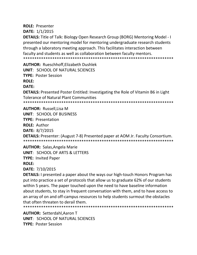**ROLE: Presenter** DATE: 1/1/2015

**DETAILS:** Title of Talk: Biology Open Research Group (BORG) Mentoring Model - I presented our mentoring model for mentoring undergraduate research students through a laboratory meeting approach. This facilitates interaction between faculty and students as well as collaboration between faculty mentors. 

**AUTHOR: Rueschhoff.Elizabeth Dushlek** UNIT: SCHOOL OF NATURAL SCIENCES **TYPE: Poster Session ROLE:** 

**DATE:** 

**DETAILS:** Presented Poster Entitled: Investigating the Role of Vitamin B6 in Light **Tolerance of Natural Plant Communities** 

**AUTHOR: Russell, Lisa M** UNIT: SCHOOL OF BUSINESS **TYPE: Presentation ROLE: Author** DATE: 8/7/2015 **DETAILS:** Presenter: (August 7-8) Presented paper at AOM Jr. Faculty Consortium. 

**AUTHOR: Salas, Angela Marie UNIT: SCHOOL OF ARTS & LETTERS TYPE: Invited Paper ROLE:** 

DATE: 7/10/2015

**DETAILS:** I presented a paper about the ways our high-touch Honors Program has put into practice a set of protocols that allow us to graduate 62% of our students within 5 years. The paper touched upon the need to have baseline information about students, to stay in frequent conversation with them, and to have access to an array of on and off-campus resources to help students surmout the obstacles that often threaten to derail them.

**AUTHOR: Setterdahl, Aaron T** UNIT: SCHOOL OF NATURAL SCIENCES **TYPE: Poster Session**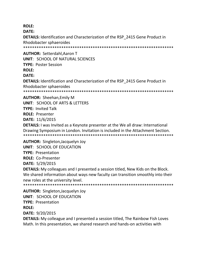**ROLE:** 

DATE:

**DETAILS:** Identification and Characterization of the RSP 2415 Gene Product in Rhodobacter sphaeroides 

**AUTHOR: Setterdahl, Aaron T** 

UNIT: SCHOOL OF NATURAL SCIENCES

**TYPE: Poster Session** 

**ROLE:** 

DATE:

**DETAILS:** Identification and Characterization of the RSP\_2415 Gene Product in Rhodobacter sphaeroides

**AUTHOR: Sheehan, Emily M UNIT: SCHOOL OF ARTS & LETTERS TYPE: Invited Talk ROLE: Presenter DATE: 11/6/2015** 

**DETAILS:** I was Invited as a Keynote presenter at the We all draw: International Drawing Symposium in London. Invitation is included in the Attachment Section. 

**AUTHOR:** Singleton, Jacquelyn Joy **UNIT: SCHOOL OF EDUCATION** 

**TYPE: Presentation** 

**ROLE: Co-Presenter** 

DATE: 5/29/2015

**DETAILS:** My colleagues and I presented a session titled, New Kids on the Block. We shared information about ways new faculty can transition smoothly into their new roles at the university level.

**AUTHOR:** Singleton, Jacquelyn Joy **UNIT: SCHOOL OF EDUCATION TYPE: Presentation ROLE:** 

**DATE: 9/20/2015** 

**DETAILS:** My colleague and I presented a session titled, The Rainbow Fish Loves Math. In this presentation, we shared research and hands-on activities with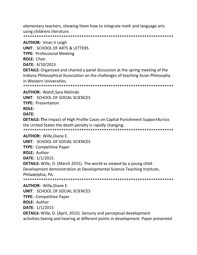elementary teachers, showing them how to integrate math and language arts using childrens literature.

**AUTHOR: Viner, V Leigh UNIT: SCHOOL OF ARTS & LETTERS TYPE: Professional Meeting ROLE: Chair** DATE: 4/10/2015 **DETAILS:** Organized and chaired a panel discussion at the spring meeting of the Indiana Philosophical Association on the challenges of teaching Asian Philosophy in Western Universities. **AUTHOR: Walsh, Sara Malinda UNIT: SCHOOL OF SOCIAL SCIENCES TYPE: Presentation ROLE:** 

DATE:

**DETAILS: The Impact of High Profile Cases on Capital Punishment SupportAcross** the United States the death penalty is rapidly changing.

**AUTHOR: Wille, Diane E.** 

**UNIT: SCHOOL OF SOCIAL SCIENCES** 

**TYPE: Competitive Paper** 

**ROLE: Author** 

**DATE: 1/1/2015** 

**DETAILS:** Wille, D. (March 2015). The world as viewed by a young child.

Development demonstration at Developmental Science Teaching Institute, Philadelphia, PA.

**AUTHOR: Wille, Diane E. UNIT: SCHOOL OF SOCIAL SCIENCES TYPE: Competitive Paper ROLE: Author** DATE: 1/1/2015 **DETAILS:** Wille, D. (April, 2015). Sensory and perceptual development activities: Seeing and hearing at different points in development. Paper presented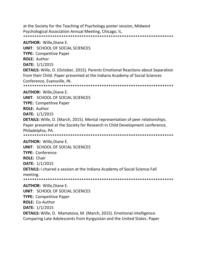at the Society for the Teaching of Psychology poster session, Midwest Psychological Association Annual Meeting, Chicago, IL. \*\*\*\*\*\*\*\*\*\*\*\*\*\*\*\*\*\*\*\*\*\*\*\*\*\*\*\*\*\*\*\*\*\*\*\*\*\*\*\*\*\*\*\*\*\*\*\*\*\*\*\*\*\*\*\*\*\*\*\*\*\*\*\*\*\*\*

**AUTHOR:** Wille,Diane E. **UNIT**: SCHOOL OF SOCIAL SCIENCES **TYPE:** Competitive Paper **ROLE:** Author **DATE:** 1/1/2015 **DETAILS:** Wille, D. (October, 2015). Parents Emotional Reactions about Separation from their Child. Paper presented at the Indiana Academy of Social Sciences Conference, Evansville, IN. \*\*\*\*\*\*\*\*\*\*\*\*\*\*\*\*\*\*\*\*\*\*\*\*\*\*\*\*\*\*\*\*\*\*\*\*\*\*\*\*\*\*\*\*\*\*\*\*\*\*\*\*\*\*\*\*\*\*\*\*\*\*\*\*\*\*\* **AUTHOR:** Wille,Diane E. **UNIT**: SCHOOL OF SOCIAL SCIENCES **TYPE:** Competitive Paper **ROLE:** Author **DATE:** 1/1/2015 **DETAILS:** Wille, D. (March, 2015). Mental representation of peer relationships. Paper presented at the Society for Research in Child Development conference, Philadelphia, PA. \*\*\*\*\*\*\*\*\*\*\*\*\*\*\*\*\*\*\*\*\*\*\*\*\*\*\*\*\*\*\*\*\*\*\*\*\*\*\*\*\*\*\*\*\*\*\*\*\*\*\*\*\*\*\*\*\*\*\*\*\*\*\*\*\*\*\* **AUTHOR:** Wille,Diane E. **UNIT**: SCHOOL OF SOCIAL SCIENCES **TYPE:** Conference **ROLE:** Chair **DATE:** 1/1/2015 **DETAILS:** I chaired a session at the Indiana Academy of Social Science Fall meeting. \*\*\*\*\*\*\*\*\*\*\*\*\*\*\*\*\*\*\*\*\*\*\*\*\*\*\*\*\*\*\*\*\*\*\*\*\*\*\*\*\*\*\*\*\*\*\*\*\*\*\*\*\*\*\*\*\*\*\*\*\*\*\*\*\*\*\* **AUTHOR:** Wille,Diane E. **UNIT**: SCHOOL OF SOCIAL SCIENCES **TYPE:** Competitive Paper **ROLE:** Co-Author **DATE:** 1/1/2015 **DETAILS:** Wille, D. Mamatova, M. (March, 2015). Emotional intelligence:

Comparing Late Adolescents from Kyrgyzstan and the United States. Paper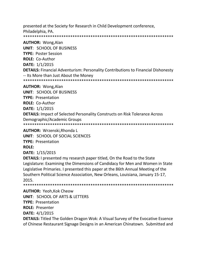presented at the Society for Research in Child Development conference, Philadelphia, PA. 

**AUTHOR: Wong, Alan UNIT: SCHOOL OF BUSINESS TYPE: Poster Session ROLE: Co-Author** DATE: 1/1/2015 **DETAILS:** Financial Adventurism: Personality Contributions to Financial Dishonesty -- Its More than Just About the Money 

**AUTHOR: Wong, Alan** 

**UNIT: SCHOOL OF BUSINESS** 

**TYPE: Presentation** 

**ROLE: Co-Author** 

**DATE: 1/1/2015** 

**DETAILS:** Impact of Selected Personality Constructs on Risk Tolerance Across Demographic/Academic Groups

**AUTHOR: Wrzenski, Rhonda L** 

UNIT: SCHOOL OF SOCIAL SCIENCES

**TYPE: Presentation** 

**ROLE:** 

**DATE: 1/15/2015** 

**DETAILS:** I presented my research paper titled, On the Road to the State Legislature: Examining the Dimensions of Candidacy for Men and Women in State Legislative Primaries. I presented this paper at the 86th Annual Meeting of the Southern Political Science Association, New Orleans, Louisiana, January 15-17, 2015

**AUTHOR: Yeoh, Kok Cheow** 

**UNIT: SCHOOL OF ARTS & LETTERS** 

**TYPE: Presentation** 

**ROLE: Presenter** 

**DATE:** 4/1/2015

**DETAILS:** Titled The Golden Dragon Wok: A Visual Survey of the Evocative Essence of Chinese Restaurant Signage Designs in an American Chinatown. Submitted and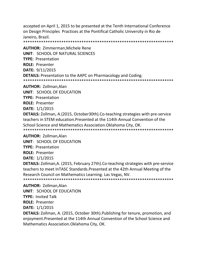accepted on April 1, 2015 to be presented at the Tenth International Conference on Design Principles Practices at the Pontifical Catholic University in Rio de Janeiro, Brazil.

\*\*\*\*\*\*\*\*\*\*\*\*\*\*\*\*\*\*\*\*\*\*\*\*\*\*\*\*\*\*\*\*\*\*\*\*\*\*\*\*\*\*\*\*\*\*\*\*\*\*\*\*\*\*\*\*\*\*\*\*\*\*\*\*\*\*\*

**AUTHOR:** Zimmerman,Michele Rene **UNIT**: SCHOOL OF NATURAL SCIENCES **TYPE:** Presentation **ROLE:** Presenter **DATE:** 9/11/2015 **DETAILS:** Presentation to the AAPC on Pharmacology and Coding. \*\*\*\*\*\*\*\*\*\*\*\*\*\*\*\*\*\*\*\*\*\*\*\*\*\*\*\*\*\*\*\*\*\*\*\*\*\*\*\*\*\*\*\*\*\*\*\*\*\*\*\*\*\*\*\*\*\*\*\*\*\*\*\*\*\*\* **AUTHOR:** Zollman,Alan

**UNIT**: SCHOOL OF EDUCATION

**TYPE:** Presentation

**ROLE:** Presenter

**DATE:** 1/1/2015

**DETAILS:** Zollman, A.(2015, October30th).Co-teaching strategies with pre-service teachers in STEM education.Presented at the 114th Annual Convention of the School Science and Mathematics Association.Oklahoma City, OK. \*\*\*\*\*\*\*\*\*\*\*\*\*\*\*\*\*\*\*\*\*\*\*\*\*\*\*\*\*\*\*\*\*\*\*\*\*\*\*\*\*\*\*\*\*\*\*\*\*\*\*\*\*\*\*\*\*\*\*\*\*\*\*\*\*\*\*

**AUTHOR:** Zollman,Alan

**UNIT**: SCHOOL OF EDUCATION

**TYPE:** Presentation

**ROLE:** Presenter

**DATE:** 1/1/2015

**DETAILS:** Zollman,A. (2015, February 27th).Co-teaching strategies with pre-service teachers to meet InTASC Standards.Presented at the 42th Annual Meeting of the Research Council on Mathematics Learning. Las Vegas, NV. \*\*\*\*\*\*\*\*\*\*\*\*\*\*\*\*\*\*\*\*\*\*\*\*\*\*\*\*\*\*\*\*\*\*\*\*\*\*\*\*\*\*\*\*\*\*\*\*\*\*\*\*\*\*\*\*\*\*\*\*\*\*\*\*\*\*\*

**AUTHOR:** Zollman,Alan **UNIT**: SCHOOL OF EDUCATION

**TYPE:** Invited Talk

**ROLE:** Presenter

**DATE:** 1/1/2015

**DETAILS:** Zollman, A. (2015, October 30th).Publishing for tenure, promotion, and enjoyment.Presented at the 114th Annual Convention of the School Science and Mathematics Association.Oklahoma City, OK.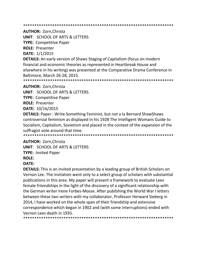**AUTHOR: Zorn, Christa** 

**UNIT: SCHOOL OF ARTS & LETTERS** 

**TYPE: Competitive Paper** 

**ROLE: Presenter** 

DATE: 1/1/2015

**DETAILS:** An early version of Shaws Staging of Capitalism (focus on modern financial and economic theories as represented in Heartbreak House and elsewhere in his writing) was presented at the Comparative Drama Conference in Baltimore, March 26-28, 2015.

**AUTHOR: Zorn, Christa** 

**UNIT: SCHOOL OF ARTS & LETTERS** 

**TYPE: Competitive Paper** 

**ROLE: Presenter** 

DATE: 10/16/2015

**DETAILS:** Paper: Write Something Feminist, but not a la Bernard ShawShaws controversial feminism as displayed in his 1928 The Intelligent Womans Guide to Socialism, Capitalism, Sovietism and placed in the context of the expansion of the suffragist vote around that time.

\*\*\*\*\*\*\*\*\*\*\*\*\*\*\*\*\*\*\*\*\* 

#### **AUTHOR: Zorn, Christa**

**UNIT: SCHOOL OF ARTS & LETTERS** 

**TYPE: Invited Paper** 

# **ROLE:**

DATE:

**DETAILS:** This is an invited presentation by a leading group of British Scholars on Vernon Lee. The invitation went only to a select group of scholars with substantial publications in this area. My paper will present a framework to evaluate Lees female friiendships in the light of the discovery of a significant relationship with the German writer Irene Forbes-Mosse. After pubilshing the World War I letters between these two writers with my collaborator, Professor Herward Sieberg in 2014, I have worked on the whole span of their friendship and extensive correspondence which began in 1902 and (with some interruptions) ended with Vernon Lees death in 1935.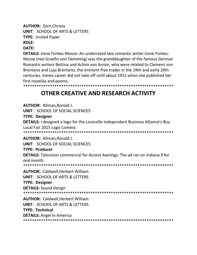**AUTHOR: Zorn, Christa UNIT: SCHOOL OF ARTS & LETTERS TYPE: Invited Paper ROLE:** 

# DATE:

**DETAILS:** Irene Forbes-Mosse: An underrated late romantic writer. Irene Forbes-Mosse (nee Graefin von Flemming) was the granddaughter of the famous German Romantic writers Bettina and Achim von Arnim, who were related to Clemens von Brentano and Lujo Brentano, the eminent free trader in the 19th and early 20th centuries. Irenes career did not take off until about 1912 when she published her first novellas and poems.

# OTHER CREATIVE AND RESEARCH ACTIVITY

**AUTHOR: Allman, Ronald J. UNIT: SCHOOL OF SOCIAL SCIENCES TYPE: Designer DETAILS:** I designed a logo for the Louisville Independent Business Alliance's Buy Local Fair 2015 Logo Contest. \*\*\*\*\*\*\*\*\*\*\*\*\*\*\*\*\*\*\*\*\*\* **AUTHOR: Allman.Ronald J. UNIT: SCHOOL OF SOCIAL SCIENCES TYPE: Producer DETAILS:** Television commercial for Accent Awnings. The ad ran on Indiana 9 for one month. **AUTHOR: Caldwell, Herbert William UNIT: SCHOOL OF ARTS & LETTERS TYPE: Designer DETAILS: Sound Design AUTHOR: Caldwell, Herbert William UNIT: SCHOOL OF ARTS & LETTERS TYPE: Technical DETAILS:** Angel In America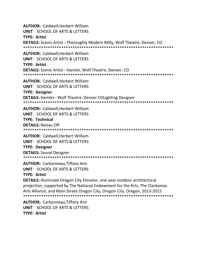**AUTHOR:** Caldwell,Herbert William **UNIT**: SCHOOL OF ARTS & LETTERS **TYPE: Artist DETAILS:** Scenic Artist - Thoroughly Modern Milly, Wolf Theatre, Denver, CO \*\*\*\*\*\*\*\*\*\*\*\*\*\*\*\*\*\*\*\*\*\*\*\*\*\*\*\*\*\*\*\*\*\*\*\*\*\*\*\*\*\*\*\*\*\*\*\*\*\*\*\*\*\*\*\*\*\*\*\*\*\*\*\*\*\*\* **AUTHOR:** Caldwell,Herbert William **UNIT**: SCHOOL OF ARTS & LETTERS **TYPE: Artist DETAILS:** Scenic Artist - Hamlet, Wolf Theatre, Denver, CO \*\*\*\*\*\*\*\*\*\*\*\*\*\*\*\*\*\*\*\*\*\*\*\*\*\*\*\*\*\*\*\*\*\*\*\*\*\*\*\*\*\*\*\*\*\*\*\*\*\*\*\*\*\*\*\*\*\*\*\*\*\*\*\*\*\*\* **AUTHOR:** Caldwell,Herbert William **UNIT**: SCHOOL OF ARTS & LETTERS **TYPE: Designer DETAILS:** Hamlet - Wolf Theatre, Denver COLighting Designer \*\*\*\*\*\*\*\*\*\*\*\*\*\*\*\*\*\*\*\*\*\*\*\*\*\*\*\*\*\*\*\*\*\*\*\*\*\*\*\*\*\*\*\*\*\*\*\*\*\*\*\*\*\*\*\*\*\*\*\*\*\*\*\*\*\*\* **AUTHOR:** Caldwell,Herbert William **UNIT**: SCHOOL OF ARTS & LETTERS **TYPE: Technical DETAILS:** Noises Off \*\*\*\*\*\*\*\*\*\*\*\*\*\*\*\*\*\*\*\*\*\*\*\*\*\*\*\*\*\*\*\*\*\*\*\*\*\*\*\*\*\*\*\*\*\*\*\*\*\*\*\*\*\*\*\*\*\*\*\*\*\*\*\*\*\*\* **AUTHOR:** Caldwell,Herbert William **UNIT**: SCHOOL OF ARTS & LETTERS **TYPE: Designer DETAILS:** Sound Designer \*\*\*\*\*\*\*\*\*\*\*\*\*\*\*\*\*\*\*\*\*\*\*\*\*\*\*\*\*\*\*\*\*\*\*\*\*\*\*\*\*\*\*\*\*\*\*\*\*\*\*\*\*\*\*\*\*\*\*\*\*\*\*\*\*\*\* **AUTHOR:** Carbonneau,Tiffany Ann **UNIT**: SCHOOL OF ARTS & LETTERS **TYPE: Artist DETAILS:** Illuminate Oregon City Elevator, one year outdoor architectural projection, supported by The National Endowment for the Arts, The Clackamas Arts Alliance, and Main Street Oregon City, Oregon City, Oregon, 2013-2015 \*\*\*\*\*\*\*\*\*\*\*\*\*\*\*\*\*\*\*\*\*\*\*\*\*\*\*\*\*\*\*\*\*\*\*\*\*\*\*\*\*\*\*\*\*\*\*\*\*\*\*\*\*\*\*\*\*\*\*\*\*\*\*\*\*\*\* **AUTHOR:** Carbonneau,Tiffany Ann

**UNIT**: SCHOOL OF ARTS & LETTERS

**TYPE: Artist**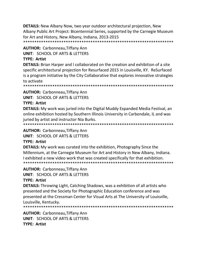**DETAILS:** New Albany Now, two year outdoor architectural projection, New Albany Public Art Project: Bicentennial Series, supported by the Carnegie Museum for Art and History, New Albany, Indiana, 2013-2015 

**AUTHOR: Carbonneau, Tiffany Ann UNIT: SCHOOL OF ARTS & LETTERS** 

# **TYPE: Artist**

**DETAILS:** Brian Harper and I collaborated on the creation and exhibition of a site specific architectural projection for Resurfaced 2015 in Louisville, KY. ReSurfaced is a program initiative by the City Collaborative that explores innovative strategies to activate

**AUTHOR: Carbonneau, Tiffany Ann** 

**UNIT: SCHOOL OF ARTS & LETTERS** 

# **TYPE: Artist**

**DETAILS:** My work was juried into the Digital Muddy Expanded Media Festival, an online exhibition hosted by Southern Illinois University in Carbondale, IL and was juried by artist and instructor Nia Burks.

**AUTHOR: Carbonneau, Tiffany Ann** 

UNIT: SCHOOL OF ARTS & LETTERS

# **TYPE: Artist**

**DETAILS:** My work was curated into the exhibition, Photography Since the Millennium, at the Carnegie Museum for Art and History in New Albany, Indiana. I exhibited a new video work that was created specifically for that exhibition. 

# **AUTHOR: Carbonneau, Tiffany Ann**

**UNIT: SCHOOL OF ARTS & LETTERS** 

# **TYPE: Artist**

**DETAILS:** Throwing Light, Catching Shadows, was a exhibition of all artists who presented and the Society for Photographic Education conference and was presented at the Cressman Center for Visual Arts at The University of Louisville, Louisville. Kentucky.

**AUTHOR: Carbonneau, Tiffany Ann** UNIT: SCHOOL OF ARTS & LETTERS **TYPE: Artist**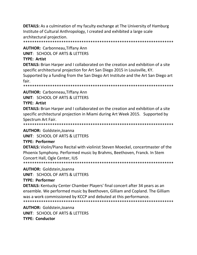**DETAILS:** As a culmination of my faculty exchange at The University of Hamburg Institute of Cultural Anthropology, I created and exhibited a large scale architectural projection.

**AUTHOR: Carbonneau, Tiffany Ann UNIT: SCHOOL OF ARTS & LETTERS** 

#### **TYPE: Artist**

**DETAILS:** Brian Harper and I collaborated on the creation and exhibition of a site specific architectural projection for Art San Diego 2015 in Louisville, KY.

Supported by a funding from the San Diego Art Institute and the Art San Diego art fair.

**AUTHOR: Carbonneau, Tiffany Ann** 

**UNIT: SCHOOL OF ARTS & LETTERS** 

#### **TYPE: Artist**

**DETAILS:** Brian Harper and I collaborated on the creation and exhibition of a site specific architectural projection in Miami during Art Week 2015. Supported by Spectrum Art Fair.

**AUTHOR: Goldstein, Joanna** 

UNIT: SCHOOL OF ARTS & LETTERS

#### **TYPE: Performer**

**DETAILS:** Violin/Piano Recital with violinist Steven Moeckel, concertmaster of the Phoenix Symphony. Performed music by Brahms, Beethoven, Franck. In Stem Concert Hall, Ogle Center, IUS

**AUTHOR: Goldstein, Joanna** 

**UNIT: SCHOOL OF ARTS & LETTERS** 

#### **TYPE: Performer**

**DETAILS:** Kentucky Center Chamber Players' final concert after 34 years as an ensemble. We performed music by Beethoven, Gilliam and Copland. The Gilliam was a work commissioned by KCCP and debuted at this performance. 

**AUTHOR: Goldstein.Joanna UNIT: SCHOOL OF ARTS & LETTERS** TYPF: Conductor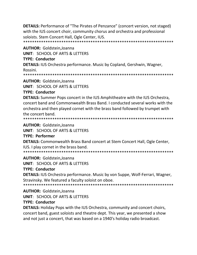**DETAILS:** Performance of "The Pirates of Penzance" (concert version, not staged) with the IUS concert choir, community chorus and orchestra and professional soloists. Stem Concert Hall, Ogle Center, IUS.

**AUTHOR: Goldstein, Joanna** 

**UNIT: SCHOOL OF ARTS & LETTERS** 

#### **TYPE: Conductor**

**DETAILS: IUS Orchestra performance. Music by Copland, Gershwin, Wagner,** Rossini.

**AUTHOR: Goldstein, Joanna** 

**UNIT: SCHOOL OF ARTS & LETTERS** 

**TYPE: Conductor** 

**DETAILS:** Summer Pops concert in the IUS Amphitheatre with the IUS Orchestra, concert band and Commonwealth Brass Band. I conducted several works with the orchestra and then played cornet with the brass band followed by trumpet with the concert band.

**AUTHOR: Goldstein, Joanna** 

**UNIT: SCHOOL OF ARTS & LETTERS** 

#### **TYPE: Performer**

**DETAILS:** Commonwealth Brass Band concert at Stem Concert Hall, Ogle Center, IUS. I play cornet in the brass band.

**AUTHOR: Goldstein, Joanna** 

UNIT: SCHOOL OF ARTS & LETTERS

#### **TYPE: Conductor**

**DETAILS:** IUS Orchestra performance. Music by von Suppe, Wolf-Ferrari, Wagner, Stravinsky. We featured a faculty soloist on oboe.

**AUTHOR: Goldstein, Joanna** 

**UNIT: SCHOOL OF ARTS & LETTERS** 

#### **TYPE: Conductor**

**DETAILS:** Holiday Pops with the IUS Orchestra, community and concert choirs, concert band, guest soloists and theatre dept. This year, we presented a show and not just a concert, that was based on a 1940's holiday radio broadcast.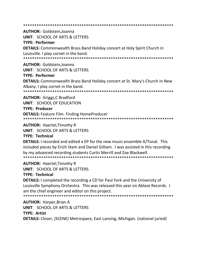\*\*\*\*\*\*\*\*\*\*\*\*\*\*\*\*\*\*\*\*\*\*\*\*\*\*\*\*\*\*\*\*\*\*\*\*\*\*\*\*\*\*\*\*\*\*\*\*\*\*\*\*\*\*\*\*\*\*\*\*\*\*\*\*\*\*\* **AUTHOR:** Goldstein,Joanna **UNIT**: SCHOOL OF ARTS & LETTERS **TYPE: Performer DETAILS:** Commonwealth Brass Band Holiday concert at Holy Spirit Church in Louisville. I play cornet in the band. \*\*\*\*\*\*\*\*\*\*\*\*\*\*\*\*\*\*\*\*\*\*\*\*\*\*\*\*\*\*\*\*\*\*\*\*\*\*\*\*\*\*\*\*\*\*\*\*\*\*\*\*\*\*\*\*\*\*\*\*\*\*\*\*\*\*\* **AUTHOR:** Goldstein,Joanna **UNIT**: SCHOOL OF ARTS & LETTERS **TYPE: Performer DETAILS:** Commonwealth Brass Band Holiday concert at St. Mary's Church in New Albany. I play cornet in the band. \*\*\*\*\*\*\*\*\*\*\*\*\*\*\*\*\*\*\*\*\*\*\*\*\*\*\*\*\*\*\*\*\*\*\*\*\*\*\*\*\*\*\*\*\*\*\*\*\*\*\*\*\*\*\*\*\*\*\*\*\*\*\*\*\*\*\* **AUTHOR:** Griggs,C Bradford **UNIT**: SCHOOL OF EDUCATION **TYPE: Producer**

**DETAILS:** Feature Film. Finding HomeProducer \*\*\*\*\*\*\*\*\*\*\*\*\*\*\*\*\*\*\*\*\*\*\*\*\*\*\*\*\*\*\*\*\*\*\*\*\*\*\*\*\*\*\*\*\*\*\*\*\*\*\*\*\*\*\*\*\*\*\*\*\*\*\*\*\*\*\*

**AUTHOR:** Haertel,Timothy R

**UNIT**: SCHOOL OF ARTS & LETTERS

**TYPE: Technical**

**DETAILS:** I recorded and edited a EP for the new music ensemble A/Tonal. This included pieces by Erich Stem and Daniel Gilliam. I was assisted in this recording by my advanced recording students Curtis Merrill and Zoe Blackwell. \*\*\*\*\*\*\*\*\*\*\*\*\*\*\*\*\*\*\*\*\*\*\*\*\*\*\*\*\*\*\*\*\*\*\*\*\*\*\*\*\*\*\*\*\*\*\*\*\*\*\*\*\*\*\*\*\*\*\*\*\*\*\*\*\*\*\*

**AUTHOR:** Haertel,Timothy R

**UNIT**: SCHOOL OF ARTS & LETTERS

**TYPE: Technical**

**DETAILS:** I completed the recording a CD for Paul York and the University of Louisville Symphony Orchestra. This was released this year on Ablaze Records. I am the chief engineer and editor on this project.

\*\*\*\*\*\*\*\*\*\*\*\*\*\*\*\*\*\*\*\*\*\*\*\*\*\*\*\*\*\*\*\*\*\*\*\*\*\*\*\*\*\*\*\*\*\*\*\*\*\*\*\*\*\*\*\*\*\*\*\*\*\*\*\*\*\*\*

**AUTHOR:** Harper,Brian A

**UNIT**: SCHOOL OF ARTS & LETTERS

# **TYPE: Artist**

**DETAILS:** Closer, (SCENE) Metrospace, East Lansing, Michigan. (national juried)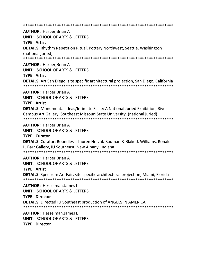\*\*\*\*\*\*\*\*\*\*\*\*\*\*\*\*\*\*\*\*\*\*\*\*\*\*\*\*\*\*\*\*\*\*\*\*\*\*\*\*\*\*\*\*\*\*\*\*\*\*\*\*\*\*\*\*\*\*\*\*\*\*\*\*\*\*\* **AUTHOR:** Harper,Brian A **UNIT**: SCHOOL OF ARTS & LETTERS **TYPE: Artist DETAILS:** Rhythm Repetition Ritual, Pottery Northwest, Seattle, Washington (national juried) \*\*\*\*\*\*\*\*\*\*\*\*\*\*\*\*\*\*\*\*\*\*\*\*\*\*\*\*\*\*\*\*\*\*\*\*\*\*\*\*\*\*\*\*\*\*\*\*\*\*\*\*\*\*\*\*\*\*\*\*\*\*\*\*\*\*\* **AUTHOR:** Harper,Brian A **UNIT**: SCHOOL OF ARTS & LETTERS **TYPE: Artist DETAILS:** Art San Diego, site specific architectural projection, San Diego, California \*\*\*\*\*\*\*\*\*\*\*\*\*\*\*\*\*\*\*\*\*\*\*\*\*\*\*\*\*\*\*\*\*\*\*\*\*\*\*\*\*\*\*\*\*\*\*\*\*\*\*\*\*\*\*\*\*\*\*\*\*\*\*\*\*\*\* **AUTHOR:** Harper,Brian A **UNIT**: SCHOOL OF ARTS & LETTERS **TYPE: Artist DETAILS:** Monumental Ideas/Intimate Scale: A National Juried Exhibition, River Campus Art Gallery, Southeast Missouri State University. (national juried) \*\*\*\*\*\*\*\*\*\*\*\*\*\*\*\*\*\*\*\*\*\*\*\*\*\*\*\*\*\*\*\*\*\*\*\*\*\*\*\*\*\*\*\*\*\*\*\*\*\*\*\*\*\*\*\*\*\*\*\*\*\*\*\*\*\*\* **AUTHOR:** Harper,Brian A **UNIT**: SCHOOL OF ARTS & LETTERS **TYPE: Curator DETAILS:** Curator: Boundless: Lauren Herzak-Bauman & Blake J. Williams, Ronald L. Barr Gallery, IU Southeast, New Albany, Indiana \*\*\*\*\*\*\*\*\*\*\*\*\*\*\*\*\*\*\*\*\*\*\*\*\*\*\*\*\*\*\*\*\*\*\*\*\*\*\*\*\*\*\*\*\*\*\*\*\*\*\*\*\*\*\*\*\*\*\*\*\*\*\*\*\*\*\* **AUTHOR:** Harper,Brian A **UNIT**: SCHOOL OF ARTS & LETTERS **TYPE: Artist DETAILS:** Spectrum Art Fair, site specific architectural projection, Miami, Florida \*\*\*\*\*\*\*\*\*\*\*\*\*\*\*\*\*\*\*\*\*\*\*\*\*\*\*\*\*\*\*\*\*\*\*\*\*\*\*\*\*\*\*\*\*\*\*\*\*\*\*\*\*\*\*\*\*\*\*\*\*\*\*\*\*\*\* **AUTHOR:** Hesselman,James L **UNIT**: SCHOOL OF ARTS & LETTERS **TYPE: Director DETAILS:** Directed IU Southeast production of ANGELS IN AMERICA. \*\*\*\*\*\*\*\*\*\*\*\*\*\*\*\*\*\*\*\*\*\*\*\*\*\*\*\*\*\*\*\*\*\*\*\*\*\*\*\*\*\*\*\*\*\*\*\*\*\*\*\*\*\*\*\*\*\*\*\*\*\*\*\*\*\*\* **AUTHOR:** Hesselman,James L **UNIT**: SCHOOL OF ARTS & LETTERS

**TYPE: Director**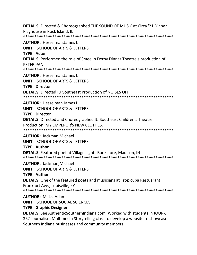**DETAILS:** Directed & Choreographed THE SOUND OF MUSIC at Circa '21 Dinner Playhouse in Rock Island, IL \*\*\*\*\*\*\*\*\*\*\*\*\*\*\*\*\*\*\*\*\*\*\*\*\*\*\*\*\*\*\*\*\*\*\*\*\*\*\*\*\*\*\*\*\*\*\*\*\*\*\*\*\*\*\*\*\*\*\*\*\*\*\*\*\*\*\* **AUTHOR:** Hesselman,James L **UNIT**: SCHOOL OF ARTS & LETTERS **TYPE: Actor DETAILS:** Performed the role of Smee in Derby Dinner Theatre's production of PETER PAN. \*\*\*\*\*\*\*\*\*\*\*\*\*\*\*\*\*\*\*\*\*\*\*\*\*\*\*\*\*\*\*\*\*\*\*\*\*\*\*\*\*\*\*\*\*\*\*\*\*\*\*\*\*\*\*\*\*\*\*\*\*\*\*\*\*\*\* **AUTHOR:** Hesselman,James L **UNIT**: SCHOOL OF ARTS & LETTERS **TYPE: Director DETAILS:** Directed IU Southeast Production of NOISES OFF \*\*\*\*\*\*\*\*\*\*\*\*\*\*\*\*\*\*\*\*\*\*\*\*\*\*\*\*\*\*\*\*\*\*\*\*\*\*\*\*\*\*\*\*\*\*\*\*\*\*\*\*\*\*\*\*\*\*\*\*\*\*\*\*\*\*\* **AUTHOR:** Hesselman,James L **UNIT**: SCHOOL OF ARTS & LETTERS **TYPE: Director DETAILS:** Directed and Choreographed IU Southeast Children's Theatre Production, MY EMPEROR'S NEW CLOTHES. \*\*\*\*\*\*\*\*\*\*\*\*\*\*\*\*\*\*\*\*\*\*\*\*\*\*\*\*\*\*\*\*\*\*\*\*\*\*\*\*\*\*\*\*\*\*\*\*\*\*\*\*\*\*\*\*\*\*\*\*\*\*\*\*\*\*\* **AUTHOR:** Jackman,Michael **UNIT**: SCHOOL OF ARTS & LETTERS **TYPE: Author DETAILS:** Featured poet at Village Lights Bookstore, Madison, IN \*\*\*\*\*\*\*\*\*\*\*\*\*\*\*\*\*\*\*\*\*\*\*\*\*\*\*\*\*\*\*\*\*\*\*\*\*\*\*\*\*\*\*\*\*\*\*\*\*\*\*\*\*\*\*\*\*\*\*\*\*\*\*\*\*\*\* **AUTHOR:** Jackman,Michael **UNIT**: SCHOOL OF ARTS & LETTERS **TYPE: Author DETAILS:** One of the featured poets and musicians at Tropicuba Restuarant, Frankfort Ave., Louisville, KY \*\*\*\*\*\*\*\*\*\*\*\*\*\*\*\*\*\*\*\*\*\*\*\*\*\*\*\*\*\*\*\*\*\*\*\*\*\*\*\*\*\*\*\*\*\*\*\*\*\*\*\*\*\*\*\*\*\*\*\*\*\*\*\*\*\*\* **AUTHOR:** Maksl,Adam **UNIT**: SCHOOL OF SOCIAL SCIENCES

#### **TYPE: Graphic Designer**

**DETAILS:** See AuthenticSouthernIndiana.com. Worked with students in JOUR-J 362 Journalism Multimedia Storytelling class to develop a website to showcase Southern Indiana businesses and community members.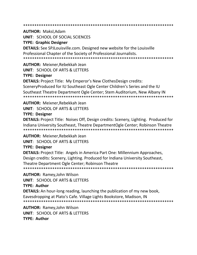**AUTHOR: Maksl.Adam** 

**UNIT: SCHOOL OF SOCIAL SCIENCES** 

#### **TYPE: Graphic Designer**

**DETAILS:** See SPJLouisville.com. Designed new website for the Louisville Professional Chapter of the Society of Professional Journalists. 

**AUTHOR: Meixner.Rebekkah Jean** 

**UNIT: SCHOOL OF ARTS & LETTERS** 

## **TYPE: Designer**

**DETAILS:** Project Title: My Emperor's New ClothesDesign credits: SceneryProduced for IU Southeast Ogle Center Children's Series and the IU Southeast Theatre Department Ogle Center; Stem Auditorium, New Albany IN 

**AUTHOR: Meixner, Rebekkah Jean UNIT: SCHOOL OF ARTS & LETTERS TYPE: Designer** 

**DETAILS:** Project Title: Noises Off, Design credits: Scenery, Lighting. Produced for Indiana University Southeast, Theatre DepartmentOgle Center; Robinson Theatre 

**AUTHOR: Meixner, Rebekkah Jean UNIT: SCHOOL OF ARTS & LETTERS** 

# **TYPE: Designer**

**DETAILS:** Project Title: Angels in America Part One: Millennium Approaches, Design credits: Scenery, Lighting. Produced for Indiana University Southeast, Theatre Department Ogle Center; Robinson Theatre 

**AUTHOR: Ramey, John Wilson** 

**UNIT: SCHOOL OF ARTS & LETTERS** 

#### **TYPE: Author**

**DETAILS:** An hour-long reading, launching the publication of my new book, Eavesdropping at Plato's Cafe. Village Lights Bookstore, Madison, IN 

**AUTHOR: Ramey, John Wilson UNIT: SCHOOL OF ARTS & LETTERS** TYPF: Author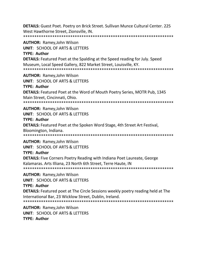**DETAILS:** Guest Poet. Poetry on Brick Street. Sullivan Munce Cultural Center. 225 West Hawthorne Street, Zionsville, IN. \*\*\*\*\*\*\*\*\*\*\*\*\*\*\*\*\*\*\*\*\*\*\*\*\*\*\*\*\*\*\*\*\*\*\*\*\*\*\*\*\*\*\*\*\*\*\*\*\*\*\*\*\*\*\*\*\*\*\*\*\*\*\*\*\*\*\*

**AUTHOR:** Ramey,John Wilson

**UNIT**: SCHOOL OF ARTS & LETTERS

**TYPE: Author**

**DETAILS:** Featured Poet at the Spalding at the Speed reading for July. Speed Museum, Local Speed Gallery, 822 Market Street, Louisville, KY.

\*\*\*\*\*\*\*\*\*\*\*\*\*\*\*\*\*\*\*\*\*\*\*\*\*\*\*\*\*\*\*\*\*\*\*\*\*\*\*\*\*\*\*\*\*\*\*\*\*\*\*\*\*\*\*\*\*\*\*\*\*\*\*\*\*\*\*

**AUTHOR:** Ramey,John Wilson

**UNIT**: SCHOOL OF ARTS & LETTERS

**TYPE: Author**

**DETAILS:** Featured Poet at the Word of Mouth Poetry Series, MOTR Pub, 1345 Main Street, Cincinnati, Ohio.

\*\*\*\*\*\*\*\*\*\*\*\*\*\*\*\*\*\*\*\*\*\*\*\*\*\*\*\*\*\*\*\*\*\*\*\*\*\*\*\*\*\*\*\*\*\*\*\*\*\*\*\*\*\*\*\*\*\*\*\*\*\*\*\*\*\*\*

**AUTHOR:** Ramey,John Wilson

**UNIT**: SCHOOL OF ARTS & LETTERS

#### **TYPE: Author**

**DETAILS:** Featured Poet at the Spoken Word Stage, 4th Street Art Festival,

Bloomington, Indiana.

\*\*\*\*\*\*\*\*\*\*\*\*\*\*\*\*\*\*\*\*\*\*\*\*\*\*\*\*\*\*\*\*\*\*\*\*\*\*\*\*\*\*\*\*\*\*\*\*\*\*\*\*\*\*\*\*\*\*\*\*\*\*\*\*\*\*\*

**AUTHOR:** Ramey,John Wilson **UNIT**: SCHOOL OF ARTS & LETTERS

# **TYPE: Author**

**DETAILS:** Five Corners Poetry Reading with Indiana Poet Laureate, George Kalamaras. Arts Illiana, 23 North 6th Street, Terre Haute, IN \*\*\*\*\*\*\*\*\*\*\*\*\*\*\*\*\*\*\*\*\*\*\*\*\*\*\*\*\*\*\*\*\*\*\*\*\*\*\*\*\*\*\*\*\*\*\*\*\*\*\*\*\*\*\*\*\*\*\*\*\*\*\*\*\*\*\*

**AUTHOR:** Ramey,John Wilson

**UNIT**: SCHOOL OF ARTS & LETTERS

#### **TYPE: Author**

**DETAILS:** Featured poet at The Circle Sessions weekly poetry reading held at The International Bar, 23 Wicklow Street, Dublin, Ireland. \*\*\*\*\*\*\*\*\*\*\*\*\*\*\*\*\*\*\*\*\*\*\*\*\*\*\*\*\*\*\*\*\*\*\*\*\*\*\*\*\*\*\*\*\*\*\*\*\*\*\*\*\*\*\*\*\*\*\*\*\*\*\*\*\*\*\*

**AUTHOR:** Ramey,John Wilson **UNIT**: SCHOOL OF ARTS & LETTERS **TYPE: Author**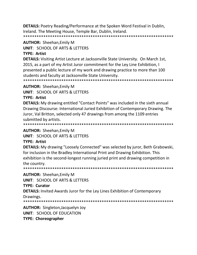**DETAILS:** Poetry Reading/Performance at the Spoken Word Festival in Dublin, Ireland. The Meeting House, Temple Bar, Dublin, Ireland.

\*\*\*\*\*\*\*\*\*\*\*\*\*\*\*\*\*\*\*\*\*\*\*\*\*\*\*\*\*\*\*\*\*\*\*\*\*\*\*\*\*\*\*\*\*\*\*\*\*\*\*\*\*\*\*\*\*\*\*\*\*\*\*\*\*\*\*

**AUTHOR:** Sheehan,Emily M

**UNIT**: SCHOOL OF ARTS & LETTERS

#### **TYPE: Artist**

**DETAILS:** Visiting Artist Lecture at Jacksonville State University. On March 1st, 2015, as a part of my Artist Juror commitment for the Ley Line Exhibition, I presented a public lecture of my work and drawing practice to more than 100 students and faculty at Jacksonville State University.

\*\*\*\*\*\*\*\*\*\*\*\*\*\*\*\*\*\*\*\*\*\*\*\*\*\*\*\*\*\*\*\*\*\*\*\*\*\*\*\*\*\*\*\*\*\*\*\*\*\*\*\*\*\*\*\*\*\*\*\*\*\*\*\*\*\*\*

**AUTHOR:** Sheehan,Emily M

**UNIT**: SCHOOL OF ARTS & LETTERS

#### **TYPE: Artist**

**DETAILS:** My drawing entitled "Contact Points" was included in the sixth annual Drawing Discourse: International Juried Exhibition of Contemporary Drawing. The Juror, Val Britton, selected only 47 drawings from among the 1109 entries submitted by artists.

\*\*\*\*\*\*\*\*\*\*\*\*\*\*\*\*\*\*\*\*\*\*\*\*\*\*\*\*\*\*\*\*\*\*\*\*\*\*\*\*\*\*\*\*\*\*\*\*\*\*\*\*\*\*\*\*\*\*\*\*\*\*\*\*\*\*\*

**AUTHOR:** Sheehan,Emily M

**UNIT**: SCHOOL OF ARTS & LETTERS

#### **TYPE: Artist**

**DETAILS:** My drawing "Loosely Connected" was selected by juror, Beth Grabowski, for inclusion in the Bradley International Print and Drawing Exhibition. This exhibition is the second-longest running juried print and drawing competition in the country.

\*\*\*\*\*\*\*\*\*\*\*\*\*\*\*\*\*\*\*\*\*\*\*\*\*\*\*\*\*\*\*\*\*\*\*\*\*\*\*\*\*\*\*\*\*\*\*\*\*\*\*\*\*\*\*\*\*\*\*\*\*\*\*\*\*\*\*

**AUTHOR:** Sheehan,Emily M

**UNIT**: SCHOOL OF ARTS & LETTERS

#### **TYPE: Curator**

**DETAILS:** Invited Awards Juror for the Ley Lines Exhibition of Contemporary

Drawings.

```
*******************************************************************
```
**AUTHOR:** Singleton,Jacquelyn Joy **UNIT**: SCHOOL OF EDUCATION **TYPE: Choreographer**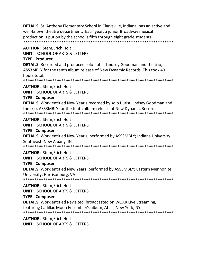**DETAILS:** St. Anthony Elementary School in Clarksville, Indiana, has an active and well-known theatre department. Each year, a junior Broadway musical production is put on by the school's fifth through eight grade students. 

**AUTHOR: Stem, Erich Holt** 

**UNIT: SCHOOL OF ARTS & LETTERS** 

### **TYPE: Producer**

**DETAILS:** Recorded and produced solo flutist Lindsey Goodman and the trio, ASS3MBLY for the tenth album release of New Dynamic Records. This took 40 hours total.

**AUTHOR: Stem.Erich Holt** 

**UNIT: SCHOOL OF ARTS & LETTERS** 

**TYPE: Composer** 

**DETAILS:** Work entitled New Year's recorded by solo flutist Lindsey Goodman and the trio, ASS3MBLY for the tenth album release of New Dynamic Records. 

**AUTHOR: Stem.Erich Holt** 

**UNIT: SCHOOL OF ARTS & LETTERS** 

#### **TYPE: Composer**

**DETAILS:** Work entitled New Year's, performed by ASS3MBLY; Indiana University Southeast, New Albany, IN

**AUTHOR: Stem.Erich Holt** 

**UNIT: SCHOOL OF ARTS & LETTERS** 

#### **TYPE: Composer**

**DETAILS:** Work entitled New Years, performed by ASS3MBLY; Eastern Mennonite University; Harrisonburg, VA

**AUTHOR: Stem, Erich Holt** 

**UNIT: SCHOOL OF ARTS & LETTERS** 

#### **TYPE: Composer**

**DETAILS:** Work entitled Revisited, broadcasted on WQXR Live Streaming,

featuring Cadillac Moon Ensemble?s album, Atlas; New York, NY

**AUTHOR: Stem, Erich Holt UNIT: SCHOOL OF ARTS & LETTERS**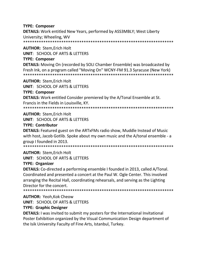#### **TYPE: Composer**

**DETAILS:** Work entitled New Years, performed by ASS3MBLY; West Liberty University; Wheeling, WV

**AUTHOR: Stem, Erich Holt** 

**UNIT: SCHOOL OF ARTS & LETTERS** 

## **TYPE: Composer**

**DETAILS:** Moving On (recorded by SOLI Chamber Ensemble) was broadcasted by Fresh Ink, on a program called "Moving On" WCNY-FM 91.3 Syracuse (New York) 

**AUTHOR: Stem, Erich Holt UNIT: SCHOOL OF ARTS & LETTERS** 

**TYPE: Composer** 

**DETAILS:** Work entitled Consider premiered by the A/Tonal Ensemble at St. Francis in the Fields in Louisville, KY.

**AUTHOR: Stem, Erich Holt** 

**UNIT: SCHOOL OF ARTS & LETTERS** 

## **TYPE: Contributor**

**DETAILS:** Featured guest on the ARTxFMs radio show, Muddle Instead of Music with host, Jacob Gotlib. Spoke about my own music and the A/tonal ensemble - a group I founded in 2013.

**AUTHOR: Stem.Erich Holt** 

**UNIT: SCHOOL OF ARTS & LETTERS** 

# **TYPE: Organizer**

DETAILS: Co-directed a performing ensemble I founded in 2013, called A/Tonal. Coordinated and presented a concert at the Paul W. Ogle Center. This involved arranging the Recital Hall, coordinating rehearsals, and serving as the Lighting Director for the concert.

**AUTHOR: Yeoh, Kok Cheow** 

**UNIT: SCHOOL OF ARTS & LETTERS** 

# **TYPE: Graphic Designer**

**DETAILS:** I was invited to submit my posters for the International Invitational Poster Exhibition organized by the Visual Communication Design department of the Isik University Faculty of Fine Arts, Istanbul, Turkey.